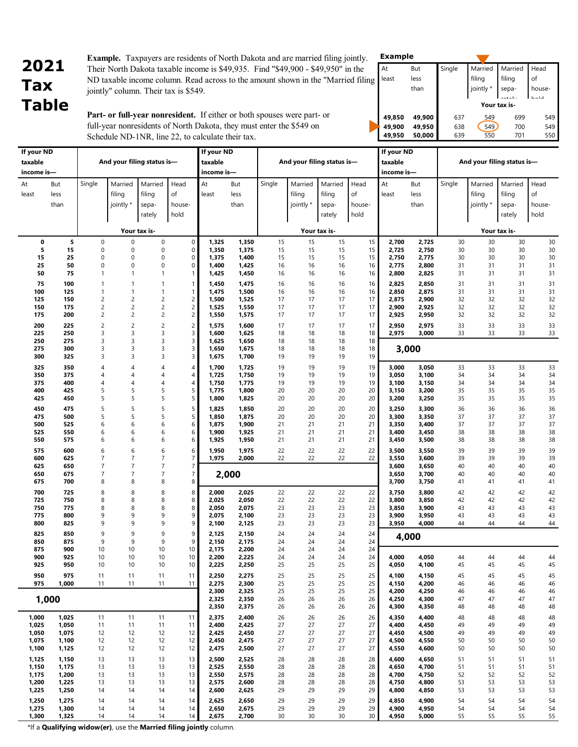# **2021 Tax Table**

**Example.** Taxpayers are residents of North Dakota and are married filing jointly. Their North Dakota taxable income is \$49,935. Find "\$49,900 - \$49,950" in the ND taxable income column. Read across to the amount shown in the "Married filing jointly" column. Their tax is \$549.

**49,850 49,900** 637 549 699 549 **49,900 49,950 638 549 700 549<br><b>49,950 50,000** 639 550 701 550 **49,950 50,000** 639 550 701 550 **Example Your tax is-** At least But less than Single Married filing jointly \* Married filing sepa- Head of house hold

**Part- or full-year nonresident.** If either or both spouses were part- or full-year nonresidents of North Dakota, they must enter the \$549 on Schedule ND-1NR, line 22, to calculate their tax.

 **If your ND**

| It your ND |          |                |                                  |                |                         | It your ND     |                |          |                            |              |          | It your ND     |                |          |           |                            |          |
|------------|----------|----------------|----------------------------------|----------------|-------------------------|----------------|----------------|----------|----------------------------|--------------|----------|----------------|----------------|----------|-----------|----------------------------|----------|
| taxable    |          |                | And your filing status is-       |                |                         | taxable        |                |          | And your filing status is- |              |          | taxable        |                |          |           | And your filing status is- |          |
| income is- |          |                |                                  |                |                         | income is-     |                |          |                            |              |          | income is-     |                |          |           |                            |          |
|            |          |                |                                  |                |                         |                |                |          |                            |              |          |                |                |          |           |                            |          |
| At         | But      | Single         | Married                          | Married        | Head                    | At             | But            | Single   | Married                    | Married      | Head     | At             | But            | Single   | Married   | Married                    | Head     |
| least      | less     |                | filing                           | filing         | of                      | least          | less           |          | filing                     | filing       | of       | least          | less           |          | filing    | filing                     | of       |
|            | than     |                | jointly *                        | sepa-          | house-                  |                | than           |          | jointly *                  | sepa-        | house-   |                | than           |          | jointly * | sepa-                      | house-   |
|            |          |                |                                  | rately         | hold                    |                |                |          |                            | rately       | hold     |                |                |          |           | rately                     | hold     |
|            |          |                |                                  |                |                         |                |                |          |                            |              |          |                |                |          |           |                            |          |
|            |          |                |                                  | Your tax is-   |                         |                |                |          |                            | Your tax is- |          |                |                |          |           | Your tax is-               |          |
|            |          |                |                                  |                |                         |                |                |          |                            |              |          |                |                |          |           |                            |          |
| 0          | 5        | 0              | $\boldsymbol{0}$                 | 0              | $\mathsf{0}$            | 1,325          | 1,350          | 15       | 15                         | 15           | 15       | 2,700          | 2,725          | 30       | 30        | 30                         | 30       |
| 5<br>15    | 15<br>25 | 0<br>0         | $\mathbf 0$<br>$\mathbf 0$       | 0<br>0         | 0<br>$\pmb{0}$          | 1,350          | 1,375<br>1,400 | 15<br>15 | 15<br>15                   | 15<br>15     | 15       | 2,725          | 2,750<br>2,775 | 30<br>30 | 30<br>30  | 30<br>30                   | 30       |
| 25         | 50       | 0              | $\mathbf 0$                      | 0              | 0                       | 1,375<br>1,400 | 1,425          | 16       | 16                         | 16           | 15<br>16 | 2,750<br>2,775 | 2,800          | 31       | 31        | 31                         | 30<br>31 |
| 50         | 75       | $\mathbf{1}$   | $\mathbf{1}$                     | $\mathbf{1}$   | $\mathbf{1}$            | 1,425          | 1,450          | 16       | 16                         | 16           | 16       | 2,800          | 2,825          | 31       | 31        | 31                         | 31       |
|            |          |                |                                  |                |                         |                |                |          |                            |              |          |                |                |          |           |                            |          |
| 75         | 100      | $\mathbf{1}$   | $\mathbf{1}$                     | $\mathbf{1}$   | $\mathbf{1}$            | 1,450          | 1,475          | 16       | 16                         | 16           | 16       | 2,825          | 2,850          | 31       | 31        | 31                         | 31       |
| 100        | 125      | 1              | $\mathbf{1}$                     | $\mathbf{1}$   | $\mathbf{1}$            | 1,475          | 1,500          | 16       | 16                         | 16           | 16       | 2,850          | 2,875          | 31       | 31        | 31                         | 31       |
| 125        | 150      | $\overline{c}$ | $\overline{c}$                   | $\overline{c}$ | $\overline{c}$          | 1,500          | 1,525          | 17       | 17                         | 17           | 17       | 2,875          | 2,900          | 32       | 32        | 32                         | 32       |
| 150        | 175      | $\overline{c}$ | $\overline{c}$<br>$\overline{c}$ | $\overline{c}$ | $\overline{c}$          | 1,525          | 1,550          | 17       | 17                         | 17           | 17       | 2,900          | 2,925          | 32       | 32        | 32                         | 32       |
| 175        | 200      | 2              |                                  | $\overline{c}$ | $\overline{c}$          | 1,550          | 1,575          | 17       | 17                         | 17           | 17       | 2,925          | 2,950          | 32       | 32        | 32                         | 32       |
| 200        | 225      | $\overline{c}$ | $\overline{c}$                   | $\overline{c}$ | $\overline{c}$          | 1,575          | 1,600          | 17       | 17                         | 17           | 17       | 2,950          | 2,975          | 33       | 33        | 33                         | 33       |
| 225        | 250      | 3              | 3                                | 3              | 3                       | 1,600          | 1,625          | 18       | 18                         | 18           | 18       | 2,975          | 3,000          | 33       | 33        | 33                         | 33       |
| 250        | 275      | 3              | 3                                | 3              | 3                       | 1,625          | 1,650          | 18       | 18                         | 18           | 18       |                |                |          |           |                            |          |
| 275        | 300      | 3              | $\overline{3}$                   | 3              | 3                       | 1,650          | 1,675          | 18       | 18                         | 18           | 18       |                | 3,000          |          |           |                            |          |
| 300        | 325      | 3              | $\overline{3}$                   | 3              | 3                       | 1,675          | 1,700          | 19       | 19                         | 19           | 19       |                |                |          |           |                            |          |
| 325        | 350      | 4              | $\overline{4}$                   | 4              | $\overline{\mathbf{4}}$ | 1,700          | 1,725          | 19       | 19                         | 19           | 19       | 3,000          | 3,050          | 33       | 33        | 33                         | 33       |
| 350        | 375      | 4              | $\overline{4}$                   | 4              | $\overline{\mathbf{4}}$ | 1,725          | 1,750          | 19       | 19                         | 19           | 19       | 3,050          | 3,100          | 34       | 34        | 34                         | 34       |
| 375        | 400      | 4              | $\overline{4}$                   | 4              | $\overline{\mathbf{4}}$ | 1,750          | 1,775          | 19       | 19                         | 19           | 19       | 3,100          | 3,150          | 34       | 34        | 34                         | 34       |
| 400        | 425      | 5              | 5                                | 5              | 5                       | 1,775          | 1,800          | 20       | 20                         | 20           | 20       | 3,150          | 3,200          | 35       | 35        | 35                         | 35       |
| 425        | 450      | 5              | 5                                | 5              | 5                       | 1,800          | 1,825          | 20       | 20                         | 20           | 20       | 3,200          | 3,250          | 35       | 35        | 35                         | 35       |
| 450        | 475      | 5              | 5                                | 5              | 5                       | 1,825          | 1,850          | 20       | 20                         | 20           | 20       | 3,250          | 3,300          | 36       | 36        | 36                         | 36       |
| 475        | 500      | 5              | 5                                | 5              | 5                       | 1,850          | 1,875          | 20       | 20                         | 20           | 20       | 3,300          | 3,350          | 37       | 37        | 37                         | 37       |
| 500        | 525      | 6              | 6                                | 6              | 6                       | 1,875          | 1,900          | 21       | 21                         | 21           | 21       | 3,350          | 3,400          | 37       | 37        | 37                         | 37       |
| 525        | 550      | 6              | 6                                | 6              | 6                       | 1,900          | 1,925          | 21       | 21                         | 21           | 21       | 3,400          | 3,450          | 38       | 38        | 38                         | 38       |
| 550        | 575      | 6              | 6                                | 6              | 6                       | 1,925          | 1,950          | 21       | 21                         | 21           | 21       | 3,450          | 3,500          | 38       | 38        | 38                         | 38       |
| 575        | 600      | 6              | 6                                | 6              | 6                       | 1,950          | 1,975          | 22       | 22                         | 22           | 22       | 3,500          | 3,550          | 39       | 39        | 39                         | 39       |
| 600        | 625      | $\overline{7}$ | $\overline{7}$                   | $\overline{7}$ | $\overline{7}$          | 1,975          | 2,000          | 22       | 22                         | 22           | 22       | 3,550          | 3,600          | 39       | 39        | 39                         | 39       |
| 625        | 650      | $\overline{7}$ | $\overline{7}$                   | $\overline{7}$ | $\overline{7}$          |                |                |          |                            |              |          | 3,600          | 3,650          | 40       | 40        | 40                         | 40       |
| 650        | 675      | $\overline{7}$ | $\overline{7}$                   | $\overline{7}$ | $\overline{7}$          |                | 2,000          |          |                            |              |          | 3,650          | 3,700          | 40       | 40        | 40                         | 40       |
| 675        | 700      | 8              | 8                                | 8              | 8                       |                |                |          |                            |              |          | 3,700          | 3,750          | 41       | 41        | 41                         | 41       |
| 700        | 725      | 8              | 8                                | 8              | 8                       | 2,000          | 2,025          | 22       | 22                         | 22           | 22       | 3,750          | 3,800          | 42       | 42        | 42                         | 42       |
| 725        | 750      | 8              | 8                                | 8              | 8                       | 2,025          | 2,050          | 22       | 22                         | 22           | 22       | 3,800          | 3,850          | 42       | 42        | 42                         | 42       |
| 750        | 775      | 8              | 8                                | 8              | 8                       | 2,050          | 2,075          | 23       | 23                         | 23           | 23       | 3,850          | 3,900          | 43       | 43        | 43                         | 43       |
| 775        | 800      | 9              | 9                                | 9              | 9                       | 2,075          | 2,100          | 23       | 23                         | 23           | 23       | 3,900          | 3,950          | 43       | 43        | 43                         | 43       |
| 800        | 825      | 9              | 9                                | 9              | 9                       | 2,100          | 2,125          | 23       | 23                         | 23           | 23       | 3,950          | 4,000          | 44       | 44        | 44                         | 44       |
| 825        | 850      | 9              | 9                                | 9              | 9                       | 2,125          | 2,150          | 24       | 24                         | 24           | 24       |                | 4,000          |          |           |                            |          |
| 850        | 875      | 9              | 9                                | 9              | 9                       | 2,150          | 2,175          | 24       | 24                         | 24           | 24       |                |                |          |           |                            |          |
| 875        | 900      | 10             | 10                               | 10             | 10                      | 2,175          | 2,200          | 24       | 24                         | 24           | 24       |                |                |          |           |                            |          |
| 900        | 925      | 10             | 10                               | 10             | 10                      | 2,200          | 2,225          | 24       | 24                         | 24           | 24       | 4,000          | 4,050          | 44       | 44        | 44                         | 44       |
| 925        | 950      | 10             | 10                               | 10             | 10                      | 2,225          | 2,250          | 25       | 25                         | 25           | 25       | 4,050          | 4,100          | 45       | 45        | 45                         | 45       |
| 950        | 975      | 11             | 11                               | 11             | 11                      | 2,250          | 2,275          | 25       | 25                         | 25           | 25       | 4,100          | 4,150          | 45       | 45        | 45                         | 45       |
| 975        | 1,000    | 11             | 11                               | 11             | 11                      | 2,275          | 2,300          | 25       | 25                         | 25           | 25       | 4,150          | 4,200          | 46       | 46        | 46                         | 46       |
|            |          |                |                                  |                |                         | 2,300          | 2,325          | 25       | 25                         | 25           | 25       | 4,200          | 4,250          | 46       | 46        | 46                         | 46       |
|            | 1,000    |                |                                  |                |                         | 2,325          | 2,350          | 26       | 26                         | 26           | 26       | 4,250          | 4,300          | 47       | 47        | 47                         | 47       |
|            |          |                |                                  |                |                         | 2,350          | 2,375          | 26       | 26                         | 26           | 26       | 4,300          | 4,350          | 48       | 48        | 48                         | 48       |
| 1,000      | 1,025    | 11             | 11                               | 11             | 11                      | 2,375          | 2,400          | 26       | 26                         | 26           | 26       | 4,350          | 4,400          | 48       | 48        | 48                         | 48       |
| 1,025      | 1,050    | 11             | 11                               | 11             | 11                      | 2,400          | 2,425          | 27       | 27                         | 27           | 27       | 4,400          | 4,450          | 49       | 49        | 49                         | 49       |
| 1,050      | 1,075    | 12             | 12                               | 12             | 12                      | 2,425          | 2,450          | 27       | 27                         | 27           | 27       | 4,450          | 4,500          | 49       | 49        | 49                         | 49       |
| 1,075      | 1,100    | 12             | 12                               | 12             | 12                      | 2,450          | 2,475          | 27       | 27                         | 27           | 27       | 4,500          | 4,550          | 50       | 50        | 50                         | 50       |
| 1,100      | 1,125    | 12             | 12                               | 12             | 12                      | 2,475          | 2,500          | 27       | 27                         | 27           | 27       | 4,550          | 4,600          | 50       | 50        | 50                         | 50       |
| 1,125      | 1,150    | 13             | 13                               | 13             | 13                      | 2,500          | 2,525          | 28       | 28                         | 28           | 28       | 4,600          | 4,650          | 51       | 51        | 51                         | 51       |
| 1,150      | 1,175    | 13             | 13                               | 13             | 13                      | 2,525          | 2,550          | 28       | 28                         | 28           | 28       | 4,650          | 4,700          | 51       | 51        | 51                         | 51       |
| 1,175      | 1,200    | 13             | 13                               | 13             | 13                      | 2,550          | 2,575          | 28       | 28                         | 28           | 28       | 4,700          | 4,750          | 52       | 52        | 52                         | 52       |
| 1,200      | 1,225    | 13             | 13                               | 13             | 13                      | 2,575          | 2,600          | 28       | 28                         | 28           | 28       | 4,750          | 4,800          | 53       | 53        | 53                         | 53       |
| 1,225      | 1,250    | 14             | 14                               | 14             | 14                      | 2,600          | 2,625          | 29       | 29                         | 29           | 29       | 4,800          | 4,850          | 53       | 53        | 53                         | 53       |
| 1,250      | 1,275    | 14             | 14                               | 14             | 14                      | 2,625          | 2,650          | 29       | 29                         | 29           | 29       | 4,850          | 4,900          | 54       | 54        | 54                         | 54       |
| 1,275      | 1,300    | 14             | 14                               | 14             | 14                      | 2,650          | 2,675          | 29       | 29                         | 29           | 29       | 4,900          | 4,950          | 54       | 54        | 54                         | 54       |
| 1,300      | 1,325    | 14             | 14                               | 14             | 14                      | 2,675          | 2,700          | 30       | 30                         | 30           | 30       | 4,950          | 5,000          | 55       | 55        | 55                         | 55       |
|            |          |                |                                  |                |                         |                |                |          |                            |              |          |                |                |          |           |                            |          |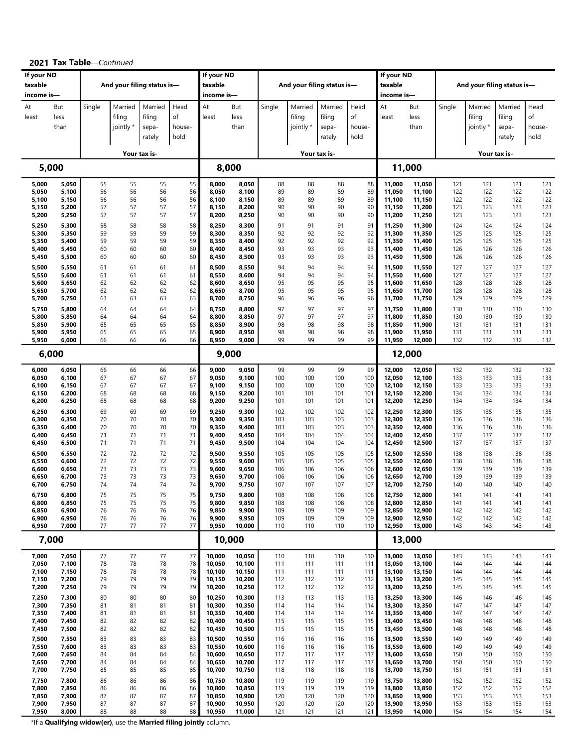|                |                |          |                            |              |          | If your ND       |                  |            |                            |              |            | If your ND       |                  |            |            |                            |            |
|----------------|----------------|----------|----------------------------|--------------|----------|------------------|------------------|------------|----------------------------|--------------|------------|------------------|------------------|------------|------------|----------------------------|------------|
| If your ND     |                |          |                            |              |          |                  |                  |            |                            |              |            |                  |                  |            |            |                            |            |
| taxable        |                |          | And your filing status is- |              |          | taxable          |                  |            | And your filing status is- |              |            | taxable          |                  |            |            | And your filing status is- |            |
| income is-     |                |          |                            |              |          | income is-       |                  |            |                            |              |            | income is-       |                  |            |            |                            |            |
| At             | But            | Single   | Married                    | Married      | Head     | At               | But              | Single     | Married                    | Married      | Head       | At               | But              | Single     | Married    | Married                    | Head       |
| least          | less           |          | filing                     | filing       | of       | least            | less             |            | filing                     | filing       | of         | least            | less             |            | filing     | filing                     | of         |
|                |                |          |                            |              |          |                  |                  |            |                            |              |            |                  |                  |            |            |                            |            |
|                | than           |          | jointly *                  | sepa-        | house-   |                  | than             |            | jointly *                  | sepa-        | house-     |                  | than             |            | jointly *  | sepa-                      | house-     |
|                |                |          |                            | rately       | hold     |                  |                  |            |                            | rately       | hold       |                  |                  |            |            | rately                     | hold       |
|                |                |          |                            |              |          |                  |                  |            |                            |              |            |                  |                  |            |            |                            |            |
|                |                |          |                            | Your tax is- |          |                  |                  |            |                            | Your tax is- |            |                  |                  |            |            | Your tax is-               |            |
|                | 5,000          |          |                            |              |          | 8,000            |                  |            |                            |              |            |                  | 11,000           |            |            |                            |            |
|                |                |          |                            |              |          |                  |                  |            |                            |              |            |                  |                  |            |            |                            |            |
| 5,000          | 5,050          | 55       | 55                         | 55           | 55       | 8,000            | 8,050            | 88         | 88                         | 88           | 88         | 11,000           | 11,050           | 121        | 121        | 121                        | 121        |
| 5,050          | 5,100          | 56       | 56                         | 56           | 56       | 8,050            | 8,100            | 89         | 89                         | 89           | 89         | 11,050           | 11,100           | 122        | 122        | 122                        | 122        |
| 5,100          | 5,150          | 56       | 56                         | 56           | 56       | 8,100            | 8,150            | 89         | 89                         | 89           | 89         | 11,100           | 11,150           | 122        | 122        | 122                        | 122        |
| 5,150          | 5,200          | 57       | 57                         | 57           | 57       | 8,150            | 8,200            | 90         | 90                         | 90           | 90         | 11,150           | 11,200           | 123        | 123        | 123                        | 123        |
| 5,200          | 5,250          | 57       | 57                         | 57           | 57       | 8,200            | 8,250            | 90         | 90                         | 90           | 90         | 11,200           | 11,250           | 123        | 123        | 123                        | 123        |
| 5,250          | 5,300          | 58       | 58                         | 58           | 58       | 8,250            | 8,300            | 91         | 91                         | 91           | 91         | 11,250           | 11,300           | 124        | 124        | 124                        | 124        |
| 5,300          | 5,350          | 59       | 59                         | 59           | 59       | 8,300            | 8,350            | 92         | 92                         | 92           | 92         | 11,300           | 11,350           | 125        | 125        | 125                        | 125        |
| 5,350          | 5,400          | 59       | 59                         | 59           | 59       | 8,350            | 8,400            | 92         | 92                         | 92           | 92         | 11,350           | 11,400           | 125        | 125        | 125                        | 125        |
| 5,400          | 5,450          | 60       | 60                         | 60           | 60       | 8,400            | 8,450            | 93         | 93                         | 93           | 93         | 11,400           | 11,450           | 126        | 126        | 126                        | 126        |
| 5,450          | 5,500          | 60       | 60                         | 60           | 60       | 8,450            | 8,500            | 93         | 93                         | 93           | 93         | 11,450           | 11,500           | 126        | 126        | 126                        | 126        |
| 5,500          | 5,550          | 61       | 61                         | 61           | 61       | 8,500            | 8,550            | 94         | 94                         | 94           | 94         | 11,500           | 11,550           | 127        | 127        | 127                        | 127        |
| 5,550          | 5,600          | 61       | 61                         | 61           | 61       | 8,550            | 8,600            | 94         | 94                         | 94           | 94         | 11,550           | 11,600           | 127        | 127        | 127                        | 127        |
| 5,600          | 5,650          | 62       | 62                         | 62           | 62       | 8,600            | 8,650            | 95         | 95                         | 95           | 95         | 11,600           | 11,650           | 128        | 128        | 128                        | 128        |
| 5,650          | 5,700          | 62       | 62                         | 62           | 62       | 8,650            | 8,700            | 95         | 95                         | 95           | 95         | 11,650           | 11,700           | 128        | 128        | 128                        | 128        |
| 5,700          | 5,750          | 63       | 63                         | 63           | 63       | 8,700            | 8,750            | 96         | 96                         | 96           | 96         | 11,700           | 11,750           | 129        | 129        | 129                        | 129        |
| 5,750          | 5,800          | 64       | 64                         | 64           | 64       | 8,750            | 8,800            | 97         | 97                         | 97           | 97         | 11,750           | 11,800           | 130        | 130        | 130                        | 130        |
| 5,800          | 5,850          | 64       | 64                         | 64           | 64       | 8,800            | 8,850            | 97         | 97                         | 97           | 97         | 11,800           | 11,850           | 130        | 130        | 130                        | 130        |
| 5,850          | 5,900          | 65       | 65                         | 65           | 65       | 8,850            | 8,900            | 98         | 98                         | 98           | 98         | 11,850           | 11,900           | 131        | 131        | 131                        | 131        |
| 5,900<br>5,950 | 5,950<br>6,000 | 65<br>66 | 65<br>66                   | 65<br>66     | 65<br>66 | 8,900<br>8,950   | 8,950<br>9,000   | 98<br>99   | 98<br>99                   | 98<br>99     | 98<br>99   | 11,900<br>11,950 | 11,950<br>12,000 | 131<br>132 | 131<br>132 | 131<br>132                 | 131<br>132 |
|                |                |          |                            |              |          |                  |                  |            |                            |              |            |                  |                  |            |            |                            |            |
|                | 6,000          |          |                            |              |          |                  | 9,000            |            |                            |              |            |                  | 12,000           |            |            |                            |            |
| 6,000          | 6,050          | 66       | 66                         | 66           | 66       | 9,000            | 9,050            | 99         | 99                         | 99           | 99         | 12,000           | 12,050           | 132        | 132        | 132                        | 132        |
| 6,050          | 6,100          | 67       | 67                         | 67           | 67       | 9,050            | 9,100            | 100        | 100                        | 100          | 100        | 12,050           | 12,100           | 133        | 133        | 133                        | 133        |
| 6,100          | 6,150          | 67       | 67                         | 67           | 67       | 9,100            | 9,150            | 100        | 100                        | 100          | 100        | 12,100           | 12,150           | 133        | 133        | 133                        | 133        |
| 6,150          | 6,200          | 68       | 68                         | 68           | 68       | 9,150            | 9,200            | 101        | 101                        | 101          | 101        | 12,150           | 12,200           | 134        | 134        | 134                        | 134        |
| 6,200          | 6,250          | 68       | 68                         | 68           | 68       | 9,200            | 9,250            | 101        | 101                        | 101          | 101        | 12,200           | 12,250           | 134        | 134        | 134                        | 134        |
| 6,250          | 6,300          | 69       | 69                         | 69           | 69       | 9,250            | 9,300            | 102        | 102                        | 102          | 102        | 12,250           | 12,300           | 135        | 135        | 135                        | 135        |
| 6,300          | 6,350          | 70       | 70                         | 70           | 70       | 9,300            | 9,350            | 103        | 103                        | 103          | 103        | 12,300           | 12,350           | 136        | 136        | 136                        | 136        |
| 6,350          | 6,400          | 70       | 70                         | 70           | 70       | 9,350            | 9,400            | 103        | 103                        | 103          | 103        | 12,350           | 12,400           | 136        | 136        | 136                        | 136        |
| 6,400          | 6,450          | 71       | 71                         | 71           | 71       | 9,400            | 9,450            | 104        | 104                        | 104          | 104        | 12,400           | 12,450           | 137        | 137        | 137                        | 137        |
| 6,450          | 6,500          | 71       | 71                         | 71           | 71       | 9,450            | 9,500            | 104        | 104                        | 104          | 104        | 12,450           | 12,500           | 137        | 137        | 137                        | 137        |
| 6,500          | 6,550          | 72       | 72                         | 72           | 72       | 9,500            | 9,550            | 105        | 105                        | 105          | 105        | 12,500           | 12,550           | 138        | 138        | 138                        | 138        |
| 6,550          | 6,600          | 72       | 72                         | 72           | 72       | 9,550            | 9,600            | 105        | 105                        | 105          | 105        | 12,550           | 12,600           | 138        | 138        | 138                        | 138        |
| 6,600          | 6,650          | 73       | 73                         | 73           | 73       | 9,600            | 9,650            | 106        | 106                        | 106          | 106        | 12,600           | 12,650           | 139        | 139        | 139                        | 139        |
| 6,650          | 6,700          | 73       | 73                         | 73           | 73       | 9,650            | 9,700            | 106        | 106                        | 106          | 106        | 12,650           | 12,700           | 139        | 139        | 139                        | 139        |
| 6,700          | 6,750          | 74       | 74                         | 74           | 74       | 9,700            | 9,750            | 107        | 107                        | 107          | 107        | 12,700           | 12,750           | 140        | 140        | 140                        | 140        |
| 6,750          | 6,800          | 75       | 75                         | 75           | 75       | 9,750            | 9,800            | 108        | 108                        | 108          | 108        | 12,750           | 12,800           | 141        | 141        | 141                        | 141        |
| 6,800          | 6,850          | 75       | 75                         | 75           | 75       | 9,800            | 9,850            | 108        | 108                        | 108          | 108        | 12,800           | 12,850           | 141        | 141        | 141                        | 141        |
| 6,850          | 6,900          | 76       | 76                         | 76           | 76       | 9,850            | 9,900            | 109        | 109                        | 109          | 109        | 12,850           | 12,900           | 142        | 142        | 142                        | 142        |
| 6,900<br>6,950 | 6,950<br>7,000 | 76<br>77 | 76<br>77                   | 76<br>77     | 76<br>77 | 9,900<br>9,950   | 9,950<br>10,000  | 109<br>110 | 109<br>110                 | 109<br>110   | 109<br>110 | 12,900<br>12,950 | 12,950<br>13,000 | 142<br>143 | 142<br>143 | 142<br>143                 | 142<br>143 |
|                | 7,000          |          |                            |              |          |                  | 10,000           |            |                            |              |            |                  | 13,000           |            |            |                            |            |
|                |                |          |                            |              |          |                  |                  |            |                            |              |            |                  |                  |            |            |                            |            |
| 7,000          | 7,050          | 77       | 77                         | 77           | 77       | 10,000           | 10,050           | 110        | 110                        | 110          | 110        | 13,000           | 13,050           | 143        | 143        | 143                        | 143        |
| 7,050          | 7,100          | 78       | 78                         | 78           | 78       | 10,050           | 10,100           | 111        | 111                        | 111          | 111        | 13,050           | 13,100           | 144        | 144        | 144                        | 144        |
| 7,100<br>7,150 | 7,150<br>7,200 | 78<br>79 | 78<br>79                   | 78<br>79     | 78<br>79 | 10,100<br>10,150 | 10,150<br>10,200 | 111<br>112 | 111<br>112                 | 111<br>112   | 111<br>112 | 13,100<br>13,150 | 13,150<br>13,200 | 144<br>145 | 144<br>145 | 144<br>145                 | 144<br>145 |
| 7,200          | 7,250          | 79       | 79                         | 79           | 79       | 10,200           | 10,250           | 112        | 112                        | 112          | 112        | 13,200           | 13,250           | 145        | 145        | 145                        | 145        |
|                |                |          | 80                         |              |          |                  |                  |            |                            |              |            |                  |                  |            | 146        | 146                        |            |
| 7,250<br>7,300 | 7,300<br>7,350 | 80<br>81 | 81                         | 80<br>81     | 80<br>81 | 10,250<br>10,300 | 10,300<br>10,350 | 113<br>114 | 113<br>114                 | 113<br>114   | 113<br>114 | 13,250<br>13,300 | 13,300<br>13,350 | 146<br>147 | 147        | 147                        | 146<br>147 |
| 7,350          | 7,400          | 81       | 81                         | 81           | 81       | 10,350           | 10,400           | 114        | 114                        | 114          | 114        | 13,350           | 13,400           | 147        | 147        | 147                        | 147        |
| 7,400          | 7,450          | 82       | 82                         | 82           | 82       | 10,400           | 10,450           | 115        | 115                        | 115          | 115        | 13,400           | 13,450           | 148        | 148        | 148                        | 148        |
| 7,450          | 7,500          | 82       | 82                         | 82           | 82       | 10,450           | 10,500           | 115        | 115                        | 115          | 115        | 13,450           | 13,500           | 148        | 148        | 148                        | 148        |
| 7,500          | 7,550          | 83       | 83                         | 83           | 83       | 10,500           | 10,550           | 116        | 116                        | 116          | 116        | 13,500           | 13,550           | 149        | 149        | 149                        | 149        |
| 7,550          | 7,600          | 83       | 83                         | 83           | 83       | 10,550           | 10,600           | 116        | 116                        | 116          | 116        | 13,550           | 13,600           | 149        | 149        | 149                        | 149        |
| 7,600          | 7,650          | 84       | 84                         | 84           | 84       | 10,600           | 10,650           | 117        | 117                        | 117          | 117        | 13,600           | 13,650           | 150        | 150        | 150                        | 150        |
| 7,650          | 7,700          | 84       | 84                         | 84           | 84       | 10,650           | 10,700           | 117        | 117                        | 117          | 117        | 13,650           | 13,700           | 150        | 150        | 150                        | 150        |
| 7,700          | 7,750          | 85       | 85                         | 85           | 85       | 10,700           | 10,750           | 118        | 118                        | 118          | 118        | 13,700           | 13,750           | 151        | 151        | 151                        | 151        |
| 7,750          | 7,800          | 86       | 86                         | 86           | 86       | 10,750           | 10,800           | 119        | 119                        | 119          | 119        | 13,750           | 13,800           | 152        | 152        | 152                        | 152        |
| 7,800          | 7,850          | 86       | 86                         | 86           | 86       | 10,800           | 10,850           | 119        | 119                        | 119          | 119        | 13,800           | 13,850           | 152        | 152        | 152                        | 152        |
| 7,850          | 7,900          | 87       | 87                         | 87           | 87       | 10,850           | 10,900           | 120        | 120                        | 120          | 120        | 13,850           | 13,900           | 153        | 153        | 153                        | 153        |
| 7,900          | 7,950          | 87       | 87                         | 87           | 87       | 10,900           | 10,950           | 120        | 120                        | 120          | 120        | 13,900           | 13,950           | 153        | 153        | 153                        | 153        |
| 7,950          | 8,000          | 88       | 88                         | 88           | 88       | 10,950           | 11,000           | 121        | 121                        | 121          | 121        | 13,950           | 14,000           | 154        | 154        | 154                        | 154        |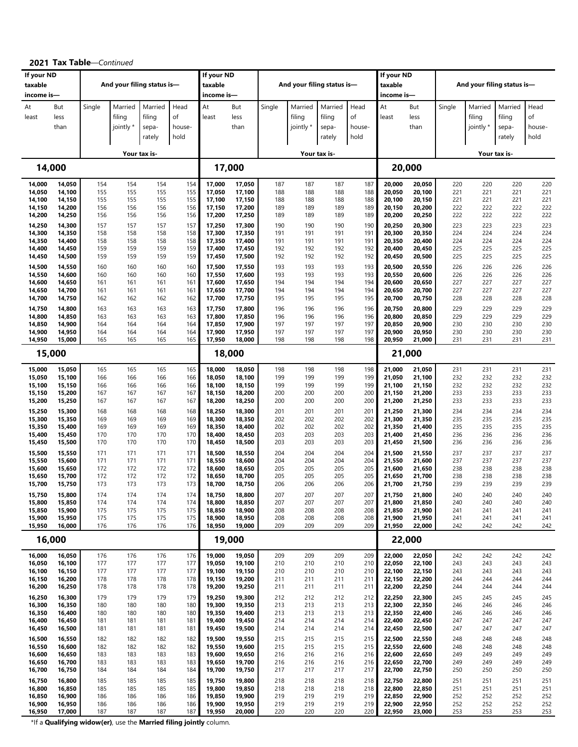| If your ND<br>taxable |                  |            | And your filing status is- |              |            | If your ND<br>taxable |                  |            | And your filing status is- |              |            | If your ND<br>taxable |                  |            |            | And your filing status is- |            |
|-----------------------|------------------|------------|----------------------------|--------------|------------|-----------------------|------------------|------------|----------------------------|--------------|------------|-----------------------|------------------|------------|------------|----------------------------|------------|
| income is-            |                  |            |                            |              |            | income is-            |                  |            |                            |              |            | income is-            |                  |            |            |                            |            |
| At                    | But              | Single     | Married                    | Married      | Head       | At                    | But              | Single     | Married                    | Married      | Head       | At                    | But              | Single     | Married    | Married                    | Head       |
| least                 | less             |            | filing                     | filing       | of         | least                 | less             |            | filing                     | filing       | of         | least                 | less             |            | filing     | filing                     | of         |
|                       | than             |            | jointly *                  | sepa-        | house-     |                       | than             |            | jointly *                  | sepa-        | house-     |                       | than             |            | jointly *  | sepa-                      | house-     |
|                       |                  |            |                            | rately       | hold       |                       |                  |            |                            | rately       | hold       |                       |                  |            |            | rately                     | hold       |
|                       |                  |            |                            |              |            |                       |                  |            |                            |              |            |                       |                  |            |            |                            |            |
|                       |                  |            |                            | Your tax is- |            |                       |                  |            |                            | Your tax is- |            |                       |                  |            |            | Your tax is-               |            |
|                       | 14,000           |            |                            |              |            |                       | 17,000           |            |                            |              |            |                       | 20,000           |            |            |                            |            |
| 14,000                | 14,050           | 154        | 154                        | 154          | 154        | 17,000                | 17,050           | 187        | 187                        | 187          | 187        | 20,000                | 20,050           | 220        | 220        | 220                        | 220        |
| 14,050<br>14,100      | 14,100<br>14,150 | 155<br>155 | 155<br>155                 | 155<br>155   | 155<br>155 | 17,050<br>17,100      | 17,100<br>17,150 | 188<br>188 | 188<br>188                 | 188<br>188   | 188<br>188 | 20,050<br>20,100      | 20,100<br>20,150 | 221<br>221 | 221<br>221 | 221<br>221                 | 221<br>221 |
| 14,150                | 14,200           | 156        | 156                        | 156          | 156        | 17,150                | 17,200           | 189        | 189                        | 189          | 189        | 20,150                | 20,200           | 222        | 222        | 222                        | 222        |
| 14,200                | 14,250           | 156        | 156                        | 156          | 156        | 17,200                | 17,250           | 189        | 189                        | 189          | 189        | 20,200                | 20,250           | 222        | 222        | 222                        | 222        |
| 14,250                | 14,300           | 157        | 157                        | 157          | 157        | 17,250                | 17,300           | 190        | 190                        | 190          | 190        | 20,250                | 20,300           | 223        | 223        | 223                        | 223        |
| 14,300<br>14,350      | 14,350<br>14,400 | 158<br>158 | 158<br>158                 | 158<br>158   | 158<br>158 | 17,300<br>17,350      | 17,350<br>17,400 | 191<br>191 | 191<br>191                 | 191<br>191   | 191<br>191 | 20,300<br>20,350      | 20,350<br>20,400 | 224<br>224 | 224<br>224 | 224<br>224                 | 224<br>224 |
| 14,400                | 14,450           | 159        | 159                        | 159          | 159        | 17,400                | 17,450           | 192        | 192                        | 192          | 192        | 20,400                | 20,450           | 225        | 225        | 225                        | 225        |
| 14,450                | 14,500           | 159        | 159                        | 159          | 159        | 17,450                | 17,500           | 192        | 192                        | 192          | 192        | 20,450                | 20,500           | 225        | 225        | 225                        | 225        |
| 14,500                | 14,550           | 160        | 160                        | 160          | 160        | 17,500                | 17,550           | 193        | 193                        | 193          | 193        | 20,500                | 20,550           | 226        | 226        | 226                        | 226        |
| 14,550<br>14,600      | 14,600<br>14,650 | 160<br>161 | 160<br>161                 | 160<br>161   | 160<br>161 | 17,550<br>17,600      | 17,600<br>17,650 | 193<br>194 | 193<br>194                 | 193<br>194   | 193<br>194 | 20,550<br>20,600      | 20,600<br>20,650 | 226<br>227 | 226<br>227 | 226<br>227                 | 226<br>227 |
| 14,650                | 14,700           | 161        | 161                        | 161          | 161        | 17,650                | 17,700           | 194        | 194                        | 194          | 194        | 20,650                | 20,700           | 227        | 227        | 227                        | 227        |
| 14,700                | 14,750           | 162        | 162                        | 162          | 162        | 17,700                | 17,750           | 195        | 195                        | 195          | 195        | 20,700                | 20,750           | 228        | 228        | 228                        | 228        |
| 14,750                | 14,800           | 163        | 163                        | 163          | 163        | 17,750                | 17,800           | 196        | 196                        | 196          | 196        | 20,750                | 20,800           | 229        | 229        | 229                        | 229        |
| 14,800<br>14,850      | 14,850<br>14,900 | 163<br>164 | 163<br>164                 | 163<br>164   | 163<br>164 | 17,800<br>17,850      | 17,850<br>17,900 | 196<br>197 | 196<br>197                 | 196<br>197   | 196<br>197 | 20,800<br>20,850      | 20,850<br>20,900 | 229<br>230 | 229<br>230 | 229<br>230                 | 229<br>230 |
| 14,900                | 14,950           | 164        | 164                        | 164          | 164        | 17,900                | 17,950           | 197        | 197                        | 197          | 197        | 20,900                | 20,950           | 230        | 230        | 230                        | 230        |
| 14,950                | 15,000           | 165        | 165                        | 165          | 165        | 17,950                | 18,000           | 198        | 198                        | 198          | 198        | 20,950                | 21,000           | 231        | 231        | 231                        | 231        |
|                       | 15,000           |            |                            |              |            |                       | 18,000           |            |                            |              |            |                       | 21,000           |            |            |                            |            |
| 15,000                | 15,050           | 165        | 165                        | 165          | 165        | 18,000                | 18,050           | 198        | 198                        | 198          | 198        | 21,000                | 21,050           | 231        | 231        | 231                        | 231        |
| 15,050<br>15,100      | 15,100<br>15,150 | 166<br>166 | 166<br>166                 | 166<br>166   | 166<br>166 | 18,050<br>18,100      | 18,100<br>18,150 | 199<br>199 | 199<br>199                 | 199<br>199   | 199<br>199 | 21,050<br>21,100      | 21,100<br>21,150 | 232<br>232 | 232<br>232 | 232<br>232                 | 232<br>232 |
| 15,150                | 15,200           | 167        | 167                        | 167          | 167        | 18,150                | 18,200           | 200        | 200                        | 200          | 200        | 21,150                | 21,200           | 233        | 233        | 233                        | 233        |
| 15,200                | 15,250           | 167        | 167                        | 167          | 167        | 18,200                | 18,250           | 200        | 200                        | 200          | 200        | 21,200                | 21,250           | 233        | 233        | 233                        | 233        |
| 15,250                | 15,300           | 168        | 168                        | 168          | 168        | 18,250                | 18,300           | 201        | 201                        | 201          | 201        | 21,250                | 21,300           | 234        | 234        | 234                        | 234        |
| 15,300<br>15,350      | 15,350<br>15,400 | 169<br>169 | 169<br>169                 | 169<br>169   | 169<br>169 | 18,300<br>18,350      | 18,350<br>18,400 | 202<br>202 | 202<br>202                 | 202<br>202   | 202<br>202 | 21,300<br>21,350      | 21,350<br>21,400 | 235<br>235 | 235<br>235 | 235<br>235                 | 235<br>235 |
| 15,400                | 15,450           | 170        | 170                        | 170          | 170        | 18,400                | 18,450           | 203        | 203                        | 203          | 203        | 21,400                | 21,450           | 236        | 236        | 236                        | 236        |
| 15,450                | 15,500           | 170        | 170                        | 170          | 170        | 18,450                | 18,500           | 203        | 203                        | 203          | 203        | 21,450                | 21,500           | 236        | 236        | 236                        | 236        |
| 15,500                | 15,550           | 171        | 171                        | 171          | 171        | 18,500                | 18,550           | 204        | 204                        | 204          | 204        | 21,500                | 21,550           | 237        | 237        | 237                        | 237        |
| 15,550<br>15,600      | 15,600<br>15,650 | 171<br>172 | 171<br>172                 | 171<br>172   | 171<br>172 | 18,550<br>18,600      | 18,600<br>18,650 | 204<br>205 | 204<br>205                 | 204<br>205   | 204<br>205 | 21,550<br>21,600      | 21,600<br>21,650 | 237<br>238 | 237<br>238 | 237<br>238                 | 237<br>238 |
| 15,650                | 15,700           | 172        | 172                        | 172          | 172        | 18,650                | 18,700           | 205        | 205                        | 205          | 205        | 21,650                | 21,700           | 238        | 238        | 238                        | 238        |
| 15,700                | 15,750           | 173        | 173                        | 173          | 173        | 18,700                | 18,750           | 206        | 206                        | 206          | 206        | 21,700                | 21,750           | 239        | 239        | 239                        | 239        |
| 15,750                | 15,800           | 174        | 174<br>174                 | 174          | 174<br>174 | 18,750<br>18,800      | 18,800           | 207<br>207 | 207<br>207                 | 207<br>207   | 207<br>207 | 21,750<br>21,800      | 21,800<br>21,850 | 240        | 240<br>240 | 240<br>240                 | 240<br>240 |
| 15,800<br>15,850      | 15,850<br>15,900 | 174<br>175 | 175                        | 174<br>175   | 175        | 18,850                | 18,850<br>18,900 | 208        | 208                        | 208          | 208        | 21,850                | 21,900           | 240<br>241 | 241        | 241                        | 241        |
| 15,900                | 15,950           | 175        | 175                        | 175          | 175        | 18,900                | 18,950           | 208        | 208                        | 208          | 208        | 21,900                | 21,950           | 241        | 241        | 241                        | 241        |
| 15,950                | 16,000           | 176        | 176                        | 176          | 176        | 18,950                | 19,000           | 209        | 209                        | 209          | 209        | 21,950                | 22,000           | 242        | 242        | 242                        | 242        |
|                       | 16,000           |            |                            |              |            |                       | 19,000           |            |                            |              |            |                       | 22,000           |            |            |                            |            |
| 16,000                | 16,050           | 176        | 176                        | 176          | 176        | 19,000                | 19,050           | 209        | 209                        | 209          | 209        | 22,000                | 22,050           | 242        | 242        | 242                        | 242        |
| 16,050<br>16,100      | 16,100<br>16,150 | 177<br>177 | 177<br>177                 | 177<br>177   | 177<br>177 | 19,050<br>19,100      | 19,100<br>19,150 | 210<br>210 | 210<br>210                 | 210<br>210   | 210<br>210 | 22,050<br>22,100      | 22,100<br>22,150 | 243<br>243 | 243<br>243 | 243<br>243                 | 243<br>243 |
| 16,150                | 16,200           | 178        | 178                        | 178          | 178        | 19,150                | 19,200           | 211        | 211                        | 211          | 211        | 22,150                | 22,200           | 244        | 244        | 244                        | 244        |
| 16,200                | 16,250           | 178        | 178                        | 178          | 178        | 19,200                | 19,250           | 211        | 211                        | 211          | 211        | 22,200                | 22,250           | 244        | 244        | 244                        | 244        |
| 16,250                | 16,300           | 179        | 179                        | 179          | 179        | 19,250                | 19,300           | 212        | 212                        | 212          | 212        | 22,250                | 22,300           | 245        | 245        | 245                        | 245        |
| 16,300<br>16,350      | 16,350<br>16,400 | 180<br>180 | 180<br>180                 | 180<br>180   | 180<br>180 | 19,300<br>19,350      | 19,350<br>19,400 | 213<br>213 | 213<br>213                 | 213<br>213   | 213<br>213 | 22,300<br>22,350      | 22,350<br>22,400 | 246<br>246 | 246<br>246 | 246<br>246                 | 246<br>246 |
| 16,400                | 16,450           | 181        | 181                        | 181          | 181        | 19,400                | 19,450           | 214        | 214                        | 214          | 214        | 22,400                | 22,450           | 247        | 247        | 247                        | 247        |
| 16,450                | 16,500           | 181        | 181                        | 181          | 181        | 19,450                | 19,500           | 214        | 214                        | 214          | 214        | 22,450                | 22,500           | 247        | 247        | 247                        | 247        |
| 16,500                | 16,550           | 182        | 182                        | 182          | 182        | 19,500                | 19,550           | 215        | 215                        | 215          | 215        | 22,500                | 22,550           | 248        | 248        | 248                        | 248        |
| 16,550<br>16,600      | 16,600<br>16,650 | 182<br>183 | 182<br>183                 | 182<br>183   | 182<br>183 | 19,550<br>19,600      | 19,600<br>19,650 | 215<br>216 | 215<br>216                 | 215<br>216   | 215<br>216 | 22,550<br>22,600      | 22,600<br>22,650 | 248<br>249 | 248<br>249 | 248<br>249                 | 248<br>249 |
| 16,650                | 16,700           | 183        | 183                        | 183          | 183        | 19,650                | 19,700           | 216        | 216                        | 216          | 216        | 22,650                | 22,700           | 249        | 249        | 249                        | 249        |
| 16,700                | 16,750           | 184        | 184                        | 184          | 184        | 19,700                | 19,750           | 217        | 217                        | 217          | 217        | 22,700                | 22,750           | 250        | 250        | 250                        | 250        |
| 16,750                | 16,800           | 185        | 185                        | 185          | 185        | 19,750                | 19,800           | 218        | 218                        | 218          | 218        | 22,750                | 22,800           | 251        | 251        | 251                        | 251        |
| 16,800<br>16,850      | 16,850<br>16,900 | 185<br>186 | 185<br>186                 | 185<br>186   | 185<br>186 | 19,800<br>19,850      | 19,850<br>19,900 | 218<br>219 | 218<br>219                 | 218<br>219   | 218<br>219 | 22,800<br>22,850      | 22,850<br>22,900 | 251<br>252 | 251<br>252 | 251<br>252                 | 251<br>252 |
| 16,900                | 16,950           | 186        | 186                        | 186          | 186        | 19,900                | 19,950           | 219        | 219                        | 219          | 219        | 22,900                | 22,950           | 252        | 252        | 252                        | 252        |
| 16,950                | 17,000           | 187        | 187                        | 187          | 187        | 19,950                | 20,000           | 220        | 220                        | 220          | 220        | 22,950                | 23,000           | 253        | 253        | 253                        | 253        |

**2021 Tax Table**—*Continued*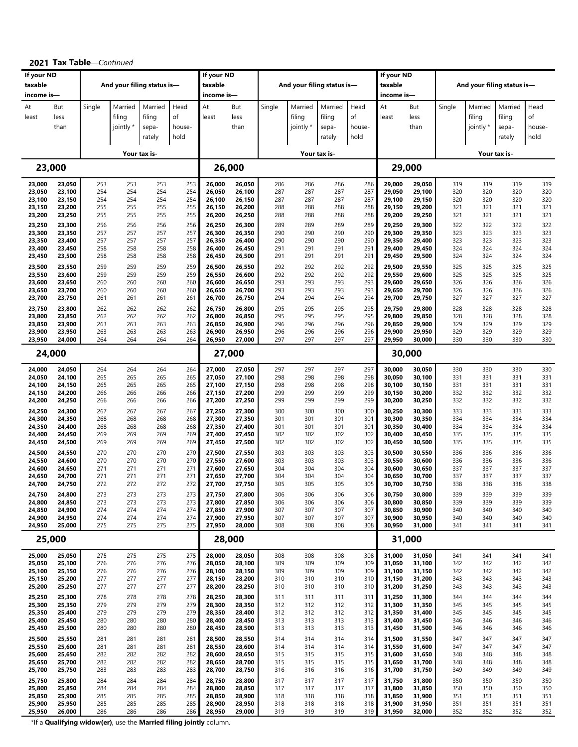|                       |                  |            |                            |              |            | If your ND       |                  |            |                            |              |            |                       |                  |            |            |                            |            |
|-----------------------|------------------|------------|----------------------------|--------------|------------|------------------|------------------|------------|----------------------------|--------------|------------|-----------------------|------------------|------------|------------|----------------------------|------------|
| If your ND<br>taxable |                  |            | And your filing status is- |              |            | taxable          |                  |            | And your filing status is- |              |            | If your ND<br>taxable |                  |            |            | And your filing status is- |            |
| income is-            |                  |            |                            |              |            | income is-       |                  |            |                            |              |            | income is-            |                  |            |            |                            |            |
|                       |                  |            |                            |              |            |                  |                  |            |                            |              |            |                       |                  |            |            |                            |            |
| At                    | But              | Single     | Married                    | Married      | Head       | At               | But              | Single     | Married                    | Married      | Head       | At                    | But              | Single     | Married    | Married                    | Head       |
| least                 | less             |            | filing                     | filing       | of         | least            | less             |            | filing                     | filing       | of         | least                 | less             |            | filing     | filing                     | οf         |
|                       | than             |            | jointly *                  | sepa-        | house-     |                  | than             |            | jointly *                  | sepa-        | house-     |                       | than             |            | jointly *  | sepa-                      | house-     |
|                       |                  |            |                            | rately       | hold       |                  |                  |            |                            | rately       | hold       |                       |                  |            |            | rately                     | hold       |
|                       |                  |            |                            | Your tax is- |            |                  |                  |            |                            | Your tax is- |            |                       |                  |            |            | Your tax is-               |            |
|                       | 23,000           |            |                            |              |            | 26,000           |                  |            |                            |              |            |                       | 29,000           |            |            |                            |            |
|                       |                  |            |                            | 253          | 253        | 26,000           |                  |            | 286                        | 286          |            |                       | 29,050           |            | 319        | 319                        | 319        |
| 23,000<br>23,050      | 23,050<br>23,100 | 253<br>254 | 253<br>254                 | 254          | 254        | 26,050           | 26,050<br>26,100 | 286<br>287 | 287                        | 287          | 286<br>287 | 29,000<br>29,050      | 29,100           | 319<br>320 | 320        | 320                        | 320        |
| 23,100                | 23,150           | 254        | 254                        | 254          | 254        | 26,100           | 26,150           | 287        | 287                        | 287          | 287        | 29,100                | 29,150           | 320        | 320        | 320                        | 320        |
| 23,150                | 23,200           | 255        | 255                        | 255          | 255        | 26,150           | 26,200           | 288        | 288                        | 288          | 288        | 29,150                | 29,200           | 321        | 321        | 321                        | 321        |
| 23,200                | 23,250           | 255        | 255                        | 255          | 255        | 26,200           | 26,250           | 288        | 288                        | 288          | 288        | 29,200                | 29,250           | 321        | 321        | 321<br>322                 | 321        |
| 23,250<br>23,300      | 23,300<br>23,350 | 256<br>257 | 256<br>257                 | 256<br>257   | 256<br>257 | 26,250<br>26,300 | 26,300<br>26,350 | 289<br>290 | 289<br>290                 | 289<br>290   | 289<br>290 | 29,250<br>29,300      | 29,300<br>29,350 | 322<br>323 | 322<br>323 | 323                        | 322<br>323 |
| 23,350                | 23,400           | 257        | 257                        | 257          | 257        | 26,350           | 26,400           | 290        | 290                        | 290          | 290        | 29,350                | 29,400           | 323        | 323        | 323                        | 323        |
| 23,400                | 23,450           | 258        | 258                        | 258          | 258        | 26,400           | 26,450           | 291        | 291                        | 291          | 291        | 29,400                | 29,450           | 324        | 324        | 324                        | 324        |
| 23,450                | 23,500           | 258        | 258                        | 258          | 258        | 26,450           | 26,500           | 291        | 291                        | 291          | 291        | 29,450                | 29,500           | 324        | 324        | 324                        | 324        |
| 23,500                | 23,550           | 259<br>259 | 259<br>259                 | 259<br>259   | 259<br>259 | 26,500<br>26,550 | 26,550<br>26,600 | 292<br>292 | 292<br>292                 | 292<br>292   | 292<br>292 | 29,500<br>29,550      | 29,550<br>29,600 | 325<br>325 | 325<br>325 | 325<br>325                 | 325<br>325 |
| 23,550<br>23,600      | 23,600<br>23,650 | 260        | 260                        | 260          | 260        | 26,600           | 26,650           | 293        | 293                        | 293          | 293        | 29,600                | 29,650           | 326        | 326        | 326                        | 326        |
| 23,650                | 23,700           | 260        | 260                        | 260          | 260        | 26,650           | 26,700           | 293        | 293                        | 293          | 293        | 29,650                | 29,700           | 326        | 326        | 326                        | 326        |
| 23,700                | 23,750           | 261        | 261                        | 261          | 261        | 26,700           | 26,750           | 294        | 294                        | 294          | 294        | 29,700                | 29,750           | 327        | 327        | 327                        | 327        |
| 23,750                | 23,800           | 262        | 262                        | 262          | 262        | 26,750           | 26,800           | 295        | 295                        | 295          | 295        | 29,750                | 29,800           | 328        | 328        | 328                        | 328        |
| 23,800<br>23,850      | 23,850<br>23,900 | 262<br>263 | 262<br>263                 | 262<br>263   | 262<br>263 | 26,800<br>26,850 | 26,850<br>26,900 | 295<br>296 | 295<br>296                 | 295<br>296   | 295<br>296 | 29,800<br>29,850      | 29,850<br>29,900 | 328<br>329 | 328<br>329 | 328<br>329                 | 328<br>329 |
| 23,900                | 23,950           | 263        | 263                        | 263          | 263        | 26,900           | 26,950           | 296        | 296                        | 296          | 296        | 29,900                | 29,950           | 329        | 329        | 329                        | 329        |
| 23,950                | 24,000           | 264        | 264                        | 264          | 264        | 26,950           | 27,000           | 297        | 297                        | 297          | 297        | 29,950                | 30,000           | 330        | 330        | 330                        | 330        |
|                       | 24,000           |            |                            |              |            | 27,000           |                  |            |                            |              |            |                       | 30,000           |            |            |                            |            |
| 24,000                | 24,050           | 264        | 264                        | 264          | 264        | 27,000           | 27,050           | 297        | 297                        | 297          | 297        | 30,000                | 30,050           | 330        | 330        | 330                        | 330        |
| 24,050                | 24,100           | 265        | 265                        | 265          | 265        | 27,050           | 27,100           | 298        | 298                        | 298          | 298        | 30,050                | 30,100           | 331        | 331        | 331                        | 331        |
| 24,100                | 24,150           | 265        | 265                        | 265          | 265        | 27,100           | 27,150           | 298        | 298                        | 298          | 298        | 30,100                | 30,150           | 331        | 331        | 331                        | 331        |
| 24,150<br>24,200      | 24,200<br>24,250 | 266<br>266 | 266<br>266                 | 266<br>266   | 266<br>266 | 27,150<br>27,200 | 27,200<br>27,250 | 299<br>299 | 299<br>299                 | 299<br>299   | 299<br>299 | 30,150<br>30,200      | 30,200<br>30,250 | 332<br>332 | 332<br>332 | 332<br>332                 | 332<br>332 |
| 24,250                |                  | 267        | 267                        | 267          | 267        | 27,250           | 27,300           | 300        | 300                        | 300          | 300        | 30,250                | 30,300           | 333        | 333        | 333                        | 333        |
| 24,300                | 24,300<br>24,350 | 268        | 268                        | 268          | 268        | 27,300           | 27,350           | 301        | 301                        | 301          | 301        | 30,300                | 30,350           | 334        | 334        | 334                        | 334        |
| 24,350                | 24,400           | 268        | 268                        | 268          | 268        | 27,350           | 27,400           | 301        | 301                        | 301          | 301        | 30,350                | 30,400           | 334        | 334        | 334                        | 334        |
| 24,400                | 24,450           | 269<br>269 | 269<br>269                 | 269          | 269<br>269 | 27,400           | 27,450           | 302<br>302 | 302<br>302                 | 302<br>302   | 302        | 30,400                | 30,450           | 335<br>335 | 335<br>335 | 335<br>335                 | 335<br>335 |
| 24,450                | 24,500           |            |                            | 269          |            | 27,450           | 27,500           |            |                            |              | 302        | 30,450                | 30,500           |            |            |                            |            |
| 24,500<br>24,550      | 24,550<br>24,600 | 270<br>270 | 270<br>270                 | 270<br>270   | 270<br>270 | 27,500<br>27,550 | 27,550<br>27,600 | 303<br>303 | 303<br>303                 | 303<br>303   | 303<br>303 | 30,500<br>30,550      | 30,550<br>30,600 | 336<br>336 | 336<br>336 | 336<br>336                 | 336<br>336 |
| 24,600                | 24,650           | 271        | 271                        | 271          | 271        | 27,600           | 27,650           | 304        | 304                        | 304          | 304        | 30,600                | 30,650           | 337        | 337        | 337                        | 337        |
| 24,650                | 24,700           | 271        | 271                        | 271          | 271        | 27,650           | 27,700           | 304        | 304                        | 304          | 304        | 30,650                | 30,700           | 337        | 337        | 337                        | 337        |
| 24,700                | 24,750           | 272        | 272                        | 272          | 272        | 27,700           | 27,750           | 305        | 305                        | 305          | 305        | 30,700                | 30,750           | 338        | 338        | 338                        | 338        |
| 24,750<br>24,800      | 24,800<br>24,850 | 273<br>273 | 273<br>273                 | 273<br>273   | 273<br>273 | 27,750<br>27,800 | 27,800<br>27,850 | 306<br>306 | 306<br>306                 | 306<br>306   | 306<br>306 | 30,750<br>30,800      | 30,800<br>30,850 | 339<br>339 | 339<br>339 | 339<br>339                 | 339<br>339 |
| 24,850                | 24,900           | 274        | 274                        | 274          | 274        | 27,850           | 27,900           | 307        | 307                        | 307          | 307        | 30,850                | 30,900           | 340        | 340        | 340                        | 340        |
| 24,900                | 24,950           | 274        | 274                        | 274          | 274        | 27,900           | 27,950           | 307        | 307                        | 307          | 307        | 30,900                | 30,950           | 340        | 340        | 340                        | 340        |
| 24,950                | 25,000           | 275        | 275                        | 275          | 275        | 27,950           | 28,000           | 308        | 308                        | 308          | 308        | 30,950                | 31,000           | 341        | 341        | 341                        | 341        |
|                       | 25,000           |            |                            |              |            | 28,000           |                  |            |                            |              |            |                       | 31,000           |            |            |                            |            |
| 25,000                | 25,050           | 275        | 275                        | 275          | 275        | 28,000           | 28,050           | 308        | 308                        | 308          | 308        | 31,000                | 31,050           | 341        | 341        | 341                        | 341        |
| 25,050<br>25,100      | 25,100<br>25,150 | 276<br>276 | 276<br>276                 | 276<br>276   | 276<br>276 | 28,050<br>28,100 | 28,100<br>28,150 | 309<br>309 | 309<br>309                 | 309<br>309   | 309<br>309 | 31,050<br>31,100      | 31,100<br>31,150 | 342<br>342 | 342<br>342 | 342<br>342                 | 342<br>342 |
| 25,150                | 25,200           | 277        | 277                        | 277          | 277        | 28,150           | 28,200           | 310        | 310                        | 310          | 310        | 31,150                | 31,200           | 343        | 343        | 343                        | 343        |
| 25,200                | 25,250           | 277        | 277                        | 277          | 277        | 28,200           | 28,250           | 310        | 310                        | 310          | 310        | 31,200                | 31,250           | 343        | 343        | 343                        | 343        |
| 25,250                | 25,300           | 278        | 278                        | 278          | 278        | 28,250           | 28,300           | 311        | 311                        | 311          | 311        | 31,250                | 31,300           | 344        | 344        | 344                        | 344        |
| 25,300<br>25,350      | 25,350<br>25,400 | 279<br>279 | 279<br>279                 | 279<br>279   | 279<br>279 | 28,300<br>28,350 | 28,350<br>28,400 | 312<br>312 | 312<br>312                 | 312<br>312   | 312<br>312 | 31,300<br>31,350      | 31,350<br>31,400 | 345<br>345 | 345<br>345 | 345<br>345                 | 345<br>345 |
| 25,400                | 25,450           | 280        | 280                        | 280          | 280        | 28,400           | 28,450           | 313        | 313                        | 313          | 313        | 31,400                | 31,450           | 346        | 346        | 346                        | 346        |
| 25,450                | 25,500           | 280        | 280                        | 280          | 280        | 28,450           | 28,500           | 313        | 313                        | 313          | 313        | 31,450                | 31,500           | 346        | 346        | 346                        | 346        |
| 25,500                | 25,550           | 281        | 281                        | 281          | 281        | 28,500           | 28,550           | 314        | 314                        | 314          | 314        | 31,500                | 31,550           | 347        | 347        | 347                        | 347        |
| 25,550                | 25,600           | 281        | 281                        | 281          | 281        | 28,550           | 28,600           | 314        | 314                        | 314          | 314        | 31,550                | 31,600           | 347        | 347        | 347                        | 347        |
| 25,600<br>25,650      | 25,650<br>25,700 | 282<br>282 | 282<br>282                 | 282<br>282   | 282<br>282 | 28,600<br>28,650 | 28,650<br>28,700 | 315<br>315 | 315<br>315                 | 315<br>315   | 315<br>315 | 31,600<br>31,650      | 31,650<br>31,700 | 348<br>348 | 348<br>348 | 348<br>348                 | 348<br>348 |
| 25,700                | 25,750           | 283        | 283                        | 283          | 283        | 28,700           | 28,750           | 316        | 316                        | 316          | 316        | 31,700                | 31,750           | 349        | 349        | 349                        | 349        |
| 25,750                | 25,800           | 284        | 284                        | 284          | 284        | 28,750           | 28,800           | 317        | 317                        | 317          | 317        | 31,750                | 31,800           | 350        | 350        | 350                        | 350        |
| 25,800                | 25,850           | 284        | 284                        | 284          | 284        | 28,800           | 28,850           | 317        | 317                        | 317          | 317        | 31,800                | 31,850           | 350        | 350        | 350                        | 350        |
| 25,850<br>25,900      | 25,900<br>25,950 | 285<br>285 | 285<br>285                 | 285<br>285   | 285<br>285 | 28,850<br>28,900 | 28,900<br>28,950 | 318<br>318 | 318<br>318                 | 318<br>318   | 318<br>318 | 31,850<br>31,900      | 31,900           | 351<br>351 | 351<br>351 | 351<br>351                 | 351<br>351 |
| 25,950                | 26,000           | 286        | 286                        | 286          | 286        | 28,950           | 29,000           | 319        | 319                        | 319          | 319        | 31,950                | 31,950<br>32,000 | 352        | 352        | 352                        | 352        |
|                       |                  |            |                            |              |            |                  |                  |            |                            |              |            |                       |                  |            |            |                            |            |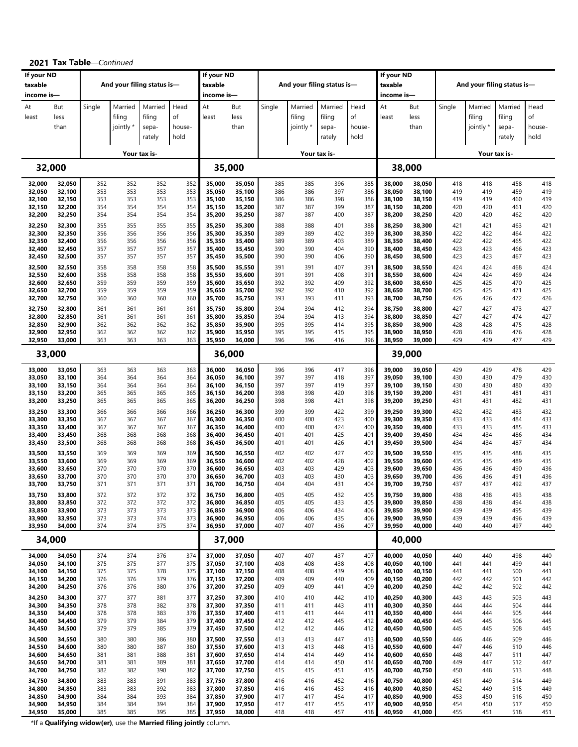| If your ND<br>taxable |                     |            | And your filing status is-     |                                      |                              | If your ND<br>taxable |                     |            |                                | And your filing status is-           |                              | If your ND<br>taxable |                     |            |                                | And your filing status is-           |                              |
|-----------------------|---------------------|------------|--------------------------------|--------------------------------------|------------------------------|-----------------------|---------------------|------------|--------------------------------|--------------------------------------|------------------------------|-----------------------|---------------------|------------|--------------------------------|--------------------------------------|------------------------------|
| income is-            |                     |            |                                |                                      |                              | income is-            |                     |            |                                |                                      |                              | income is-            |                     |            |                                |                                      |                              |
| At<br>least           | But<br>less<br>than | Single     | Married<br>filing<br>jointly * | Married<br>filing<br>sepa-<br>rately | Head<br>of<br>house-<br>hold | At<br>least           | But<br>less<br>than | Single     | Married<br>filing<br>jointly * | Married<br>filing<br>sepa-<br>rately | Head<br>of<br>house-<br>hold | At<br>least           | But<br>less<br>than | Single     | Married<br>filing<br>jointly * | Married<br>filing<br>sepa-<br>rately | Head<br>οf<br>house-<br>hold |
|                       |                     |            |                                |                                      |                              |                       |                     |            |                                |                                      |                              |                       |                     |            |                                |                                      |                              |
|                       |                     |            |                                | Your tax is-                         |                              |                       |                     |            |                                | Your tax is-                         |                              |                       |                     |            |                                | Your tax is-                         |                              |
|                       | 32,000              |            |                                |                                      |                              |                       | 35,000              |            |                                |                                      |                              |                       | 38,000              |            |                                |                                      |                              |
| 32,000<br>32,050      | 32,050<br>32,100    | 352<br>353 | 352<br>353                     | 352<br>353                           | 352<br>353                   | 35,000<br>35,050      | 35,050<br>35,100    | 385<br>386 | 385<br>386                     | 396<br>397                           | 385<br>386                   | 38,000<br>38,050      | 38,050<br>38,100    | 418<br>419 | 418<br>419                     | 458<br>459                           | 418<br>419                   |
| 32,100                | 32,150              | 353<br>354 | 353<br>354                     | 353<br>354                           | 353<br>354                   | 35,100                | 35,150              | 386        | 386<br>387                     | 398                                  | 386                          | 38,100                | 38,150              | 419<br>420 | 419<br>420                     | 460<br>461                           | 419<br>420                   |
| 32,150<br>32,200      | 32,200<br>32,250    | 354        | 354                            | 354                                  | 354                          | 35,150<br>35,200      | 35,200<br>35,250    | 387<br>387 | 387                            | 399<br>400                           | 387<br>387                   | 38,150<br>38,200      | 38,200<br>38,250    | 420        | 420                            | 462                                  | 420                          |
| 32,250<br>32,300      | 32,300<br>32,350    | 355<br>356 | 355<br>356                     | 355<br>356                           | 355<br>356                   | 35,250<br>35,300      | 35,300<br>35,350    | 388<br>389 | 388<br>389                     | 401<br>402                           | 388<br>389                   | 38,250<br>38,300      | 38,300<br>38,350    | 421<br>422 | 421<br>422                     | 463<br>464                           | 421<br>422                   |
| 32,350                | 32,400              | 356        | 356                            | 356                                  | 356                          | 35,350                | 35,400              | 389        | 389                            | 403                                  | 389                          | 38,350                | 38,400              | 422        | 422                            | 465                                  | 422                          |
| 32,400<br>32,450      | 32,450<br>32,500    | 357<br>357 | 357<br>357                     | 357<br>357                           | 357<br>357                   | 35,400<br>35,450      | 35,450<br>35,500    | 390<br>390 | 390<br>390                     | 404<br>406                           | 390<br>390                   | 38,400<br>38,450      | 38,450<br>38,500    | 423<br>423 | 423<br>423                     | 466<br>467                           | 423<br>423                   |
| 32,500                | 32,550              | 358        | 358                            | 358                                  | 358                          | 35,500                | 35,550              | 391        | 391                            | 407                                  | 391                          | 38,500                | 38,550              | 424        | 424                            | 468                                  | 424                          |
| 32,550<br>32,600      | 32,600<br>32,650    | 358<br>359 | 358<br>359                     | 358<br>359                           | 358<br>359                   | 35,550<br>35,600      | 35,600<br>35,650    | 391<br>392 | 391<br>392                     | 408<br>409                           | 391<br>392                   | 38,550<br>38,600      | 38,600<br>38,650    | 424<br>425 | 424<br>425                     | 469<br>470                           | 424<br>425                   |
| 32,650                | 32,700              | 359        | 359                            | 359                                  | 359                          | 35,650                | 35,700              | 392        | 392                            | 410                                  | 392                          | 38,650                | 38,700              | 425        | 425                            | 471                                  | 425                          |
| 32,700<br>32,750      | 32,750<br>32,800    | 360<br>361 | 360<br>361                     | 360<br>361                           | 360<br>361                   | 35,700<br>35,750      | 35,750<br>35,800    | 393<br>394 | 393<br>394                     | 411<br>412                           | 393<br>394                   | 38,700<br>38,750      | 38,750<br>38,800    | 426<br>427 | 426<br>427                     | 472<br>473                           | 426<br>427                   |
| 32,800                | 32,850              | 361        | 361                            | 361                                  | 361                          | 35,800                | 35,850              | 394        | 394                            | 413                                  | 394                          | 38,800                | 38,850              | 427        | 427                            | 474                                  | 427                          |
| 32,850<br>32,900      | 32,900<br>32,950    | 362<br>362 | 362<br>362                     | 362<br>362                           | 362<br>362                   | 35,850<br>35,900      | 35,900<br>35,950    | 395<br>395 | 395<br>395                     | 414<br>415                           | 395<br>395                   | 38,850<br>38,900      | 38,900<br>38,950    | 428<br>428 | 428<br>428                     | 475<br>476                           | 428<br>428                   |
| 32,950                | 33,000              | 363        | 363                            | 363                                  | 363                          | 35,950                | 36,000              | 396        | 396                            | 416                                  | 396                          | 38,950                | 39,000              | 429        | 429                            | 477                                  | 429                          |
|                       | 33,000              |            |                                |                                      |                              |                       | 36,000              |            |                                |                                      |                              |                       | 39,000              |            |                                |                                      |                              |
| 33,000                | 33,050              | 363        | 363                            | 363                                  | 363                          | 36,000                | 36,050              | 396        | 396                            | 417                                  | 396                          | 39,000                | 39,050              | 429        | 429                            | 478                                  | 429                          |
| 33,050<br>33,100      | 33,100<br>33,150    | 364<br>364 | 364<br>364                     | 364<br>364                           | 364<br>364                   | 36,050<br>36,100      | 36,100<br>36,150    | 397<br>397 | 397<br>397                     | 418<br>419                           | 397<br>397                   | 39,050<br>39,100      | 39,100<br>39,150    | 430<br>430 | 430<br>430                     | 479<br>480                           | 430<br>430                   |
| 33,150<br>33,200      | 33,200<br>33,250    | 365<br>365 | 365<br>365                     | 365<br>365                           | 365<br>365                   | 36,150<br>36,200      | 36,200<br>36,250    | 398<br>398 | 398<br>398                     | 420<br>421                           | 398<br>398                   | 39,150<br>39,200      | 39,200<br>39,250    | 431<br>431 | 431<br>431                     | 481<br>482                           | 431<br>431                   |
| 33,250                | 33,300              | 366        | 366                            | 366                                  | 366                          | 36,250                | 36,300              | 399        | 399                            | 422                                  | 399                          | 39,250                | 39,300              | 432        | 432                            | 483                                  | 432                          |
| 33,300<br>33,350      | 33,350<br>33,400    | 367<br>367 | 367<br>367                     | 367<br>367                           | 367<br>367                   | 36,300<br>36,350      | 36,350<br>36,400    | 400<br>400 | 400<br>400                     | 423<br>424                           | 400<br>400                   | 39,300<br>39,350      | 39,350<br>39,400    | 433<br>433 | 433<br>433                     | 484<br>485                           | 433<br>433                   |
| 33,400                | 33,450              | 368        | 368                            | 368                                  | 368                          | 36,400                | 36,450              | 401        | 401                            | 425                                  | 401                          | 39,400                | 39,450              | 434        | 434                            | 486                                  | 434                          |
| 33,450                | 33,500              | 368        | 368                            | 368                                  | 368                          | 36,450                | 36,500              | 401        | 401                            | 426                                  | 401                          | 39,450                | 39,500              | 434        | 434                            | 487                                  | 434                          |
| 33,500<br>33,550      | 33,550<br>33,600    | 369<br>369 | 369<br>369                     | 369<br>369                           | 369<br>369                   | 36,500<br>36,550      | 36,550<br>36,600    | 402<br>402 | 402<br>402                     | 427<br>428                           | 402<br>402                   | 39,500<br>39,550      | 39,550<br>39,600    | 435<br>435 | 435<br>435                     | 488<br>489                           | 435<br>435                   |
| 33,600<br>33,650      | 33,650<br>33,700    | 370<br>370 | 370<br>370                     | 370<br>370                           | 370<br>370                   | 36,600<br>36,650      | 36,650<br>36,700    | 403<br>403 | 403<br>403                     | 429<br>430                           | 403<br>403                   | 39,600<br>39,650      | 39,650<br>39,700    | 436<br>436 | 436<br>436                     | 490<br>491                           | 436<br>436                   |
| 33,700                | 33,750              | 371        | 371                            | 371                                  | 371                          | 36,700                | 36,750              | 404        | 404                            | 431                                  | 404                          | 39,700                | 39,750              | 437        | 437                            | 492                                  | 437                          |
| 33,750<br>33,800      | 33,800<br>33,850    | 372<br>372 | 372<br>372                     | 372<br>372                           | 372<br>372                   | 36,750<br>36,800      | 36,800<br>36,850    | 405<br>405 | 405<br>405                     | 432<br>433                           | 405<br>405                   | 39,750<br>39,800      | 39,800<br>39,850    | 438<br>438 | 438<br>438                     | 493<br>494                           | 438<br>438                   |
| 33,850                | 33,900              | 373        | 373                            | 373                                  | 373                          | 36,850                | 36,900              | 406        | 406                            | 434                                  | 406                          | 39,850                | 39,900              | 439        | 439                            | 495                                  | 439                          |
| 33,900<br>33,950      | 33,950<br>34,000    | 373<br>374 | 373<br>374                     | 374<br>375                           | 373<br>374                   | 36,900<br>36,950      | 36,950<br>37,000    | 406<br>407 | 406<br>407                     | 435<br>436                           | 406<br>407                   | 39,900<br>39,950      | 39,950<br>40,000    | 439<br>440 | 439<br>440                     | 496<br>497                           | 439<br>440                   |
|                       | 34,000              |            |                                |                                      |                              |                       | 37,000              |            |                                |                                      |                              |                       | 40,000              |            |                                |                                      |                              |
| 34,000                | 34,050              | 374        | 374                            | 376                                  | 374                          | 37,000                | 37,050              | 407        | 407                            | 437                                  | 407                          | 40,000                | 40,050              | 440        | 440                            | 498                                  | 440                          |
| 34,050<br>34,100      | 34,100<br>34,150    | 375<br>375 | 375<br>375                     | 377<br>378                           | 375<br>375                   | 37,050<br>37,100      | 37,100<br>37,150    | 408<br>408 | 408<br>408                     | 438<br>439                           | 408<br>408                   | 40,050<br>40,100      | 40,100<br>40,150    | 441<br>441 | 441<br>441                     | 499<br>500                           | 441<br>441                   |
| 34,150                | 34,200              | 376        | 376                            | 379                                  | 376                          | 37,150                | 37,200              | 409        | 409                            | 440                                  | 409                          | 40,150                | 40,200              | 442        | 442                            | 501                                  | 442                          |
| 34,200<br>34,250      | 34,250<br>34,300    | 376<br>377 | 376<br>377                     | 380<br>381                           | 376<br>377                   | 37,200<br>37,250      | 37,250<br>37,300    | 409<br>410 | 409<br>410                     | 441<br>442                           | 409<br>410                   | 40,200<br>40,250      | 40,250<br>40,300    | 442<br>443 | 442<br>443                     | 502<br>503                           | 442<br>443                   |
| 34,300                | 34,350              | 378        | 378                            | 382                                  | 378                          | 37,300                | 37,350              | 411        | 411                            | 443                                  | 411                          | 40,300                | 40,350              | 444        | 444                            | 504                                  | 444                          |
| 34,350<br>34,400      | 34,400<br>34,450    | 378<br>379 | 378<br>379                     | 383<br>384                           | 378<br>379                   | 37,350<br>37,400      | 37,400<br>37,450    | 411<br>412 | 411<br>412                     | 444<br>445                           | 411<br>412                   | 40,350<br>40,400      | 40,400<br>40,450    | 444<br>445 | 444<br>445                     | 505<br>506                           | 444<br>445                   |
| 34,450                | 34,500              | 379        | 379                            | 385                                  | 379                          | 37,450                | 37,500              | 412        | 412                            | 446                                  | 412                          | 40,450                | 40,500              | 445        | 445                            | 508                                  | 445                          |
| 34,500<br>34,550      | 34,550<br>34,600    | 380<br>380 | 380<br>380                     | 386<br>387                           | 380<br>380                   | 37,500<br>37,550      | 37,550<br>37,600    | 413<br>413 | 413<br>413                     | 447<br>448                           | 413<br>413                   | 40,500<br>40,550      | 40,550<br>40,600    | 446<br>447 | 446<br>446                     | 509<br>510                           | 446<br>446                   |
| 34,600                | 34,650              | 381        | 381                            | 388                                  | 381                          | 37,600                | 37,650              | 414        | 414                            | 449                                  | 414                          | 40,600                | 40,650              | 448        | 447                            | 511                                  | 447                          |
| 34,650<br>34,700      | 34,700<br>34,750    | 381<br>382 | 381<br>382                     | 389<br>390                           | 381<br>382                   | 37,650<br>37,700      | 37,700<br>37,750    | 414<br>415 | 414<br>415                     | 450<br>451                           | 414<br>415                   | 40,650<br>40,700      | 40,700<br>40,750    | 449<br>450 | 447<br>448                     | 512<br>513                           | 447<br>448                   |
| 34,750                | 34,800              | 383        | 383                            | 391                                  | 383                          | 37,750                | 37,800              | 416        | 416                            | 452                                  | 416                          | 40,750                | 40,800              | 451        | 449                            | 514                                  | 449                          |
| 34,800<br>34,850      | 34,850<br>34,900    | 383<br>384 | 383<br>384                     | 392<br>393                           | 383<br>384                   | 37,800<br>37,850      | 37,850<br>37,900    | 416<br>417 | 416<br>417                     | 453<br>454                           | 416<br>417                   | 40,800<br>40,850      | 40,850<br>40,900    | 452<br>453 | 449<br>450                     | 515<br>516                           | 449<br>450                   |
| 34,900                | 34,950              | 384        | 384                            | 394                                  | 384                          | 37,900                | 37,950              | 417        | 417                            | 455                                  | 417                          | 40,900                | 40,950              | 454        | 450                            | 517                                  | 450                          |
| 34,950                | 35,000              | 385        | 385                            | 395                                  | 385                          | 37,950                | 38,000              | 418        | 418                            | 457                                  | 418                          | 40,950                | 41,000              | 455        | 451                            | 518                                  | 451                          |

**2021 Tax Table**—*Continued*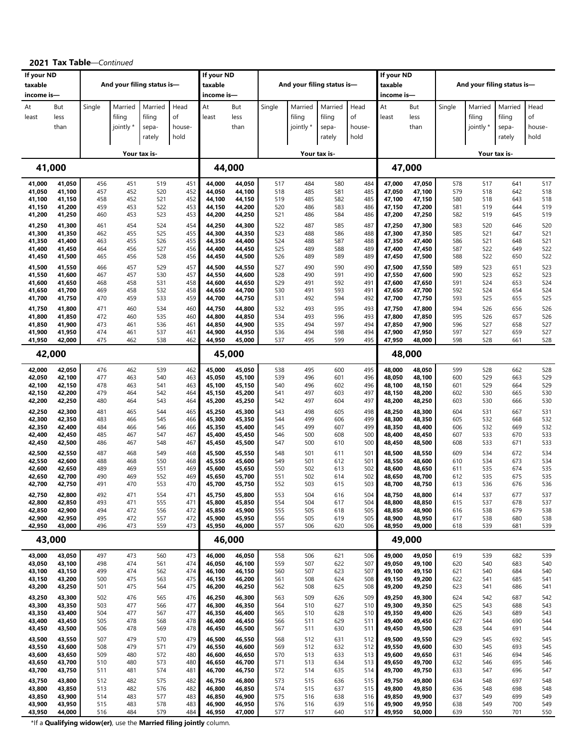| If your ND            |                  |            |                            |                 |            | If your ND            |                  |            |                     |                            |              | If your ND            |                  |            |                     |                            |            |
|-----------------------|------------------|------------|----------------------------|-----------------|------------|-----------------------|------------------|------------|---------------------|----------------------------|--------------|-----------------------|------------------|------------|---------------------|----------------------------|------------|
| taxable<br>income is- |                  |            | And your filing status is- |                 |            | taxable<br>income is- |                  |            |                     | And your filing status is- |              | taxable<br>income is- |                  |            |                     | And your filing status is- |            |
| At                    | But              | Single     | Married                    | Married         | Head<br>of | At                    | But              | Single     | Married             | Married                    | Head         | At                    | But              | Single     | Married             | Married                    | Head<br>of |
| least                 | less<br>than     |            | filing<br>jointly *        | filing<br>sepa- | house-     | least                 | less<br>than     |            | filing<br>jointly * | filing<br>sepa-            | of<br>house- | least                 | less<br>than     |            | filing<br>jointly * | filing<br>sepa-            | house-     |
|                       |                  |            |                            | rately          | hold       |                       |                  |            |                     | rately                     | hold         |                       |                  |            |                     | rately                     | hold       |
|                       |                  |            |                            | Your tax is-    |            |                       |                  |            |                     | Your tax is-               |              |                       |                  |            |                     | Your tax is-               |            |
|                       | 41,000           |            |                            |                 |            | 44,000                |                  |            |                     |                            |              |                       | 47,000           |            |                     |                            |            |
| 41,000<br>41,050      | 41,050<br>41,100 | 456<br>457 | 451<br>452                 | 519<br>520      | 451<br>452 | 44,000<br>44,050      | 44,050<br>44,100 | 517<br>518 | 484<br>485          | 580<br>581                 | 484<br>485   | 47,000<br>47,050      | 47,050<br>47,100 | 578<br>579 | 517<br>518          | 641<br>642                 | 517<br>518 |
| 41,100<br>41,150      | 41,150<br>41,200 | 458<br>459 | 452<br>453                 | 521<br>522      | 452<br>453 | 44,100<br>44,150      | 44,150<br>44,200 | 519<br>520 | 485<br>486          | 582<br>583                 | 485<br>486   | 47,100<br>47,150      | 47,150<br>47,200 | 580<br>581 | 518<br>519          | 643<br>644                 | 518<br>519 |
| 41,200                | 41,250           | 460        | 453                        | 523             | 453        | 44,200                | 44,250           | 521        | 486                 | 584                        | 486          | 47,200                | 47,250           | 582        | 519                 | 645                        | 519        |
| 41,250<br>41,300      | 41,300<br>41,350 | 461<br>462 | 454<br>455                 | 524<br>525      | 454<br>455 | 44,250<br>44,300      | 44,300<br>44,350 | 522<br>523 | 487<br>488          | 585<br>586                 | 487<br>488   | 47,250<br>47,300      | 47,300<br>47,350 | 583<br>585 | 520<br>521          | 646<br>647                 | 520<br>521 |
| 41,350<br>41,400      | 41,400<br>41,450 | 463<br>464 | 455<br>456                 | 526<br>527      | 455<br>456 | 44,350<br>44,400      | 44,400<br>44,450 | 524<br>525 | 488<br>489          | 587<br>588                 | 488<br>489   | 47,350<br>47,400      | 47,400<br>47,450 | 586<br>587 | 521<br>522          | 648<br>649                 | 521<br>522 |
| 41,450                | 41,500           | 465        | 456                        | 528             | 456        | 44,450                | 44,500           | 526        | 489                 | 589                        | 489          | 47,450                | 47,500           | 588        | 522                 | 650                        | 522        |
| 41,500<br>41,550      | 41,550<br>41,600 | 466<br>467 | 457<br>457                 | 529<br>530      | 457<br>457 | 44,500<br>44,550      | 44,550<br>44,600 | 527<br>528 | 490<br>490          | 590<br>591                 | 490<br>490   | 47,500<br>47,550      | 47,550<br>47,600 | 589<br>590 | 523<br>523          | 651<br>652                 | 523<br>523 |
| 41,600                | 41,650           | 468        | 458                        | 531             | 458        | 44,600                | 44,650           | 529        | 491                 | 592                        | 491          | 47,600                | 47,650           | 591        | 524                 | 653                        | 524        |
| 41,650<br>41,700      | 41,700<br>41,750 | 469<br>470 | 458<br>459                 | 532<br>533      | 458<br>459 | 44,650<br>44,700      | 44,700<br>44,750 | 530<br>531 | 491<br>492          | 593<br>594                 | 491<br>492   | 47,650<br>47,700      | 47,700<br>47,750 | 592<br>593 | 524<br>525          | 654<br>655                 | 524<br>525 |
| 41,750                | 41,800           | 471        | 460                        | 534             | 460        | 44,750                | 44,800           | 532        | 493                 | 595                        | 493          | 47,750                | 47,800           | 594        | 526                 | 656                        | 526        |
| 41,800<br>41,850      | 41,850<br>41,900 | 472<br>473 | 460<br>461                 | 535<br>536      | 460<br>461 | 44,800<br>44,850      | 44,850<br>44,900 | 534<br>535 | 493<br>494          | 596<br>597                 | 493<br>494   | 47,800<br>47,850      | 47,850<br>47,900 | 595<br>596 | 526<br>527          | 657<br>658                 | 526<br>527 |
| 41,900                | 41,950           | 474        | 461                        | 537             | 461        | 44,900                | 44,950           | 536        | 494                 | 598                        | 494          | 47,900                | 47,950           | 597        | 527                 | 659                        | 527        |
| 41,950                | 42,000<br>42,000 | 475        | 462                        | 538             | 462        | 44,950<br>45,000      | 45,000           | 537        | 495                 | 599                        | 495          | 47,950                | 48,000<br>48,000 | 598        | 528                 | 661                        | 528        |
|                       | 42,050           | 476        |                            | 539             |            |                       | 45,050           |            | 495                 | 600                        | 495          | 48,000                | 48,050           | 599        |                     | 662                        |            |
| 42,000<br>42,050      | 42,100           | 477        | 462<br>463                 | 540             | 462<br>463 | 45,000<br>45,050      | 45,100           | 538<br>539 | 496                 | 601                        | 496          | 48,050                | 48,100           | 600        | 528<br>529          | 663                        | 528<br>529 |
| 42,100<br>42,150      | 42,150<br>42,200 | 478<br>479 | 463<br>464                 | 541<br>542      | 463<br>464 | 45,100<br>45,150      | 45,150<br>45,200 | 540<br>541 | 496<br>497          | 602<br>603                 | 496<br>497   | 48,100<br>48,150      | 48,150<br>48,200 | 601<br>602 | 529<br>530          | 664<br>665                 | 529<br>530 |
| 42,200                | 42,250           | 480        | 464                        | 543             | 464        | 45,200                | 45,250           | 542        | 497                 | 604                        | 497          | 48,200                | 48,250           | 603        | 530                 | 666                        | 530        |
| 42,250<br>42,300      | 42,300<br>42,350 | 481<br>483 | 465<br>466                 | 544<br>545      | 465<br>466 | 45,250<br>45,300      | 45,300<br>45,350 | 543<br>544 | 498<br>499          | 605<br>606                 | 498<br>499   | 48,250<br>48,300      | 48,300<br>48,350 | 604<br>605 | 531<br>532          | 667<br>668                 | 531<br>532 |
| 42,350                | 42,400           | 484        | 466                        | 546             | 466        | 45,350                | 45,400           | 545        | 499                 | 607                        | 499          | 48,350                | 48,400           | 606        | 532                 | 669                        | 532        |
| 42,400<br>42,450      | 42,450<br>42,500 | 485<br>486 | 467<br>467                 | 547<br>548      | 467<br>467 | 45,400<br>45,450      | 45,450<br>45,500 | 546<br>547 | 500<br>500          | 608<br>610                 | 500<br>500   | 48,400<br>48,450      | 48,450<br>48,500 | 607<br>608 | 533<br>533          | 670<br>671                 | 533<br>533 |
| 42,500                | 42,550           | 487        | 468                        | 549             | 468        | 45,500                | 45,550           | 548        | 501                 | 611                        | 501          | 48,500                | 48,550           | 609        | 534                 | 672                        | 534        |
| 42,550<br>42,600      | 42,600<br>42,650 | 488<br>489 | 468<br>469                 | 550<br>551      | 468<br>469 | 45,550<br>45,600      | 45,600<br>45,650 | 549<br>550 | 501<br>502          | 612<br>613                 | 501<br>502   | 48,550<br>48,600      | 48,600<br>48,650 | 610<br>611 | 534<br>535          | 673<br>674                 | 534<br>535 |
| 42,650<br>42,700      | 42,700<br>42,750 | 490<br>491 | 469<br>470                 | 552<br>553      | 469<br>470 | 45,650<br>45,700      | 45,700<br>45,750 | 551<br>552 | 502<br>503          | 614<br>615                 | 502<br>503   | 48,650<br>48,700      | 48,700<br>48,750 | 612<br>613 | 535<br>536          | 675<br>676                 | 535<br>536 |
| 42,750                | 42,800           | 492        | 471                        | 554             | 471        | 45,750                | 45,800           | 553        | 504                 | 616                        | 504          | 48,750                | 48,800           | 614        | 537                 | 677                        | 537        |
| 42,800<br>42,850      | 42,850<br>42,900 | 493<br>494 | 471<br>472                 | 555<br>556      | 471<br>472 | 45,800<br>45,850      | 45,850<br>45,900 | 554<br>555 | 504<br>505          | 617<br>618                 | 504<br>505   | 48,800<br>48,850      | 48,850<br>48,900 | 615<br>616 | 537<br>538          | 678<br>679                 | 537<br>538 |
| 42,900                | 42,950           | 495        | 472                        | 557             | 472        | 45,900                | 45,950           | 556        | 505                 | 619                        | 505          | 48,900                | 48,950           | 617        | 538                 | 680                        | 538        |
| 42,950                | 43,000           | 496        | 473                        | 559             | 473        | 45,950                | 46,000           | 557        | 506                 | 620                        | 506          | 48,950                | 49,000           | 618        | 539                 | 681                        | 539        |
|                       | 43,000           |            |                            |                 |            | 46,000                |                  |            |                     |                            |              |                       | 49,000           |            |                     |                            |            |
| 43,000<br>43,050      | 43,050<br>43,100 | 497<br>498 | 473<br>474                 | 560<br>561      | 473<br>474 | 46,000<br>46,050      | 46,050<br>46,100 | 558<br>559 | 506<br>507          | 621<br>622                 | 506<br>507   | 49,000<br>49,050      | 49,050<br>49,100 | 619<br>620 | 539<br>540          | 682<br>683                 | 539<br>540 |
| 43,100<br>43,150      | 43,150<br>43,200 | 499<br>500 | 474<br>475                 | 562<br>563      | 474<br>475 | 46,100<br>46,150      | 46,150<br>46,200 | 560<br>561 | 507<br>508          | 623<br>624                 | 507<br>508   | 49,100<br>49,150      | 49,150<br>49,200 | 621<br>622 | 540<br>541          | 684<br>685                 | 540<br>541 |
| 43,200                | 43,250           | 501        | 475                        | 564             | 475        | 46,200                | 46,250           | 562        | 508                 | 625                        | 508          | 49,200                | 49,250           | 623        | 541                 | 686                        | 541        |
| 43,250<br>43,300      | 43,300<br>43,350 | 502<br>503 | 476<br>477                 | 565<br>566      | 476<br>477 | 46,250<br>46,300      | 46,300<br>46,350 | 563<br>564 | 509<br>510          | 626<br>627                 | 509<br>510   | 49,250<br>49,300      | 49,300<br>49,350 | 624<br>625 | 542<br>543          | 687<br>688                 | 542<br>543 |
| 43,350                | 43,400           | 504        | 477                        | 567             | 477        | 46,350                | 46,400           | 565        | 510                 | 628                        | 510          | 49,350                | 49,400           | 626        | 543                 | 689                        | 543        |
| 43,400<br>43,450      | 43,450<br>43,500 | 505<br>506 | 478<br>478                 | 568<br>569      | 478<br>478 | 46,400<br>46,450      | 46,450<br>46,500 | 566<br>567 | 511<br>511          | 629<br>630                 | 511<br>511   | 49,400<br>49,450      | 49,450<br>49,500 | 627<br>628 | 544<br>544          | 690<br>691                 | 544<br>544 |
| 43,500                | 43,550           | 507        | 479                        | 570             | 479        | 46,500                | 46,550           | 568        | 512                 | 631                        | 512          | 49,500                | 49,550           | 629        | 545                 | 692                        | 545        |
| 43,550<br>43,600      | 43,600<br>43,650 | 508<br>509 | 479<br>480                 | 571<br>572      | 479<br>480 | 46,550<br>46,600      | 46,600<br>46,650 | 569<br>570 | 512<br>513          | 632<br>633                 | 512<br>513   | 49,550<br>49,600      | 49,600<br>49,650 | 630<br>631 | 545<br>546          | 693<br>694                 | 545<br>546 |
| 43,650                | 43,700           | 510        | 480                        | 573             | 480        | 46,650                | 46,700           | 571        | 513                 | 634                        | 513          | 49,650                | 49,700           | 632        | 546                 | 695                        | 546        |
| 43,700<br>43,750      | 43,750<br>43,800 | 511<br>512 | 481<br>482                 | 574<br>575      | 481<br>482 | 46,700<br>46,750      | 46,750<br>46,800 | 572<br>573 | 514<br>515          | 635<br>636                 | 514<br>515   | 49,700<br>49,750      | 49,750<br>49,800 | 633<br>634 | 547<br>548          | 696<br>697                 | 547<br>548 |
| 43,800                | 43,850           | 513        | 482                        | 576             | 482        | 46,800                | 46,850           | 574        | 515                 | 637                        | 515          | 49,800                | 49,850           | 636        | 548                 | 698                        | 548        |
| 43,850<br>43,900      | 43,900<br>43,950 | 514<br>515 | 483<br>483                 | 577<br>578      | 483<br>483 | 46,850<br>46,900      | 46,900<br>46,950 | 575<br>576 | 516<br>516          | 638<br>639                 | 516<br>516   | 49,850<br>49,900      | 49,900<br>49,950 | 637<br>638 | 549<br>549          | 699<br>700                 | 549<br>549 |
| 43,950                | 44,000           | 516        | 484                        | 579             | 484        | 46,950                | 47,000           | 577        | 517                 | 640                        | 517          | 49,950                | 50,000           | 639        | 550                 | 701                        | 550        |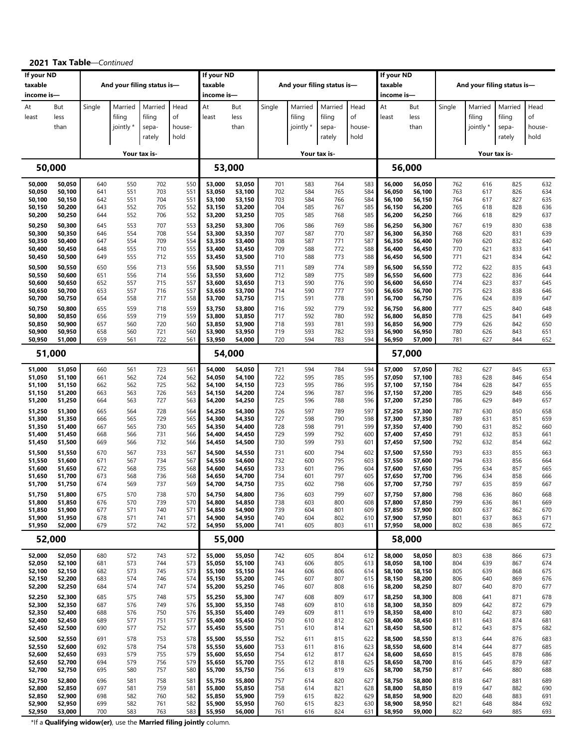|                       |                  |            |                            |                 |            | If your ND       |                  |            |            |                            |            |                       |                  |            |            |                            |            |
|-----------------------|------------------|------------|----------------------------|-----------------|------------|------------------|------------------|------------|------------|----------------------------|------------|-----------------------|------------------|------------|------------|----------------------------|------------|
| If your ND<br>taxable |                  |            | And your filing status is- |                 |            | taxable          |                  |            |            | And your filing status is- |            | If your ND<br>taxable |                  |            |            | And your filing status is- |            |
| income is-            |                  |            |                            |                 |            | income is-       |                  |            |            |                            |            | income is-            |                  |            |            |                            |            |
| At                    | But              | Single     | Married                    | Married         | Head       | At               | But              | Single     | Married    | Married                    | Head       | At                    | But              | Single     | Married    | Married                    | Head       |
| least                 | less             |            | filing                     | filing          | of         | least            | less             |            | filing     | filing                     | of         | least                 | less             |            | filing     | filing                     | οf         |
|                       | than             |            | jointly *                  |                 | house-     |                  | than             |            | jointly *  |                            | house-     |                       | than             |            | jointly *  | sepa-                      | house-     |
|                       |                  |            |                            | sepa-<br>rately | hold       |                  |                  |            |            | sepa-<br>rately            | hold       |                       |                  |            |            | rately                     | hold       |
|                       |                  |            |                            |                 |            |                  |                  |            |            |                            |            |                       |                  |            |            |                            |            |
|                       |                  |            |                            | Your tax is-    |            |                  |                  |            |            | Your tax is-               |            |                       |                  |            |            | Your tax is-               |            |
|                       | 50,000           |            |                            |                 |            | 53,000           |                  |            |            |                            |            |                       | 56,000           |            |            |                            |            |
| 50,000                | 50,050           | 640        | 550                        | 702             | 550        | 53,000           | 53,050           | 701        | 583        | 764                        | 583        | 56,000                | 56,050           | 762        | 616        | 825                        | 632        |
| 50,050                | 50,100           | 641        | 551                        | 703             | 551        | 53,050           | 53,100           | 702        | 584        | 765                        | 584        | 56,050                | 56,100           | 763        | 617        | 826                        | 634        |
| 50,100                | 50,150           | 642<br>643 | 551<br>552                 | 704<br>705      | 551        | 53,100           | 53,150           | 703<br>704 | 584<br>585 | 766<br>767                 | 584<br>585 | 56,100                | 56,150           | 764<br>765 | 617<br>618 | 827<br>828                 | 635<br>636 |
| 50,150<br>50,200      | 50,200<br>50,250 | 644        | 552                        | 706             | 552<br>552 | 53,150<br>53,200 | 53,200<br>53,250 | 705        | 585        | 768                        | 585        | 56,150<br>56,200      | 56,200<br>56,250 | 766        | 618        | 829                        | 637        |
| 50,250                | 50,300           | 645        | 553                        | 707             | 553        | 53,250           | 53,300           | 706        | 586        | 769                        | 586        | 56,250                | 56,300           | 767        | 619        | 830                        | 638        |
| 50,300                | 50,350           | 646        | 554                        | 708             | 554        | 53,300           | 53,350           | 707        | 587        | 770                        | 587        | 56,300                | 56,350           | 768        | 620        | 831                        | 639        |
| 50,350                | 50,400           | 647        | 554                        | 709             | 554        | 53,350           | 53,400           | 708        | 587        | 771                        | 587        | 56,350                | 56,400           | 769        | 620        | 832                        | 640        |
| 50,400<br>50,450      | 50,450<br>50,500 | 648<br>649 | 555<br>555                 | 710<br>712      | 555<br>555 | 53,400<br>53,450 | 53,450<br>53,500 | 709<br>710 | 588<br>588 | 772<br>773                 | 588<br>588 | 56,400<br>56,450      | 56,450<br>56,500 | 770<br>771 | 621<br>621 | 833<br>834                 | 641<br>642 |
| 50,500                | 50,550           | 650        | 556                        | 713             | 556        | 53,500           | 53,550           | 711        | 589        | 774                        | 589        | 56,500                | 56,550           | 772        | 622        | 835                        | 643        |
| 50,550                | 50,600           | 651        | 556                        | 714             | 556        | 53,550           | 53,600           | 712        | 589        | 775                        | 589        | 56,550                | 56,600           | 773        | 622        | 836                        | 644        |
| 50,600                | 50,650           | 652        | 557                        | 715             | 557        | 53,600           | 53,650           | 713        | 590        | 776                        | 590        | 56,600                | 56,650           | 774        | 623        | 837                        | 645        |
| 50,650                | 50,700           | 653        | 557                        | 716             | 557        | 53,650           | 53,700           | 714        | 590        | 777                        | 590        | 56,650                | 56,700           | 775        | 623        | 838                        | 646        |
| 50,700                | 50,750           | 654        | 558                        | 717             | 558        | 53,700           | 53,750           | 715        | 591        | 778                        | 591        | 56,700                | 56,750           | 776        | 624        | 839                        | 647        |
| 50,750<br>50,800      | 50,800<br>50,850 | 655<br>656 | 559<br>559                 | 718<br>719      | 559<br>559 | 53,750<br>53,800 | 53,800<br>53,850 | 716<br>717 | 592<br>592 | 779<br>780                 | 592<br>592 | 56,750<br>56,800      | 56,800<br>56,850 | 777<br>778 | 625<br>625 | 840<br>841                 | 648<br>649 |
| 50,850                | 50,900           | 657        | 560                        | 720             | 560        | 53,850           | 53,900           | 718        | 593        | 781                        | 593        | 56,850                | 56,900           | 779        | 626        | 842                        | 650        |
| 50,900                | 50,950           | 658        | 560                        | 721             | 560        | 53,900           | 53,950           | 719        | 593        | 782                        | 593        | 56,900                | 56,950           | 780        | 626        | 843                        | 651        |
| 50,950                | 51,000           | 659        | 561                        | 722             | 561        | 53,950           | 54,000           | 720        | 594        | 783                        | 594        | 56,950                | 57,000           | 781        | 627        | 844                        | 652        |
|                       | 51,000           |            |                            |                 |            | 54,000           |                  |            |            |                            |            |                       | 57,000           |            |            |                            |            |
| 51,000                | 51,050           | 660        | 561                        | 723             | 561        | 54,000           | 54,050           | 721        | 594        | 784                        | 594        | 57,000                | 57,050           | 782        | 627        | 845                        | 653        |
| 51,050<br>51,100      | 51,100<br>51,150 | 661<br>662 | 562<br>562                 | 724<br>725      | 562<br>562 | 54,050<br>54,100 | 54,100<br>54,150 | 722<br>723 | 595<br>595 | 785<br>786                 | 595<br>595 | 57,050<br>57,100      | 57,100<br>57,150 | 783<br>784 | 628<br>628 | 846<br>847                 | 654<br>655 |
| 51,150                | 51,200           | 663        | 563                        | 726             | 563        | 54,150           | 54,200           | 724        | 596        | 787                        | 596        | 57,150                | 57,200           | 785        | 629        | 848                        | 656        |
| 51,200                | 51,250           | 664        | 563                        | 727             | 563        | 54,200           | 54,250           | 725        | 596        | 788                        | 596        | 57,200                | 57,250           | 786        | 629        | 849                        | 657        |
| 51,250                | 51,300           | 665        | 564                        | 728             | 564        | 54,250           | 54,300           | 726        | 597        | 789                        | 597        | 57,250                | 57,300           | 787        | 630        | 850                        | 658        |
| 51,300                | 51,350           | 666        | 565                        | 729             | 565        | 54,300           | 54,350           | 727        | 598        | 790                        | 598        | 57,300                | 57,350           | 789        | 631        | 851                        | 659        |
| 51,350<br>51,400      | 51,400<br>51,450 | 667<br>668 | 565<br>566                 | 730<br>731      | 565<br>566 | 54,350<br>54,400 | 54,400<br>54,450 | 728<br>729 | 598<br>599 | 791<br>792                 | 599<br>600 | 57,350<br>57,400      | 57,400<br>57,450 | 790<br>791 | 631<br>632 | 852<br>853                 | 660<br>661 |
| 51,450                | 51,500           | 669        | 566                        | 732             | 566        | 54,450           | 54,500           | 730        | 599        | 793                        | 601        | 57,450                | 57,500           | 792        | 632        | 854                        | 662        |
| 51,500                | 51,550           | 670        | 567                        | 733             | 567        | 54,500           | 54,550           | 731        | 600        | 794                        | 602        | 57,500                | 57,550           | 793        | 633        | 855                        | 663        |
| 51,550                | 51,600           | 671        | 567                        | 734             | 567        | 54,550           | 54,600           | 732        | 600        | 795                        | 603        | 57,550                | 57,600           | 794        | 633        | 856                        | 664        |
| 51,600<br>51,650      | 51,650<br>51,700 | 672<br>673 | 568<br>568                 | 735<br>736      | 568<br>568 | 54,600<br>54,650 | 54,650<br>54,700 | 733<br>734 | 601<br>601 | 796<br>797                 | 604<br>605 | 57,600<br>57,650      | 57,650<br>57,700 | 795<br>796 | 634<br>634 | 857<br>858                 | 665<br>666 |
| 51,700                | 51,750           | 674        | 569                        | 737             | 569        | 54,700           | 54,750           | 735        | 602        | 798                        | 606        | 57,700                | 57,750           | 797        | 635        | 859                        | 667        |
| 51,750                | 51,800           | 675        | 570                        | 738             | 570        | 54,750           | 54,800           | 736        | 603        | 799                        | 607        | 57,750                | 57,800           | 798        | 636        | 860                        | 668        |
| 51,800                | 51,850           | 676        | 570                        | 739             | 570        | 54,800           | 54,850           | 738        | 603        | 800                        | 608        | 57,800                | 57,850           | 799        | 636        | 861                        | 669        |
| 51,850<br>51,900      | 51,900           | 677        | 571<br>571                 | 740             | 571<br>571 | 54,850<br>54,900 | 54,900           | 739<br>740 | 604<br>604 | 801<br>802                 | 609        | 57,850<br>57,900      | 57,900           | 800<br>801 | 637<br>637 | 862<br>863                 | 670<br>671 |
| 51,950                | 51,950<br>52,000 | 678<br>679 | 572                        | 741<br>742      | 572        | 54,950           | 54,950<br>55,000 | 741        | 605        | 803                        | 610<br>611 | 57,950                | 57,950<br>58,000 | 802        | 638        | 865                        | 672        |
|                       | 52,000           |            |                            |                 |            | 55,000           |                  |            |            |                            |            |                       | 58,000           |            |            |                            |            |
| 52,000                | 52,050           | 680        | 572                        | 743             | 572        | 55,000           | 55,050           | 742        | 605        | 804                        | 612        | 58,000                | 58,050           | 803        | 638        | 866                        | 673        |
| 52,050                | 52,100           | 681        | 573                        | 744             | 573        | 55,050           | 55,100           | 743        | 606        | 805                        | 613        | 58,050                | 58,100           | 804        | 639        | 867                        | 674        |
| 52,100                | 52,150           | 682        | 573                        | 745             | 573        | 55,100           | 55,150           | 744        | 606        | 806                        | 614        | 58,100                | 58,150           | 805        | 639        | 868                        | 675        |
| 52,150<br>52,200      | 52,200<br>52,250 | 683<br>684 | 574<br>574                 | 746<br>747      | 574<br>574 | 55,150<br>55,200 | 55,200<br>55,250 | 745<br>746 | 607<br>607 | 807<br>808                 | 615<br>616 | 58,150<br>58,200      | 58,200<br>58,250 | 806<br>807 | 640<br>640 | 869<br>870                 | 676<br>677 |
| 52,250                | 52,300           | 685        | 575                        | 748             | 575        | 55,250           | 55,300           | 747        | 608        | 809                        | 617        | 58,250                | 58,300           | 808        | 641        | 871                        | 678        |
| 52,300                | 52,350           | 687        | 576                        | 749             | 576        | 55,300           | 55,350           | 748        | 609        | 810                        | 618        | 58,300                | 58,350           | 809        | 642        | 872                        | 679        |
| 52,350                | 52,400           | 688        | 576                        | 750             | 576        | 55,350           | 55,400           | 749        | 609        | 811                        | 619        | 58,350                | 58,400           | 810        | 642        | 873                        | 680        |
| 52,400<br>52,450      | 52,450           | 689<br>690 | 577<br>577                 | 751<br>752      | 577<br>577 | 55,400<br>55,450 | 55,450<br>55,500 | 750<br>751 | 610<br>610 | 812<br>814                 | 620<br>621 | 58,400<br>58,450      | 58,450           | 811<br>812 | 643<br>643 | 874<br>875                 | 681<br>682 |
|                       | 52,500           |            |                            |                 |            |                  |                  |            |            |                            |            |                       | 58,500           |            |            |                            |            |
| 52,500<br>52,550      | 52,550<br>52,600 | 691<br>692 | 578<br>578                 | 753<br>754      | 578<br>578 | 55,500<br>55,550 | 55,550<br>55,600 | 752<br>753 | 611<br>611 | 815<br>816                 | 622<br>623 | 58,500<br>58,550      | 58,550<br>58,600 | 813<br>814 | 644<br>644 | 876<br>877                 | 683<br>685 |
| 52,600                | 52,650           | 693        | 579                        | 755             | 579        | 55,600           | 55,650           | 754        | 612        | 817                        | 624        | 58,600                | 58,650           | 815        | 645        | 878                        | 686        |
| 52,650                | 52,700           | 694        | 579                        | 756             | 579        | 55,650           | 55,700           | 755        | 612        | 818                        | 625        | 58,650                | 58,700           | 816        | 645        | 879                        | 687        |
| 52,700                | 52,750           | 695        | 580                        | 757             | 580        | 55,700           | 55,750           | 756        | 613        | 819                        | 626        | 58,700                | 58,750           | 817        | 646        | 880                        | 688        |
| 52,750<br>52,800      | 52,800           | 696<br>697 | 581<br>581                 | 758<br>759      | 581<br>581 | 55,750<br>55,800 | 55,800           | 757<br>758 | 614<br>614 | 820<br>821                 | 627<br>628 | 58,750<br>58,800      | 58,800<br>58,850 | 818<br>819 | 647<br>647 | 881<br>882                 | 689<br>690 |
| 52,850                | 52,850<br>52,900 | 698        | 582                        | 760             | 582        | 55,850           | 55,850<br>55,900 | 759        | 615        | 822                        | 629        | 58,850                | 58,900           | 820        | 648        | 883                        | 691        |
| 52,900                | 52,950           | 699        | 582                        | 761             | 582        | 55,900           | 55,950           | 760        | 615        | 823                        | 630        | 58,900                | 58,950           | 821        | 648        | 884                        | 692        |
| 52,950                | 53,000           | 700        | 583                        | 763             | 583        | 55,950           | 56,000           | 761        | 616        | 824                        | 631        | 58,950                | 59,000           | 822        | 649        | 885                        | 693        |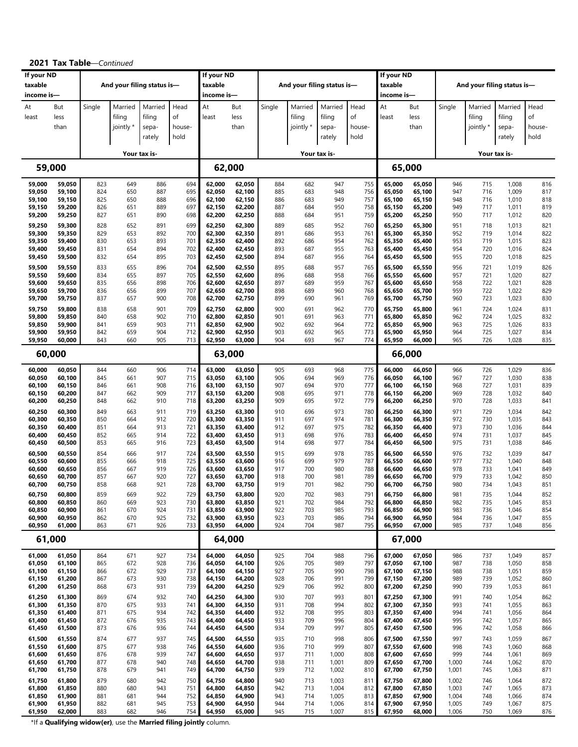| If your ND       | <b>UN LUPIC</b>  |            | Continued                  |              |            | If your ND       |                  |            |            |                            |            | If your ND       |                  |                |            |                            |            |
|------------------|------------------|------------|----------------------------|--------------|------------|------------------|------------------|------------|------------|----------------------------|------------|------------------|------------------|----------------|------------|----------------------------|------------|
| taxable          |                  |            | And your filing status is- |              |            | taxable          |                  |            |            | And your filing status is- |            | taxable          |                  |                |            | And your filing status is- |            |
| income is-       |                  |            |                            |              |            | income is-       |                  |            |            |                            |            | income is—       |                  |                |            |                            |            |
| At               | But              | Single     | Married                    | Married      | Head       | At               | But              | Single     | Married    | Married                    | Head       | At               | But              | Single         | Married    | Married                    | Head       |
| least            | less             |            | filing                     | filing       | of         | least            | less             |            | filing     | filing                     | of         | least            | less             |                | filing     | filing                     | of         |
|                  | than             |            | jointly *                  | sepa-        | house-     |                  | than             |            | jointly *  | sepa-                      | house-     |                  | than             |                | jointly *  | sepa-                      | house-     |
|                  |                  |            |                            | rately       | hold       |                  |                  |            |            | rately                     | hold       |                  |                  |                |            | rately                     | hold       |
|                  |                  |            |                            | Your tax is- |            |                  |                  |            |            | Your tax is-               |            |                  |                  |                |            | Your tax is-               |            |
|                  | 59,000           |            |                            |              |            | 62,000           |                  |            |            |                            |            | 65,000           |                  |                |            |                            |            |
| 59,000           | 59,050           | 823        | 649                        | 886          | 694        | 62,000           | 62,050           | 884        | 682        | 947                        | 755        | 65,000           | 65,050           | 946            | 715        | 1,008                      | 816        |
| 59,050           | 59,100           | 824        | 650                        | 887          | 695        | 62,050           | 62,100           | 885        | 683        | 948                        | 756        | 65,050           | 65,100           | 947            | 716        | 1,009                      | 817        |
| 59,100<br>59,150 | 59,150<br>59,200 | 825<br>826 | 650<br>651                 | 888<br>889   | 696<br>697 | 62,100<br>62,150 | 62,150<br>62,200 | 886<br>887 | 683<br>684 | 949<br>950                 | 757<br>758 | 65,100<br>65,150 | 65,150<br>65,200 | 948<br>949     | 716<br>717 | 1,010<br>1,011             | 818<br>819 |
| 59,200           | 59,250           | 827        | 651                        | 890          | 698        | 62,200           | 62,250           | 888        | 684        | 951                        | 759        | 65,200           | 65,250           | 950            | 717        | 1,012                      | 820        |
| 59,250           | 59,300           | 828        | 652                        | 891          | 699        | 62,250           | 62,300           | 889        | 685        | 952                        | 760        | 65,250           | 65,300           | 951            | 718        | 1,013                      | 821        |
| 59,300           | 59,350           | 829        | 653                        | 892          | 700        | 62,300           | 62,350           | 891        | 686        | 953                        | 761        | 65,300           | 65,350           | 952            | 719        | 1,014                      | 822        |
| 59,350           | 59,400           | 830        | 653                        | 893          | 701        | 62,350           | 62,400           | 892        | 686        | 954                        | 762        | 65,350           | 65,400           | 953            | 719        | 1,015                      | 823        |
| 59,400<br>59,450 | 59,450<br>59,500 | 831<br>832 | 654<br>654                 | 894<br>895   | 702<br>703 | 62,400<br>62,450 | 62,450<br>62,500 | 893<br>894 | 687<br>687 | 955<br>956                 | 763<br>764 | 65,400<br>65,450 | 65,450<br>65,500 | 954<br>955     | 720<br>720 | 1,016<br>1,018             | 824<br>825 |
| 59,500           | 59,550           | 833        | 655                        | 896          | 704        | 62,500           | 62,550           | 895        | 688        | 957                        | 765        | 65,500           | 65,550           | 956            | 721        | 1,019                      | 826        |
| 59,550           | 59,600           | 834        | 655                        | 897          | 705        | 62,550           | 62,600           | 896        | 688        | 958                        | 766        | 65,550           | 65,600           | 957            | 721        | 1,020                      | 827        |
| 59,600           | 59,650           | 835        | 656                        | 898          | 706        | 62,600           | 62,650           | 897        | 689        | 959                        | 767        | 65,600           | 65,650           | 958            | 722        | 1,021                      | 828        |
| 59,650           | 59,700           | 836        | 656                        | 899          | 707        | 62,650           | 62,700           | 898        | 689        | 960                        | 768        | 65,650           | 65,700           | 959            | 722        | 1,022                      | 829        |
| 59,700           | 59,750           | 837        | 657                        | 900          | 708        | 62,700           | 62,750           | 899        | 690        | 961                        | 769        | 65,700           | 65,750           | 960            | 723        | 1,023                      | 830        |
| 59,750<br>59,800 | 59,800<br>59,850 | 838<br>840 | 658<br>658                 | 901<br>902   | 709<br>710 | 62,750<br>62,800 | 62,800<br>62,850 | 900<br>901 | 691<br>691 | 962<br>963                 | 770<br>771 | 65,750<br>65,800 | 65,800<br>65,850 | 961<br>962     | 724<br>724 | 1,024<br>1,025             | 831<br>832 |
| 59,850           | 59,900           | 841        | 659                        | 903          | 711        | 62,850           | 62,900           | 902        | 692        | 964                        | 772        | 65,850           | 65,900           | 963            | 725        | 1,026                      | 833        |
| 59,900           | 59,950           | 842        | 659                        | 904          | 712        | 62,900           | 62,950           | 903        | 692        | 965                        | 773        | 65,900           | 65,950           | 964            | 725        | 1,027                      | 834        |
| 59,950           | 60,000           | 843        | 660                        | 905          | 713        | 62,950           | 63,000           | 904        | 693        | 967                        | 774        | 65,950           | 66,000           | 965            | 726        | 1,028                      | 835        |
|                  | 60,000           |            |                            |              |            | 63,000           |                  |            |            |                            |            | 66,000           |                  |                |            |                            |            |
| 60,000<br>60,050 | 60,050<br>60,100 | 844<br>845 | 660<br>661                 | 906<br>907   | 714<br>715 | 63,000<br>63,050 | 63,050<br>63,100 | 905<br>906 | 693<br>694 | 968<br>969                 | 775<br>776 | 66,000<br>66,050 | 66,050<br>66,100 | 966<br>967     | 726<br>727 | 1,029<br>1,030             | 836<br>838 |
| 60,100           | 60,150           | 846        | 661                        | 908          | 716        | 63,100           | 63,150           | 907        | 694        | 970                        | 777        | 66,100           | 66,150           | 968            | 727        | 1,031                      | 839        |
| 60,150           | 60,200           | 847        | 662                        | 909          | 717        | 63,150           | 63,200           | 908        | 695        | 971                        | 778        | 66,150           | 66,200           | 969            | 728        | 1,032                      | 840        |
| 60,200           | 60,250           | 848        | 662                        | 910          | 718        | 63,200           | 63,250           | 909        | 695        | 972                        | 779        | 66,200           | 66,250           | 970            | 728        | 1,033                      | 841        |
| 60,250           | 60,300           | 849        | 663                        | 911          | 719        | 63,250           | 63,300           | 910        | 696        | 973                        | 780        | 66,250           | 66,300           | 971            | 729        | 1,034                      | 842        |
| 60,300<br>60,350 | 60,350<br>60,400 | 850<br>851 | 664<br>664                 | 912<br>913   | 720<br>721 | 63,300<br>63,350 | 63,350<br>63,400 | 911<br>912 | 697<br>697 | 974<br>975                 | 781<br>782 | 66,300<br>66,350 | 66,350<br>66,400 | 972<br>973     | 730<br>730 | 1,035<br>1,036             | 843<br>844 |
| 60,400           | 60,450           | 852        | 665                        | 914          | 722        | 63,400           | 63,450           | 913        | 698        | 976                        | 783        | 66,400           | 66,450           | 974            | 731        | 1,037                      | 845        |
| 60,450           | 60,500           | 853        | 665                        | 916          | 723        | 63,450           | 63,500           | 914        | 698        | 977                        | 784        | 66,450           | 66,500           | 975            | 731        | 1,038                      | 846        |
| 60,500           | 60,550           | 854        | 666                        | 917          | 724        | 63,500           | 63,550           | 915        | 699        | 978                        | 785        | 66,500           | 66,550           | 976            | 732        | 1,039                      | 847        |
| 60,550<br>60,600 | 60,600<br>60,650 | 855<br>856 | 666<br>667                 | 918<br>919   | 725<br>726 | 63,550<br>63,600 | 63,600<br>63,650 | 916<br>917 | 699<br>700 | 979<br>980                 | 787<br>788 | 66,550<br>66,600 | 66,600<br>66,650 | 977<br>978     | 732<br>733 | 1,040<br>1,041             | 848<br>849 |
| 60,650           | 60,700           | 857        | 667                        | 920          | 727        | 63,650           | 63,700           | 918        | 700        | 981                        | 789        | 66,650           | 66,700           | 979            | 733        | 1,042                      | 850        |
| 60,700           | 60,750           | 858        | 668                        | 921          | 728        | 63,700           | 63,750           | 919        | 701        | 982                        | 790        | 66,700           | 66,750           | 980            | 734        | 1,043                      | 851        |
| 60,750           | 60,800           | 859        | 669                        | 922          | 729        | 63,750           | 63,800           | 920        | 702        | 983                        | 791        | 66,750           | 66,800           | 981            | 735        | 1,044                      | 852        |
| 60,800<br>60,850 | 60,850<br>60,900 | 860<br>861 | 669<br>670                 | 923<br>924   | 730<br>731 | 63,800<br>63,850 | 63,850<br>63,900 | 921<br>922 | 702<br>703 | 984<br>985                 | 792<br>793 | 66,800<br>66,850 | 66,850<br>66,900 | 982<br>983     | 735<br>736 | 1,045<br>1,046             | 853<br>854 |
| 60,900           | 60,950           | 862        | 670                        | 925          | 732        | 63,900           | 63,950           | 923        | 703        | 986                        | 794        | 66,900           | 66,950           | 984            | 736        | 1,047                      | 855        |
| 60,950           | 61,000           | 863        | 671                        | 926          | 733        | 63,950           | 64,000           | 924        | 704        | 987                        | 795        | 66,950           | 67,000           | 985            | 737        | 1,048                      | 856        |
|                  | 61,000           |            |                            |              |            | 64,000           |                  |            |            |                            |            | 67,000           |                  |                |            |                            |            |
| 61,000           | 61,050           | 864        | 671                        | 927          | 734        | 64,000           | 64,050           | 925        | 704        | 988                        | 796        | 67,000           | 67,050           | 986            | 737        | 1,049                      | 857        |
| 61,050           | 61,100           | 865        | 672                        | 928          | 736        | 64,050           | 64,100           | 926        | 705<br>705 | 989                        | 797        | 67,050           | 67,100           | 987            | 738        | 1,050                      | 858        |
| 61,100<br>61,150 | 61,150<br>61,200 | 866<br>867 | 672<br>673                 | 929<br>930   | 737<br>738 | 64,100<br>64,150 | 64,150<br>64,200 | 927<br>928 | 706        | 990<br>991                 | 798<br>799 | 67,100<br>67,150 | 67,150<br>67,200 | 988<br>989     | 738<br>739 | 1,051<br>1,052             | 859<br>860 |
| 61,200           | 61,250           | 868        | 673                        | 931          | 739        | 64,200           | 64,250           | 929        | 706        | 992                        | 800        | 67,200           | 67,250           | 990            | 739        | 1,053                      | 861        |
| 61,250           | 61,300           | 869        | 674                        | 932          | 740        | 64,250           | 64,300           | 930        | 707        | 993                        | 801        | 67,250           | 67,300           | 991            | 740        | 1,054                      | 862        |
| 61,300           | 61,350           | 870        | 675                        | 933          | 741        | 64,300           | 64,350           | 931        | 708        | 994                        | 802        | 67,300           | 67,350           | 993            | 741        | 1,055                      | 863        |
| 61,350<br>61,400 | 61,400<br>61,450 | 871<br>872 | 675<br>676                 | 934<br>935   | 742<br>743 | 64,350<br>64,400 | 64,400<br>64,450 | 932<br>933 | 708<br>709 | 995<br>996                 | 803<br>804 | 67,350<br>67,400 | 67,400<br>67,450 | 994<br>995     | 741<br>742 | 1,056<br>1,057             | 864<br>865 |
| 61,450           | 61,500           | 873        | 676                        | 936          | 744        | 64,450           | 64,500           | 934        | 709        | 997                        | 805        | 67,450           | 67,500           | 996            | 742        | 1,058                      | 866        |
| 61,500           | 61,550           | 874        | 677                        | 937          | 745        | 64,500           | 64,550           | 935        | 710        | 998                        | 806        | 67,500           | 67,550           | 997            | 743        | 1,059                      | 867        |
| 61,550           | 61,600           | 875        | 677                        | 938          | 746        | 64,550           | 64,600           | 936        | 710        | 999                        | 807        | 67,550           | 67,600           | 998            | 743        | 1,060                      | 868        |
| 61,600           | 61,650           | 876        | 678                        | 939          | 747        | 64,600           | 64,650           | 937        | 711        | 1,000                      | 808        | 67,600           | 67,650           | 999            | 744        | 1,061                      | 869        |
| 61,650<br>61,700 | 61,700<br>61,750 | 877<br>878 | 678<br>679                 | 940<br>941   | 748<br>749 | 64,650<br>64,700 | 64,700<br>64,750 | 938<br>939 | 711<br>712 | 1,001<br>1,002             | 809<br>810 | 67,650<br>67,700 | 67,700<br>67,750 | 1,000<br>1,001 | 744<br>745 | 1,062<br>1,063             | 870<br>871 |
| 61,750           | 61,800           | 879        | 680                        | 942          | 750        | 64,750           | 64,800           | 940        | 713        | 1,003                      | 811        | 67,750           | 67,800           | 1,002          | 746        | 1,064                      | 872        |
| 61,800           | 61,850           | 880        | 680                        | 943          | 751        | 64,800           | 64,850           | 942        | 713        | 1,004                      | 812        | 67,800           | 67,850           | 1,003          | 747        | 1,065                      | 873        |
| 61,850           | 61,900           | 881        | 681                        | 944          | 752        | 64,850           | 64,900           | 943        | 714        | 1,005                      | 813        | 67,850           | 67,900           | 1,004          | 748        | 1,066                      | 874        |
| 61,900<br>61,950 | 61,950<br>62,000 | 882<br>883 | 681<br>682                 | 945<br>946   | 753<br>754 | 64,900<br>64,950 | 64,950<br>65,000 | 944<br>945 | 714<br>715 | 1,006<br>1,007             | 814<br>815 | 67,900<br>67,950 | 67,950<br>68,000 | 1,005<br>1,006 | 749<br>750 | 1,067<br>1,069             | 875<br>876 |
|                  |                  |            |                            |              |            |                  |                  |            |            |                            |            |                  |                  |                |            |                            |            |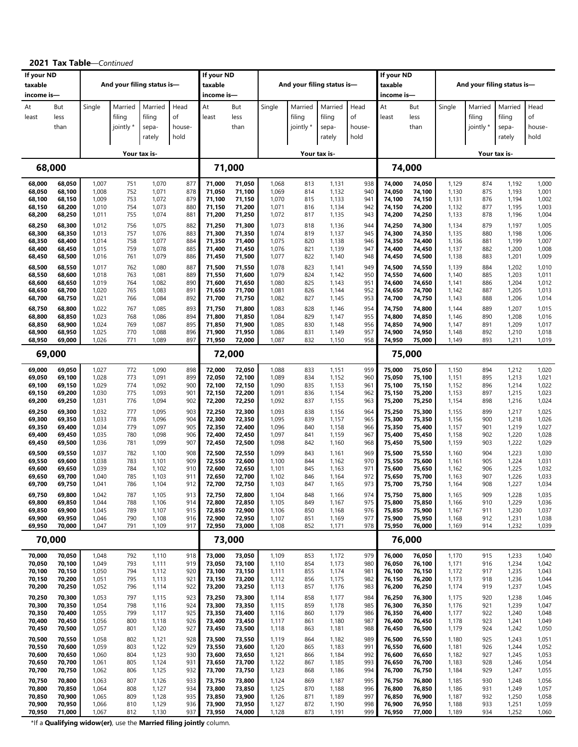| If your ND<br>taxable                                    |                                                          |                                                    |                                        | And your filing status is-                         |                                        | If your ND<br>taxable                                    |                                                          |                                                    | And your filing status is-             |                                                    |                                        | If your ND<br>taxable                                    |                                                          |                                                    |                                        | And your filing status is-                         |                                                    |
|----------------------------------------------------------|----------------------------------------------------------|----------------------------------------------------|----------------------------------------|----------------------------------------------------|----------------------------------------|----------------------------------------------------------|----------------------------------------------------------|----------------------------------------------------|----------------------------------------|----------------------------------------------------|----------------------------------------|----------------------------------------------------------|----------------------------------------------------------|----------------------------------------------------|----------------------------------------|----------------------------------------------------|----------------------------------------------------|
| income is-<br>At<br>least                                | But<br>less<br>than                                      | Single                                             | Married<br>filing<br>jointly *         | Married<br>filing<br>sepa-                         | Head<br>of<br>house-                   | income is-<br>At<br>least                                | But<br>less<br>than                                      | Single                                             | Married<br>filing<br>jointly *         | Married<br>filing<br>sepa-                         | Head<br>of<br>house-                   | income is-<br>At<br>least                                | But<br>less<br>than                                      | Single                                             | Married<br>filing<br>jointly *         | Married<br>filing<br>sepa-                         | Head<br>οf<br>house-                               |
|                                                          |                                                          |                                                    |                                        | rately                                             | hold                                   |                                                          |                                                          |                                                    |                                        | rately                                             | hold                                   |                                                          |                                                          |                                                    |                                        | rately                                             | hold                                               |
|                                                          |                                                          |                                                    |                                        | Your tax is-                                       |                                        |                                                          |                                                          |                                                    |                                        | Your tax is-                                       |                                        |                                                          |                                                          |                                                    |                                        | Your tax is-                                       |                                                    |
|                                                          | 68,000                                                   |                                                    |                                        |                                                    |                                        |                                                          | 71,000                                                   |                                                    |                                        |                                                    |                                        |                                                          | 74,000                                                   |                                                    |                                        |                                                    |                                                    |
| 68,000                                                   | 68,050                                                   | 1,007                                              | 751                                    | 1,070                                              | 877                                    | 71,000                                                   | 71,050                                                   | 1,068                                              | 813                                    | 1,131                                              | 938                                    | 74,000                                                   | 74,050                                                   | 1,129                                              | 874                                    | 1,192                                              | 1,000                                              |
| 68,050                                                   | 68,100                                                   | 1,008                                              | 752                                    | 1,071                                              | 878                                    | 71,050                                                   | 71,100                                                   | 1,069                                              | 814                                    | 1,132                                              | 940                                    | 74,050                                                   | 74,100                                                   | 1,130                                              | 875                                    | 1,193                                              | 1,001                                              |
| 68,100                                                   | 68,150                                                   | 1,009                                              | 753                                    | 1,072                                              | 879                                    | 71,100                                                   | 71,150                                                   | 1,070                                              | 815                                    | 1,133                                              | 941                                    | 74,100                                                   | 74,150                                                   | 1,131                                              | 876                                    | 1,194                                              | 1,002                                              |
| 68,150                                                   | 68,200                                                   | 1,010                                              | 754                                    | 1,073                                              | 880                                    | 71,150                                                   | 71,200                                                   | 1,071                                              | 816                                    | 1,134                                              | 942                                    | 74,150                                                   | 74,200                                                   | 1,132                                              | 877                                    | 1,195                                              | 1,003                                              |
| 68,200                                                   | 68,250                                                   | 1,011                                              | 755                                    | 1,074                                              | 881                                    | 71,200                                                   | 71,250                                                   | 1,072                                              | 817                                    | 1,135                                              | 943                                    | 74,200                                                   | 74,250                                                   | 1,133                                              | 878                                    | 1,196                                              | 1,004                                              |
| 68,250                                                   | 68,300                                                   | 1,012                                              | 756                                    | 1,075                                              | 882                                    | 71,250                                                   | 71,300                                                   | 1,073                                              | 818                                    | 1,136                                              | 944                                    | 74,250                                                   | 74,300                                                   | 1,134                                              | 879                                    | 1,197                                              | 1,005                                              |
| 68,300                                                   | 68,350                                                   | 1,013                                              | 757                                    | 1,076                                              | 883                                    | 71,300                                                   | 71,350                                                   | 1,074                                              | 819                                    | 1,137                                              | 945                                    | 74,300                                                   | 74,350                                                   | 1,135                                              | 880                                    | 1,198                                              | 1,006                                              |
| 68,350                                                   | 68,400                                                   | 1,014                                              | 758                                    | 1,077                                              | 884                                    | 71,350                                                   | 71,400                                                   | 1,075                                              | 820                                    | 1,138                                              | 946                                    | 74,350                                                   | 74,400                                                   | 1,136                                              | 881                                    | 1,199                                              | 1,007                                              |
| 68,400                                                   | 68,450                                                   | 1,015                                              | 759                                    | 1,078                                              | 885                                    | 71,400                                                   | 71,450                                                   | 1,076                                              | 821                                    | 1,139                                              | 947                                    | 74,400                                                   | 74,450                                                   | 1,137                                              | 882                                    | 1,200                                              | 1,008                                              |
| 68,450                                                   | 68,500                                                   | 1,016                                              | 761                                    | 1,079                                              | 886                                    | 71,450                                                   | 71,500                                                   | 1,077                                              | 822                                    | 1,140                                              | 948                                    | 74,450                                                   | 74,500                                                   | 1,138                                              | 883                                    | 1,201                                              | 1,009                                              |
| 68,500                                                   | 68,550                                                   | 1,017                                              | 762                                    | 1,080                                              | 887                                    | 71,500                                                   | 71,550                                                   | 1,078                                              | 823                                    | 1,141                                              | 949                                    | 74,500                                                   | 74,550                                                   | 1,139                                              | 884                                    | 1,202                                              | 1,010                                              |
| 68,550                                                   | 68,600                                                   | 1,018                                              | 763                                    | 1,081                                              | 889                                    | 71,550                                                   | 71,600                                                   | 1,079                                              | 824                                    | 1,142                                              | 950                                    | 74,550                                                   | 74,600                                                   | 1,140                                              | 885                                    | 1,203                                              | 1,011                                              |
| 68,600                                                   | 68,650                                                   | 1,019                                              | 764                                    | 1,082                                              | 890                                    | 71,600                                                   | 71,650                                                   | 1,080                                              | 825                                    | 1,143                                              | 951                                    | 74,600                                                   | 74,650                                                   | 1,141                                              | 886                                    | 1,204                                              | 1,012                                              |
| 68,650                                                   | 68,700                                                   | 1,020                                              | 765                                    | 1,083                                              | 891                                    | 71,650                                                   | 71,700                                                   | 1,081                                              | 826                                    | 1,144                                              | 952                                    | 74,650                                                   | 74,700                                                   | 1,142                                              | 887                                    | 1,205                                              | 1,013                                              |
| 68,700                                                   | 68,750                                                   | 1,021                                              | 766                                    | 1,084                                              | 892                                    | 71,700                                                   | 71,750                                                   | 1,082                                              | 827                                    | 1,145                                              | 953                                    | 74,700                                                   | 74,750                                                   | 1,143                                              | 888                                    | 1,206                                              | 1,014                                              |
| 68,750                                                   | 68,800                                                   | 1,022                                              | 767                                    | 1,085                                              | 893                                    | 71,750                                                   | 71,800                                                   | 1,083                                              | 828                                    | 1,146                                              | 954                                    | 74,750                                                   | 74,800                                                   | 1,144                                              | 889                                    | 1,207                                              | 1,015                                              |
| 68,800                                                   | 68,850                                                   | 1,023                                              | 768                                    | 1,086                                              | 894                                    | 71,800                                                   | 71,850                                                   | 1,084                                              | 829                                    | 1,147                                              | 955                                    | 74,800                                                   | 74,850                                                   | 1,146                                              | 890                                    | 1,208                                              | 1,016                                              |
| 68,850                                                   | 68,900                                                   | 1,024                                              | 769                                    | 1,087                                              | 895                                    | 71,850                                                   | 71,900                                                   | 1,085                                              | 830                                    | 1,148                                              | 956                                    | 74,850                                                   | 74,900                                                   | 1,147                                              | 891                                    | 1,209                                              | 1,017                                              |
| 68,900                                                   | 68,950                                                   | 1,025                                              | 770                                    | 1,088                                              | 896                                    | 71,900                                                   | 71,950                                                   | 1,086                                              | 831                                    | 1,149                                              | 957                                    | 74,900                                                   | 74,950                                                   | 1,148                                              | 892                                    | 1,210                                              | 1,018                                              |
| 68,950                                                   | 69,000                                                   | 1,026                                              | 771                                    | 1,089                                              | 897                                    | 71,950                                                   | 72,000                                                   | 1,087                                              | 832                                    | 1,150                                              | 958                                    | 74,950                                                   | 75,000                                                   | 1,149                                              | 893                                    | 1,211                                              | 1,019                                              |
|                                                          | 69,000                                                   |                                                    |                                        |                                                    |                                        |                                                          | 72,000                                                   |                                                    |                                        |                                                    |                                        |                                                          | 75,000                                                   |                                                    |                                        |                                                    |                                                    |
| 69,000                                                   | 69,050                                                   | 1,027                                              | 772                                    | 1,090                                              | 898                                    | 72,000                                                   | 72,050                                                   | 1,088                                              | 833                                    | 1,151                                              | 959                                    | 75,000                                                   | 75,050                                                   | 1,150                                              | 894                                    | 1,212                                              | 1,020                                              |
| 69,050                                                   | 69,100                                                   | 1,028                                              | 773                                    | 1,091                                              | 899                                    | 72,050                                                   | 72,100                                                   | 1,089                                              | 834                                    | 1,152                                              | 960                                    | 75,050                                                   | 75,100                                                   | 1,151                                              | 895                                    | 1,213                                              | 1,021                                              |
| 69,100                                                   | 69,150                                                   | 1,029                                              | 774                                    | 1,092                                              | 900                                    | 72,100                                                   | 72,150                                                   | 1,090                                              | 835                                    | 1,153                                              | 961                                    | 75,100                                                   | 75,150                                                   | 1,152                                              | 896                                    | 1,214                                              | 1,022                                              |
| 69,150                                                   | 69,200                                                   | 1,030                                              | 775                                    | 1,093                                              | 901                                    | 72,150                                                   | 72,200                                                   | 1,091                                              | 836                                    | 1,154                                              | 962                                    | 75,150                                                   | 75,200                                                   | 1,153                                              | 897                                    | 1,215                                              | 1,023                                              |
| 69,200                                                   | 69,250                                                   | 1,031                                              | 776                                    | 1,094                                              | 902                                    | 72,200                                                   | 72,250                                                   | 1,092                                              | 837                                    | 1,155                                              | 963                                    | 75,200                                                   | 75,250                                                   | 1,154                                              | 898                                    | 1,216                                              | 1,024                                              |
| 69,250                                                   | 69,300                                                   | 1,032                                              | 777                                    | 1,095                                              | 903                                    | 72,250                                                   | 72,300                                                   | 1,093                                              | 838                                    | 1,156                                              | 964                                    | 75,250                                                   | 75,300                                                   | 1,155                                              | 899                                    | 1,217                                              | 1,025                                              |
| 69,300                                                   | 69,350                                                   | 1,033                                              | 778                                    | 1,096                                              | 904                                    | 72,300                                                   | 72,350                                                   | 1,095                                              | 839                                    | 1,157                                              | 965                                    | 75,300                                                   | 75,350                                                   | 1,156                                              | 900                                    | 1,218                                              | 1,026                                              |
| 69,350                                                   | 69,400                                                   | 1,034                                              | 779                                    | 1,097                                              | 905                                    | 72,350                                                   | 72,400                                                   | 1,096                                              | 840                                    | 1,158                                              | 966                                    | 75,350                                                   | 75,400                                                   | 1,157                                              | 901                                    | 1,219                                              | 1,027                                              |
| 69,400                                                   | 69,450                                                   | 1,035                                              | 780                                    | 1,098                                              | 906                                    | 72,400                                                   | 72,450                                                   | 1,097                                              | 841                                    | 1,159                                              | 967                                    | 75,400                                                   | 75,450                                                   | 1,158                                              | 902                                    | 1,220                                              | 1,028                                              |
| 69,450                                                   | 69,500                                                   | 1,036                                              | 781                                    | 1,099                                              | 907                                    | 72,450                                                   | 72,500                                                   | 1,098                                              | 842                                    | 1,160                                              | 968                                    | 75,450                                                   | 75,500                                                   | 1,159                                              | 903                                    | 1,222                                              | 1,029                                              |
| 69,500                                                   | 69,550                                                   | 1,037                                              | 782                                    | 1,100                                              | 908                                    | 72,500                                                   | 72,550                                                   | 1,099                                              | 843                                    | 1,161                                              | 969                                    | 75,500                                                   | 75,550                                                   | 1,160                                              | 904                                    | 1,223                                              | 1,030                                              |
| 69,550                                                   | 69,600                                                   | 1,038                                              | 783                                    | 1,101                                              | 909                                    | 72,550                                                   | 72,600                                                   | 1,100                                              | 844                                    | 1,162                                              | 970                                    | 75,550                                                   | 75,600                                                   | 1,161                                              | 905                                    | 1,224                                              | 1,031                                              |
| 69,600                                                   | 69,650                                                   | 1,039                                              | 784                                    | 1,102                                              | 910                                    | 72,600                                                   | 72,650                                                   | 1,101                                              | 845                                    | 1,163                                              | 971                                    | 75,600                                                   | 75,650                                                   | 1,162                                              | 906                                    | 1,225                                              | 1,032                                              |
| 69,650                                                   | 69,700                                                   | 1,040                                              | 785                                    | 1,103                                              | 911                                    | 72,650                                                   | 72,700                                                   | 1,102                                              | 846                                    | 1,164                                              | 972                                    | 75,650                                                   | 75,700                                                   | 1,163                                              | 907                                    | 1,226                                              | 1,033                                              |
| 69,700                                                   | 69,750                                                   | 1,041                                              | 786                                    | 1,104                                              | 912                                    | 72,700                                                   | 72,750                                                   | 1,103                                              | 847                                    | 1,165                                              | 973                                    | 75,700                                                   | 75,750                                                   | 1,164                                              | 908                                    | 1,227                                              | 1,034                                              |
| 69,750                                                   | 69,800                                                   | 1,042                                              | 787                                    | 1,105                                              | 913                                    | 72,750                                                   | 72,800                                                   | 1,104                                              | 848                                    | 1,166                                              | 974                                    | 75,750                                                   | 75,800                                                   | 1,165                                              | 909                                    | 1,228                                              | 1,035                                              |
| 69,800                                                   | 69,850                                                   | 1,044                                              | 788                                    | 1,106                                              | 914                                    | 72,800                                                   | 72,850                                                   | 1,105                                              | 849                                    | 1,167                                              | 975                                    | 75,800                                                   | 75,850                                                   | 1,166                                              | 910                                    | 1,229                                              | 1,036                                              |
| 69,850                                                   | 69,900                                                   | 1,045                                              | 789                                    | 1,107                                              | 915                                    | 72,850                                                   | 72,900                                                   | 1,106                                              | 850                                    | 1,168                                              | 976                                    | 75,850                                                   | 75,900                                                   | 1,167                                              | 911                                    | 1,230                                              | 1,037                                              |
| 69,900                                                   | 69,950                                                   | 1,046                                              | 790                                    | 1,108                                              | 916                                    | 72,900                                                   | 72,950                                                   | 1,107                                              | 851                                    | 1,169                                              | 977                                    | 75,900                                                   | 75,950                                                   | 1,168                                              | 912                                    | 1,231                                              | 1,038                                              |
| 69,950                                                   | 70,000                                                   | 1,047                                              | 791                                    | 1,109                                              | 917                                    | 72,950                                                   | 73,000                                                   | 1,108                                              | 852                                    | 1,171                                              | 978                                    | 75,950                                                   | 76,000                                                   | 1,169                                              | 914                                    | 1,232                                              | 1,039                                              |
|                                                          | 70,000                                                   |                                                    |                                        |                                                    |                                        |                                                          | 73,000                                                   |                                                    |                                        |                                                    |                                        |                                                          | 76,000                                                   |                                                    |                                        |                                                    |                                                    |
| 70,000<br>70,050<br>70,100<br>70,150<br>70,200           | 70,050<br>70,100<br>70,150<br>70,200<br>70,250           | 1,048<br>1,049<br>1,050<br>1,051<br>1,052          | 792<br>793<br>794<br>795<br>796        | 1,110<br>1,111<br>1,112<br>1,113<br>1,114          | 918<br>919<br>920<br>921<br>922        | 73,000<br>73,050<br>73,100<br>73,150<br>73,200           | 73,050<br>73,100<br>73,150<br>73,200<br>73,250           | 1,109<br>1,110<br>1,111<br>1,112<br>1,113          | 853<br>854<br>855<br>856<br>857        | 1,172<br>1,173<br>1,174<br>1,175<br>1,176<br>1,177 | 979<br>980<br>981<br>982<br>983        | 76,000<br>76,050<br>76,100<br>76,150<br>76,200           | 76,050<br>76,100<br>76,150<br>76,200<br>76,250           | 1,170<br>1,171<br>1,172<br>1,173<br>1,174          | 915<br>916<br>917<br>918<br>919        | 1,233<br>1,234<br>1,235<br>1,236<br>1,237          | 1,040<br>1,042<br>1,043<br>1,044<br>1,045          |
| 70,250<br>70,300<br>70,350<br>70,400<br>70,450<br>70,500 | 70,300<br>70,350<br>70,400<br>70,450<br>70,500<br>70,550 | 1,053<br>1,054<br>1,055<br>1,056<br>1,057<br>1,058 | 797<br>798<br>799<br>800<br>801<br>802 | 1,115<br>1,116<br>1,117<br>1,118<br>1,120<br>1,121 | 923<br>924<br>925<br>926<br>927<br>928 | 73,250<br>73,300<br>73,350<br>73,400<br>73,450<br>73,500 | 73,300<br>73,350<br>73,400<br>73,450<br>73,500<br>73,550 | 1,114<br>1,115<br>1,116<br>1,117<br>1,118<br>1,119 | 858<br>859<br>860<br>861<br>863<br>864 | 1,178<br>1,179<br>1,180<br>1,181<br>1,182          | 984<br>985<br>986<br>987<br>988<br>989 | 76,250<br>76,300<br>76,350<br>76,400<br>76,450<br>76,500 | 76,300<br>76,350<br>76,400<br>76,450<br>76,500<br>76,550 | 1,175<br>1,176<br>1,177<br>1,178<br>1,179<br>1,180 | 920<br>921<br>922<br>923<br>924<br>925 | 1,238<br>1,239<br>1,240<br>1,241<br>1,242<br>1,243 | 1,046<br>1,047<br>1,048<br>1,049<br>1,050<br>1,051 |
| 70,550                                                   | 70,600                                                   | 1,059                                              | 803                                    | 1,122                                              | 929                                    | 73,550                                                   | 73,600                                                   | 1,120                                              | 865                                    | 1,183                                              | 991                                    | 76,550                                                   | 76,600                                                   | 1,181                                              | 926                                    | 1,244                                              | 1,052                                              |
| 70,600                                                   | 70,650                                                   | 1,060                                              | 804                                    | 1,123                                              | 930                                    | 73,600                                                   | 73,650                                                   | 1,121                                              | 866                                    | 1,184                                              | 992                                    | 76,600                                                   | 76,650                                                   | 1,182                                              | 927                                    | 1,245                                              | 1,053                                              |
| 70,650                                                   | 70,700                                                   | 1,061                                              | 805                                    | 1,124                                              | 931                                    | 73,650                                                   | 73,700                                                   | 1,122                                              | 867                                    | 1,185                                              | 993                                    | 76,650                                                   | 76,700                                                   | 1,183                                              | 928                                    | 1,246                                              | 1,054                                              |
| 70,700                                                   | 70,750                                                   | 1,062                                              | 806                                    | 1,125                                              | 932                                    | 73,700                                                   | 73,750                                                   | 1,123                                              | 868                                    | 1,186                                              | 994                                    | 76,700                                                   | 76,750                                                   | 1,184                                              | 929                                    | 1,247                                              | 1,055                                              |
| 70,750                                                   | 70,800                                                   | 1,063                                              | 807                                    | 1,126                                              | 933                                    | 73,750                                                   | 73,800                                                   | 1,124                                              | 869                                    | 1,187                                              | 995                                    | 76,750                                                   | 76,800                                                   | 1,185                                              | 930                                    | 1,248                                              | 1,056                                              |
| 70,800                                                   | 70,850                                                   | 1,064                                              | 808                                    | 1,127                                              | 934                                    | 73,800                                                   | 73,850                                                   | 1,125                                              | 870                                    | 1,188                                              | 996                                    | 76,800                                                   | 76,850                                                   | 1,186                                              | 931                                    | 1,249                                              | 1,057                                              |
| 70,850                                                   | 70,900                                                   | 1,065                                              | 809                                    | 1,128                                              | 935                                    | 73,850                                                   | 73,900                                                   | 1,126                                              | 871                                    | 1,189                                              | 997                                    | 76,850                                                   | 76,900                                                   | 1,187                                              | 932                                    | 1,250                                              | 1,058                                              |
| 70,900                                                   | 70,950                                                   | 1,066                                              | 810                                    | 1,129                                              | 936                                    | 73,900                                                   | 73,950                                                   | 1,127                                              | 872                                    | 1,190                                              | 998                                    | 76,900                                                   | 76,950                                                   | 1,188                                              | 933                                    | 1,251                                              | 1,059                                              |
| 70,950                                                   | 71,000                                                   | 1,067                                              | 812                                    | 1,130                                              | 937                                    | 73,950                                                   | 74,000                                                   | 1,128                                              | 873                                    | 1,191                                              | 999                                    | 76,950                                                   | 77,000                                                   | 1,189                                              | 934                                    | 1,252                                              | 1,060                                              |

**2021 Tax Table**—*Continued*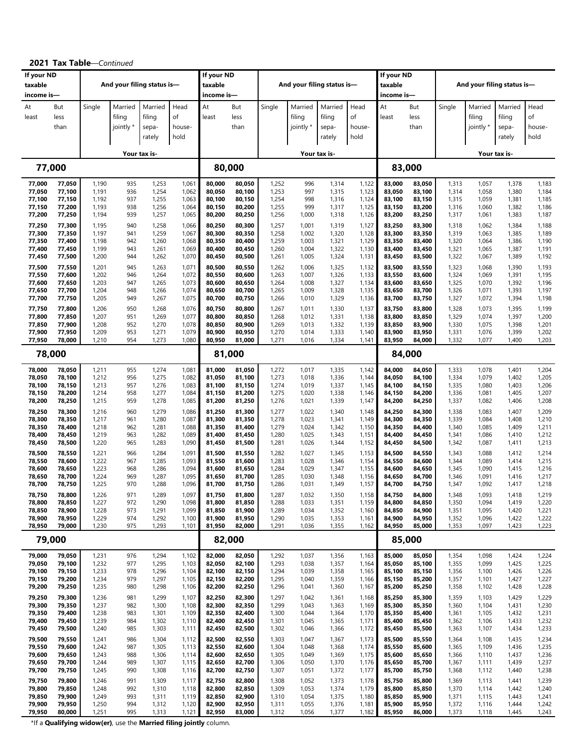| If your ND<br>taxable |                  |                | And your filing status is- |                |                | If your ND<br>taxable |                  |                | And your filing status is- |                |                | If your ND<br>taxable |                  |                |                | And your filing status is- |                |
|-----------------------|------------------|----------------|----------------------------|----------------|----------------|-----------------------|------------------|----------------|----------------------------|----------------|----------------|-----------------------|------------------|----------------|----------------|----------------------------|----------------|
| income is-            |                  |                |                            |                |                | income is-            |                  |                |                            |                |                | income is—            |                  |                |                |                            |                |
| At                    | But              | Single         | Married                    | Married        | Head           | At                    | But              | Single         | Married                    | Married        | Head           | At                    | But              | Single         | Married        | Married                    | Head           |
| least                 | less             |                | filing                     | filing         | of             | least                 | less             |                | filing                     | filing         | of             | least                 | less             |                | filing         | filing                     | of             |
|                       | than             |                | jointly *                  | sepa-          | house-         |                       | than             |                | jointly *                  | sepa-          | house-         |                       | than             |                | jointly *      | sepa-                      | house-         |
|                       |                  |                |                            | rately         | hold           |                       |                  |                |                            | rately         | hold           |                       |                  |                |                | rately                     | hold           |
|                       |                  |                |                            | Your tax is-   |                |                       |                  |                |                            | Your tax is-   |                |                       |                  |                |                | Your tax is-               |                |
|                       | 77,000           |                |                            |                |                | 80,000                |                  |                |                            |                |                |                       | 83,000           |                |                |                            |                |
| 77,000                | 77,050           | 1,190          | 935                        | 1,253          | 1,061          | 80,000                | 80,050           | 1,252          | 996                        | 1,314          | 1,122          | 83,000                | 83,050           | 1,313          | 1,057          | 1,378                      | 1,183          |
| 77,050<br>77,100      | 77,100<br>77,150 | 1,191<br>1,192 | 936<br>937                 | 1,254<br>1,255 | 1,062<br>1,063 | 80,050<br>80,100      | 80,100<br>80,150 | 1,253<br>1,254 | 997<br>998                 | 1,315<br>1,316 | 1,123<br>1,124 | 83,050<br>83,100      | 83,100<br>83,150 | 1,314<br>1,315 | 1,058<br>1,059 | 1,380<br>1,381             | 1,184<br>1,185 |
| 77,150                | 77,200           | 1,193          | 938                        | 1,256          | 1,064          | 80,150                | 80,200           | 1,255          | 999                        | 1,317          | 1,125          | 83,150                | 83,200           | 1,316          | 1,060          | 1,382                      | 1,186          |
| 77,200                | 77,250           | 1,194          | 939<br>940                 | 1,257          | 1,065          | 80,200                | 80,250           | 1,256          | 1,000                      | 1,318          | 1,126          | 83,200                | 83,250           | 1,317          | 1,061          | 1,383                      | 1,187          |
| 77,250<br>77,300      | 77,300<br>77,350 | 1,195<br>1,197 | 941                        | 1,258<br>1,259 | 1,066<br>1,067 | 80,250<br>80,300      | 80,300<br>80,350 | 1,257<br>1,258 | 1,001<br>1,002             | 1,319<br>1,320 | 1,127<br>1,128 | 83,250<br>83,300      | 83,300<br>83,350 | 1,318<br>1,319 | 1,062<br>1,063 | 1,384<br>1,385             | 1,188<br>1,189 |
| 77,350                | 77,400           | 1,198          | 942                        | 1,260          | 1,068          | 80,350                | 80,400           | 1,259          | 1,003                      | 1,321          | 1,129          | 83,350                | 83,400           | 1,320          | 1,064          | 1,386                      | 1,190          |
| 77,400<br>77,450      | 77,450<br>77,500 | 1,199<br>1,200 | 943<br>944                 | 1,261<br>1,262 | 1,069<br>1,070 | 80,400<br>80,450      | 80,450<br>80,500 | 1,260<br>1,261 | 1,004<br>1,005             | 1,322<br>1,324 | 1,130<br>1,131 | 83,400<br>83,450      | 83,450<br>83,500 | 1,321<br>1,322 | 1,065<br>1,067 | 1,387<br>1,389             | 1,191<br>1,192 |
| 77,500                | 77,550           | 1,201          | 945                        | 1,263          | 1,071          | 80,500                | 80,550           | 1,262          | 1,006                      | 1,325          | 1,132          | 83,500                | 83,550           | 1,323          | 1,068          | 1,390                      | 1,193          |
| 77,550                | 77,600           | 1,202          | 946                        | 1,264          | 1,072          | 80,550                | 80,600           | 1,263          | 1,007                      | 1,326          | 1,133          | 83,550                | 83,600           | 1,324          | 1,069          | 1,391                      | 1,195          |
| 77,600<br>77,650      | 77,650<br>77,700 | 1,203<br>1,204 | 947<br>948                 | 1,265<br>1,266 | 1,073<br>1,074 | 80,600<br>80,650      | 80,650<br>80,700 | 1,264<br>1,265 | 1,008<br>1,009             | 1,327<br>1,328 | 1,134<br>1,135 | 83,600<br>83,650      | 83,650<br>83,700 | 1,325<br>1,326 | 1,070<br>1,071 | 1,392<br>1,393             | 1,196<br>1,197 |
| 77,700                | 77,750           | 1,205          | 949                        | 1,267          | 1,075          | 80,700                | 80,750           | 1,266          | 1,010                      | 1,329          | 1,136          | 83,700                | 83,750           | 1,327          | 1,072          | 1,394                      | 1,198          |
| 77,750<br>77,800      | 77,800<br>77,850 | 1,206<br>1,207 | 950<br>951                 | 1,268<br>1,269 | 1,076<br>1,077 | 80,750<br>80,800      | 80,800<br>80,850 | 1,267<br>1,268 | 1,011<br>1,012             | 1,330<br>1,331 | 1,137<br>1,138 | 83,750<br>83,800      | 83,800<br>83,850 | 1,328<br>1,329 | 1,073<br>1,074 | 1,395<br>1,397             | 1,199<br>1,200 |
| 77,850                | 77,900           | 1,208          | 952                        | 1,270          | 1,078          | 80,850                | 80,900           | 1,269          | 1,013                      | 1,332          | 1,139          | 83,850                | 83,900           | 1,330          | 1,075          | 1,398                      | 1,201          |
| 77,900                | 77,950           | 1,209          | 953<br>954                 | 1,271          | 1,079          | 80,900                | 80,950           | 1,270          | 1,014                      | 1,333          | 1,140          | 83,900                | 83,950           | 1,331          | 1,076          | 1,399                      | 1,202          |
| 77,950                | 78,000<br>78,000 | 1,210          |                            | 1,273          | 1,080          | 80,950<br>81,000      | 81,000           | 1,271          | 1,016                      | 1,334          | 1,141          | 83,950                | 84,000<br>84,000 | 1,332          | 1,077          | 1,400                      | 1,203          |
|                       |                  |                |                            |                |                |                       |                  |                |                            |                |                |                       |                  |                |                |                            |                |
| 78,000<br>78,050      | 78,050<br>78,100 | 1,211<br>1,212 | 955<br>956                 | 1,274<br>1,275 | 1,081<br>1,082 | 81,000<br>81,050      | 81,050<br>81,100 | 1,272<br>1,273 | 1,017<br>1,018             | 1,335<br>1,336 | 1,142<br>1,144 | 84,000<br>84,050      | 84,050<br>84,100 | 1,333<br>1,334 | 1,078<br>1,079 | 1,401<br>1,402             | 1,204<br>1,205 |
| 78,100                | 78,150           | 1,213          | 957                        | 1,276          | 1,083          | 81,100                | 81,150           | 1,274          | 1,019                      | 1,337          | 1,145          | 84,100                | 84,150           | 1,335          | 1,080          | 1,403                      | 1,206          |
| 78,150<br>78,200      | 78,200<br>78,250 | 1,214<br>1,215 | 958<br>959                 | 1,277<br>1,278 | 1,084<br>1,085 | 81,150<br>81,200      | 81,200<br>81,250 | 1,275<br>1,276 | 1,020<br>1,021             | 1,338<br>1,339 | 1,146<br>1,147 | 84,150<br>84,200      | 84,200<br>84,250 | 1,336<br>1,337 | 1,081<br>1,082 | 1,405<br>1,406             | 1,207<br>1,208 |
| 78,250                | 78,300           | 1,216          | 960                        | 1,279          | 1,086          | 81,250                | 81,300           | 1,277          | 1,022                      | 1,340          | 1,148          | 84,250                | 84,300           | 1,338          | 1,083          | 1,407                      | 1,209          |
| 78,300                | 78,350           | 1,217          | 961                        | 1,280          | 1,087          | 81,300                | 81,350           | 1,278          | 1,023                      | 1,341          | 1,149          | 84,300                | 84,350           | 1,339          | 1,084          | 1,408                      | 1,210          |
| 78,350<br>78,400      | 78,400<br>78,450 | 1,218<br>1,219 | 962<br>963                 | 1,281<br>1,282 | 1,088<br>1,089 | 81,350<br>81,400      | 81,400<br>81,450 | 1,279<br>1,280 | 1,024<br>1,025             | 1,342<br>1,343 | 1,150<br>1,151 | 84,350<br>84,400      | 84,400<br>84,450 | 1,340<br>1,341 | 1,085<br>1,086 | 1,409<br>1,410             | 1,211<br>1,212 |
| 78,450                | 78,500           | 1,220          | 965                        | 1,283          | 1,090          | 81,450                | 81,500           | 1,281          | 1,026                      | 1,344          | 1,152          | 84,450                | 84,500           | 1,342          | 1,087          | 1,411                      | 1,213          |
| 78,500                | 78,550           | 1,221          | 966                        | 1,284          | 1,091          | 81,500                | 81,550           | 1,282          | 1,027                      | 1,345          | 1,153          | 84,500                | 84,550           | 1,343          | 1,088          | 1,412                      | 1,214          |
| 78,550<br>78,600      | 78,600<br>78,650 | 1,222<br>1,223 | 967<br>968                 | 1,285<br>1,286 | 1,093<br>1,094 | 81,550<br>81,600      | 81,600<br>81,650 | 1,283<br>1,284 | 1,028<br>1,029             | 1,346<br>1,347 | 1,154<br>1,155 | 84,550<br>84,600      | 84,600<br>84,650 | 1,344<br>1,345 | 1,089<br>1,090 | 1,414<br>1,415             | 1,215<br>1,216 |
| 78,650                | 78,700           | 1,224          | 969                        | 1,287          | 1,095          | 81,650                | 81,700           | 1,285          | 1,030                      | 1,348          | 1,156          | 84,650                | 84,700           | 1,346          | 1,091          | 1,416                      | 1,217          |
| 78,700                | 78,750           | 1,225          | 970                        | 1,288          | 1,096          | 81,700                | 81,750           | 1,286          | 1,031                      | 1,349          | 1,157          | 84,700                | 84,750           | 1,347          | 1,092          | 1,417                      | 1,218          |
| 78,750<br>78,800      | 78,800<br>78,850 | 1,226<br>1,227 | 971<br>972                 | 1,289<br>1,290 | 1,097<br>1,098 | 81,750<br>81,800      | 81,800<br>81,850 | 1,287<br>1,288 | 1,032<br>1,033             | 1,350<br>1,351 | 1,158<br>1,159 | 84,750<br>84,800      | 84,800<br>84,850 | 1,348<br>1,350 | 1,093<br>1,094 | 1,418<br>1,419             | 1,219<br>1,220 |
| 78,850                | 78,900           | 1,228          | 973                        | 1,291          | 1,099          | 81,850                | 81,900           | 1,289          | 1,034                      | 1,352          | 1,160          | 84,850                | 84,900           | 1,351          | 1,095          | 1,420                      | 1,221          |
| 78,900<br>78,950      | 78,950<br>79,000 | 1,229<br>1,230 | 974<br>975                 | 1,292<br>1,293 | 1,100<br>1,101 | 81,900<br>81,950      | 81,950<br>82,000 | 1,290<br>1,291 | 1,035<br>1,036             | 1,353<br>1,355 | 1,161<br>1,162 | 84,900<br>84,950      | 84,950<br>85,000 | 1,352<br>1,353 | 1,096<br>1,097 | 1,422<br>1,423             | 1,222<br>1,223 |
|                       | 79,000           |                |                            |                |                | 82,000                |                  |                |                            |                |                |                       | 85,000           |                |                |                            |                |
| 79,000                | 79,050           | 1,231          | 976                        | 1,294          | 1,102          | 82,000                | 82,050           | 1,292          | 1,037                      | 1,356          | 1,163          | 85,000                | 85,050           | 1,354          | 1,098          | 1,424                      | 1,224          |
| 79,050<br>79,100      | 79,100<br>79,150 | 1,232<br>1,233 | 977<br>978                 | 1,295<br>1,296 | 1,103<br>1,104 | 82,050<br>82,100      | 82,100<br>82,150 | 1,293<br>1,294 | 1,038<br>1,039             | 1,357<br>1,358 | 1,164<br>1,165 | 85,050<br>85,100      | 85,100<br>85,150 | 1,355<br>1,356 | 1,099<br>1,100 | 1,425<br>1,426             | 1,225<br>1,226 |
| 79,150                | 79,200           | 1,234          | 979                        | 1,297          | 1,105          | 82,150                | 82,200           | 1,295          | 1,040                      | 1,359          | 1,166          | 85,150                | 85,200           | 1,357          | 1,101          | 1,427                      | 1,227          |
| 79,200                | 79,250           | 1,235          | 980                        | 1,298          | 1,106          | 82,200                | 82,250           | 1,296          | 1,041                      | 1,360          | 1,167          | 85,200                | 85,250           | 1,358          | 1,102          | 1,428                      | 1,228          |
| 79,250<br>79,300      | 79,300<br>79,350 | 1,236<br>1,237 | 981<br>982                 | 1,299<br>1,300 | 1,107<br>1,108 | 82,250<br>82,300      | 82,300<br>82,350 | 1,297<br>1,299 | 1,042<br>1,043             | 1,361<br>1,363 | 1,168<br>1,169 | 85,250<br>85,300      | 85,300<br>85,350 | 1,359<br>1,360 | 1,103<br>1,104 | 1,429<br>1,431             | 1,229<br>1,230 |
| 79,350                | 79,400           | 1,238          | 983                        | 1,301          | 1,109          | 82,350                | 82,400           | 1,300          | 1,044                      | 1,364          | 1,170          | 85,350                | 85,400           | 1,361          | 1,105          | 1,432                      | 1,231          |
| 79,400<br>79,450      | 79,450<br>79,500 | 1,239<br>1,240 | 984<br>985                 | 1,302<br>1,303 | 1,110<br>1,111 | 82,400<br>82,450      | 82,450<br>82,500 | 1,301<br>1,302 | 1,045<br>1,046             | 1,365<br>1,366 | 1,171<br>1,172 | 85,400<br>85,450      | 85,450<br>85,500 | 1,362<br>1,363 | 1,106<br>1,107 | 1,433<br>1,434             | 1,232<br>1,233 |
| 79,500                | 79,550           | 1,241          | 986                        | 1,304          | 1,112          | 82,500                | 82,550           | 1,303          | 1,047                      | 1,367          | 1,173          | 85,500                | 85,550           | 1,364          | 1,108          | 1,435                      | 1,234          |
| 79,550                | 79,600           | 1,242          | 987                        | 1,305          | 1,113          | 82,550                | 82,600           | 1,304          | 1,048                      | 1,368          | 1,174          | 85,550                | 85,600           | 1,365          | 1,109          | 1,436                      | 1,235          |
| 79,600<br>79,650      | 79,650<br>79,700 | 1,243<br>1,244 | 988<br>989                 | 1,306<br>1,307 | 1,114<br>1,115 | 82,600<br>82,650      | 82,650<br>82,700 | 1,305<br>1,306 | 1,049<br>1,050             | 1,369<br>1,370 | 1,175<br>1,176 | 85,600<br>85,650      | 85,650<br>85,700 | 1,366<br>1,367 | 1,110<br>1,111 | 1,437<br>1,439             | 1,236<br>1,237 |
| 79,700                | 79,750           | 1,245          | 990                        | 1,308          | 1,116          | 82,700                | 82,750           | 1,307          | 1,051                      | 1,372          | 1,177          | 85,700                | 85,750           | 1,368          | 1,112          | 1,440                      | 1,238          |
| 79,750                | 79,800           | 1,246          | 991                        | 1,309          | 1,117          | 82,750                | 82,800           | 1,308          | 1,052                      | 1,373          | 1,178          | 85,750                | 85,800           | 1,369          | 1,113          | 1,441                      | 1,239          |
| 79,800<br>79,850      | 79,850<br>79,900 | 1,248<br>1,249 | 992<br>993                 | 1,310<br>1,311 | 1,118<br>1,119 | 82,800<br>82,850      | 82,850<br>82,900 | 1,309<br>1,310 | 1,053<br>1,054             | 1,374<br>1,375 | 1,179<br>1,180 | 85,800<br>85,850      | 85,850<br>85,900 | 1,370<br>1,371 | 1,114<br>1,115 | 1,442<br>1,443             | 1,240<br>1,241 |
| 79,900                | 79,950           | 1,250          | 994                        | 1,312          | 1,120          | 82,900                | 82,950           | 1,311          | 1,055                      | 1,376          | 1,181          | 85,900                | 85,950           | 1,372          | 1,116          | 1,444                      | 1,242          |
| 79,950                | 80,000           | 1,251          | 995                        | 1,313          | 1,121          | 82,950                | 83,000           | 1,312          | 1,056                      | 1,377          | 1,182          | 85,950                | 86,000           | 1,373          | 1,118          | 1,445                      | 1,243          |

**2021 Tax Table**—*Continued*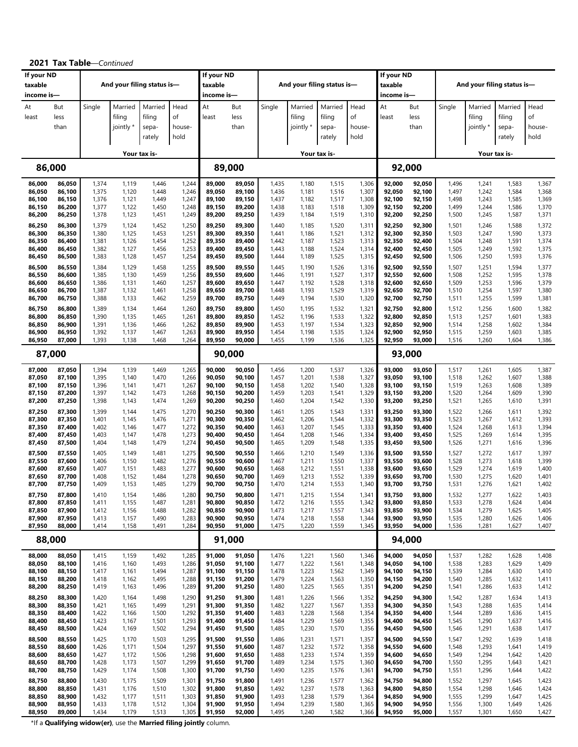| If your ND<br>taxable<br>income is-  |                                      |                                  | And your filing status is-       |                                      |                                  | If your ND<br>taxable<br>income is-            |                                      |                                  |                                  | And your filing status is-           |                                  | If your ND<br>taxable<br>income is-  |                                      |                                  |                                  | And your filing status is-           |                                  |
|--------------------------------------|--------------------------------------|----------------------------------|----------------------------------|--------------------------------------|----------------------------------|------------------------------------------------|--------------------------------------|----------------------------------|----------------------------------|--------------------------------------|----------------------------------|--------------------------------------|--------------------------------------|----------------------------------|----------------------------------|--------------------------------------|----------------------------------|
| At<br>least                          | But<br>less<br>than                  | Single                           | Married<br>filing<br>jointly *   | Married<br>filing<br>sepa-<br>rately | Head<br>of<br>house-<br>hold     | At<br>least                                    | But<br>less<br>than                  | Single                           | Married<br>filing<br>jointly *   | Married<br>filing<br>sepa-<br>rately | Head<br>of<br>house-<br>hold     | At<br>least                          | But<br>less<br>than                  | Single                           | Married<br>filing<br>jointly *   | Married<br>filing<br>sepa-<br>rately | Head<br>of<br>house-<br>hold     |
|                                      |                                      |                                  |                                  | Your tax is-                         |                                  |                                                |                                      |                                  |                                  | Your tax is-                         |                                  |                                      |                                      |                                  |                                  | Your tax is-                         |                                  |
|                                      | 86,000                               |                                  |                                  |                                      |                                  | 89,000                                         |                                      |                                  |                                  |                                      |                                  |                                      | 92,000                               |                                  |                                  |                                      |                                  |
| 86,000                               | 86,050                               | 1,374                            | 1,119                            | 1,446                                | 1,244                            | 89,000                                         | 89,050                               | 1,435                            | 1,180                            | 1,515                                | 1,306                            | 92,000                               | 92,050                               | 1,496                            | 1,241                            | 1,583                                | 1,367                            |
| 86,050                               | 86,100                               | 1,375                            | 1,120                            | 1,448                                | 1,246                            | 89,050                                         | 89,100                               | 1,436                            | 1,181                            | 1,516                                | 1,307                            | 92,050                               | 92,100                               | 1,497                            | 1,242                            | 1,584                                | 1,368                            |
| 86,100                               | 86,150                               | 1,376                            | 1,121                            | 1,449                                | 1,247                            | 89,100                                         | 89,150                               | 1,437                            | 1,182                            | 1,517                                | 1,308                            | 92,100                               | 92,150                               | 1,498                            | 1,243                            | 1,585                                | 1,369                            |
| 86,150                               | 86,200                               | 1,377                            | 1,122                            | 1,450                                | 1,248                            | 89,150                                         | 89,200                               | 1,438                            | 1,183                            | 1,518                                | 1,309                            | 92,150                               | 92,200                               | 1,499                            | 1,244                            | 1,586                                | 1,370                            |
| 86,200                               | 86,250                               | 1,378                            | 1,123                            | 1,451                                | 1,249                            | 89,200                                         | 89,250                               | 1,439                            | 1,184                            | 1,519                                | 1,310                            | 92,200                               | 92,250                               | 1,500                            | 1,245                            | 1,587                                | 1,371                            |
| 86,250                               | 86,300                               | 1,379                            | 1,124                            | 1,452                                | 1,250                            | 89,250                                         | 89,300                               | 1,440                            | 1,185                            | 1,520                                | 1,311                            | 92,250                               | 92,300                               | 1,501                            | 1,246                            | 1,588                                | 1,372                            |
| 86,300                               | 86,350                               | 1,380                            | 1,125                            | 1,453                                | 1,251                            | 89,300                                         | 89,350                               | 1,441                            | 1,186                            | 1,521                                | 1,312                            | 92,300                               | 92,350                               | 1,503                            | 1,247                            | 1,590                                | 1,373                            |
| 86,350                               | 86,400                               | 1,381                            | 1,126                            | 1,454                                | 1,252                            | 89,350                                         | 89,400                               | 1,442                            | 1,187                            | 1,523                                | 1,313                            | 92,350                               | 92,400                               | 1,504                            | 1,248                            | 1,591                                | 1,374                            |
| 86,400                               | 86,450                               | 1,382                            | 1,127                            | 1,456                                | 1,253                            | 89,400                                         | 89,450                               | 1,443                            | 1,188                            | 1,524                                | 1,314                            | 92,400                               | 92,450                               | 1,505                            | 1,249                            | 1,592                                | 1,375                            |
| 86,450                               | 86,500                               | 1,383                            | 1,128                            | 1,457                                | 1,254                            | 89,450                                         | 89,500                               | 1,444                            | 1,189                            | 1,525                                | 1,315                            | 92,450                               | 92,500                               | 1,506                            | 1,250                            | 1,593                                | 1,376                            |
| 86,500                               | 86,550                               | 1,384                            | 1,129                            | 1,458                                | 1,255                            | 89,500                                         | 89,550                               | 1,445                            | 1,190                            | 1,526                                | 1,316                            | 92,500                               | 92,550                               | 1,507                            | 1,251                            | 1,594                                | 1,377                            |
| 86,550                               | 86,600                               | 1,385                            | 1,130                            | 1,459                                | 1,256                            | 89,550                                         | 89,600                               | 1,446                            | 1,191                            | 1,527                                | 1,317                            | 92,550                               | 92,600                               | 1,508                            | 1,252                            | 1,595                                | 1,378                            |
| 86,600                               | 86,650                               | 1,386                            | 1,131                            | 1,460                                | 1,257                            | 89,600                                         | 89,650                               | 1,447                            | 1,192                            | 1,528                                | 1,318                            | 92,600                               | 92,650                               | 1,509                            | 1,253                            | 1,596                                | 1,379                            |
| 86,650                               | 86,700                               | 1,387                            | 1,132                            | 1,461                                | 1,258                            | 89,650                                         | 89,700                               | 1,448                            | 1,193                            | 1,529                                | 1,319                            | 92,650                               | 92,700                               | 1,510                            | 1,254                            | 1,597                                | 1,380                            |
| 86,700                               | 86,750                               | 1,388                            | 1,133                            | 1,462                                | 1,259                            | 89,700                                         | 89,750                               | 1,449                            | 1,194                            | 1,530                                | 1,320                            | 92,700                               | 92,750                               | 1,511                            | 1,255                            | 1,599                                | 1,381                            |
| 86,750                               | 86,800                               | 1,389                            | 1,134                            | 1,464                                | 1,260                            | 89,750                                         | 89,800                               | 1,450                            | 1,195                            | 1,532                                | 1,321                            | 92,750                               | 92,800                               | 1,512                            | 1,256                            | 1,600                                | 1,382                            |
| 86,800<br>86,850<br>86,900<br>86,950 | 86,850<br>86,900<br>86,950<br>87,000 | 1,390<br>1,391<br>1,392<br>1,393 | 1,135<br>1,136<br>1,137<br>1,138 | 1,465<br>1,466<br>1,467<br>1,468     | 1,261<br>1,262<br>1,263<br>1,264 | 89,800<br>89,850<br>89,900<br>89,950<br>90,000 | 89,850<br>89,900<br>89,950<br>90,000 | 1,452<br>1,453<br>1,454<br>1,455 | 1,196<br>1,197<br>1,198<br>1,199 | 1,533<br>1,534<br>1,535<br>1,536     | 1,322<br>1,323<br>1,324<br>1,325 | 92,800<br>92,850<br>92,900<br>92,950 | 92,850<br>92,900<br>92,950<br>93,000 | 1,513<br>1,514<br>1,515<br>1,516 | 1,257<br>1,258<br>1,259<br>1,260 | 1,601<br>1,602<br>1,603<br>1,604     | 1,383<br>1,384<br>1,385<br>1,386 |
|                                      | 87,000                               |                                  |                                  |                                      |                                  |                                                |                                      |                                  |                                  |                                      |                                  |                                      | 93,000                               |                                  |                                  |                                      |                                  |
| 87,000                               | 87,050                               | 1,394                            | 1,139                            | 1,469                                | 1,265                            | 90,000                                         | 90,050                               | 1,456                            | 1,200                            | 1,537                                | 1,326                            | 93,000                               | 93,050                               | 1,517                            | 1,261                            | 1,605                                | 1,387                            |
| 87,050                               | 87,100                               | 1,395                            | 1,140                            | 1,470                                | 1,266                            | 90,050                                         | 90,100                               | 1,457                            | 1,201                            | 1,538                                | 1,327                            | 93,050                               | 93,100                               | 1,518                            | 1,262                            | 1,607                                | 1,388                            |
| 87,100                               | 87,150                               | 1,396                            | 1,141                            | 1,471                                | 1,267                            | 90,100                                         | 90,150                               | 1,458                            | 1,202                            | 1,540                                | 1,328                            | 93,100                               | 93,150                               | 1,519                            | 1,263                            | 1,608                                | 1,389                            |
| 87,150                               | 87,200                               | 1,397                            | 1,142                            | 1,473                                | 1,268                            | 90,150                                         | 90,200                               | 1,459                            | 1,203                            | 1,541                                | 1,329                            | 93,150                               | 93,200                               | 1,520                            | 1,264                            | 1,609                                | 1,390                            |
| 87,200                               | 87,250                               | 1,398                            | 1,143                            | 1,474                                | 1,269                            | 90,200                                         | 90,250                               | 1,460                            | 1,204                            | 1,542                                | 1,330                            | 93,200                               | 93,250                               | 1,521                            | 1,265                            | 1,610                                | 1,391                            |
| 87,250                               | 87,300                               | 1,399                            | 1,144                            | 1,475                                | 1,270                            | 90,250                                         | 90,300                               | 1,461                            | 1,205                            | 1,543                                | 1,331                            | 93,250                               | 93,300                               | 1,522                            | 1,266                            | 1,611                                | 1,392                            |
| 87,300                               | 87,350                               | 1,401                            | 1,145                            | 1,476                                | 1,271                            | 90,300                                         | 90,350                               | 1,462                            | 1,206                            | 1,544                                | 1,332                            | 93,300                               | 93,350                               | 1,523                            | 1,267                            | 1,612                                | 1,393                            |
| 87,350                               | 87,400                               | 1,402                            | 1,146                            | 1,477                                | 1,272                            | 90,350                                         | 90,400                               | 1,463                            | 1,207                            | 1,545                                | 1,333                            | 93,350                               | 93,400                               | 1,524                            | 1,268                            | 1,613                                | 1,394                            |
| 87,400                               | 87,450                               | 1,403                            | 1,147                            | 1,478                                | 1,273                            | 90,400                                         | 90,450                               | 1,464                            | 1,208                            | 1,546                                | 1,334                            | 93,400                               | 93,450                               | 1,525                            | 1,269                            | 1,614                                | 1,395                            |
| 87,450                               | 87,500                               | 1,404                            | 1,148                            | 1,479                                | 1,274                            | 90,450                                         | 90,500                               | 1,465                            | 1,209                            | 1,548                                | 1,335                            | 93,450                               | 93,500                               | 1,526                            | 1,271                            | 1,616                                | 1,396                            |
| 87,500                               | 87,550                               | 1,405                            | 1,149                            | 1,481                                | 1,275                            | 90,500                                         | 90,550                               | 1,466                            | 1,210                            | 1,549                                | 1,336                            | 93,500                               | 93,550                               | 1,527                            | 1,272                            | 1,617                                | 1,397                            |
| 87,550                               | 87,600                               | 1,406                            | 1,150                            | 1,482                                | 1,276                            | 90,550                                         | 90,600                               | 1,467                            | 1,211                            | 1,550                                | 1,337                            | 93,550                               | 93,600                               | 1,528                            | 1,273                            | 1,618                                | 1,399                            |
| 87,600                               | 87,650                               | 1,407                            | 1,151                            | 1,483                                | 1,277                            | 90,600                                         | 90,650                               | 1,468                            | 1,212                            | 1,551                                | 1,338                            | 93,600                               | 93,650                               | 1,529                            | 1,274                            | 1,619                                | 1,400                            |
| 87,650                               | 87,700                               | 1,408                            | 1,152                            | 1,484                                | 1,278                            | 90,650                                         | 90,700                               | 1,469                            | 1,213                            | 1,552                                | 1,339                            | 93,650                               | 93,700                               | 1,530                            | 1,275                            | 1,620                                | 1,401                            |
| 87,700                               | 87,750                               | 1,409                            | 1,153                            | 1,485                                | 1,279                            | 90,700                                         | 90,750                               | 1,470                            | 1,214                            | 1,553                                | 1,340                            | 93,700                               | 93,750                               | 1,531                            | 1,276                            | 1,621                                | 1,402                            |
| 87,750                               | 87,800                               | 1,410                            | 1,154                            | 1,486                                | 1,280                            | 90,750                                         | 90,800                               | 1,471                            | 1,215                            | 1,554                                | 1,341                            | 93,750                               | 93,800                               | 1,532                            | 1,277                            | 1,622                                | 1,403                            |
| 87,800                               | 87,850                               | 1,411                            | 1,155                            | 1,487                                | 1,281                            | 90,800                                         | 90,850                               | 1,472                            | 1,216                            | 1,555                                | 1,342                            | 93,800                               | 93,850                               | 1,533                            | 1,278                            | 1,624                                | 1,404                            |
| 87,850                               | 87,900                               | 1,412                            | 1,156                            | 1,488                                | 1,282                            | 90,850                                         | 90,900                               | 1,473                            | 1,217                            | 1,557                                | 1,343                            | 93,850                               | 93,900                               | 1,534                            | 1,279                            | 1,625                                | 1,405                            |
| 87,900                               | 87,950                               | 1,413                            | 1,157                            | 1,490                                | 1,283                            | 90,900                                         | 90,950                               | 1,474                            | 1,218                            | 1,558                                | 1,344                            | 93,900                               | 93,950                               | 1,535                            | 1,280                            | 1,626                                | 1,406                            |
| 87,950                               | 88,000                               | 1,414                            | 1,158                            | 1,491                                | 1,284                            | 90,950                                         | 91,000                               | 1,475                            | 1,220                            | 1,559                                | 1,345                            | 93,950                               | 94,000                               | 1,536                            | 1,281                            | 1,627                                | 1,407                            |
|                                      | 88,000                               |                                  |                                  |                                      |                                  | 91,000                                         |                                      |                                  |                                  |                                      |                                  |                                      | 94,000                               |                                  |                                  |                                      |                                  |
| 88,000                               | 88,050                               | 1,415                            | 1,159                            | 1,492                                | 1,285                            | 91,000                                         | 91,050                               | 1,476                            | 1,221                            | 1,560                                | 1,346                            | 94,000                               | 94,050                               | 1,537                            | 1,282                            | 1,628                                | 1,408                            |
| 88,050                               | 88,100                               | 1,416                            | 1,160                            | 1,493                                | 1,286                            | 91,050                                         | 91,100                               | 1,477                            | 1,222                            | 1,561                                | 1,348                            | 94,050                               | 94,100                               | 1,538                            | 1,283                            | 1,629                                | 1,409                            |
| 88,100                               | 88,150                               | 1,417                            | 1,161                            | 1,494                                | 1,287                            | 91,100                                         | 91,150                               | 1,478                            | 1,223                            | 1,562                                | 1,349                            | 94,100                               | 94,150                               | 1,539                            | 1,284                            | 1,630                                | 1,410                            |
| 88,150                               | 88,200                               | 1,418                            | 1,162                            | 1,495                                | 1,288                            | 91,150                                         | 91,200                               | 1,479                            | 1,224                            | 1,563                                | 1,350                            | 94,150                               | 94,200                               | 1,540                            | 1,285                            | 1,632                                | 1,411                            |
| 88,200                               | 88,250                               | 1,419                            | 1,163                            | 1,496                                | 1,289                            | 91,200                                         | 91,250                               | 1,480                            | 1,225                            | 1,565                                | 1,351                            | 94,200                               | 94,250                               | 1,541                            | 1,286                            | 1,633                                | 1,412                            |
| 88,250                               | 88,300                               | 1,420                            | 1,164                            | 1,498                                | 1,290                            | 91,250                                         | 91,300                               | 1,481                            | 1,226                            | 1,566                                | 1,352                            | 94,250                               | 94,300                               | 1,542                            | 1,287                            | 1,634                                | 1,413                            |
| 88,300                               | 88,350                               | 1,421                            | 1,165                            | 1,499                                | 1,291                            | 91,300                                         | 91,350                               | 1,482                            | 1,227                            | 1,567                                | 1,353                            | 94,300                               | 94,350                               | 1,543                            | 1,288                            | 1,635                                | 1,414                            |
| 88,350                               | 88,400                               | 1,422                            | 1,166                            | 1,500                                | 1,292                            | 91,350                                         | 91,400                               | 1,483                            | 1,228                            | 1,568                                | 1,354                            | 94,350                               | 94,400                               | 1,544                            | 1,289                            | 1,636                                | 1,415                            |
| 88,400                               | 88,450                               | 1,423                            | 1,167                            | 1,501                                | 1,293                            | 91,400                                         | 91,450                               | 1,484                            | 1,229                            | 1,569                                | 1,355                            | 94,400                               | 94,450                               | 1,545                            | 1,290                            | 1,637                                | 1,416                            |
| 88,450                               | 88,500                               | 1,424                            | 1,169                            | 1,502                                | 1,294                            | 91,450                                         | 91,500                               | 1,485                            | 1,230                            | 1,570                                | 1,356                            | 94,450                               | 94,500                               | 1,546                            | 1,291                            | 1,638                                | 1,417                            |
| 88,500                               | 88,550                               | 1,425                            | 1,170                            | 1,503                                | 1,295                            | 91,500                                         | 91,550                               | 1,486                            | 1,231                            | 1,571                                | 1,357                            | 94,500                               | 94,550                               | 1,547                            | 1,292                            | 1,639                                | 1,418                            |
| 88,550                               | 88,600                               | 1,426                            | 1,171                            | 1,504                                | 1,297                            | 91,550                                         | 91,600                               | 1,487                            | 1,232                            | 1,572                                | 1,358                            | 94,550                               | 94,600                               | 1,548                            | 1,293                            | 1,641                                | 1,419                            |
| 88,600                               | 88,650                               | 1,427                            | 1,172                            | 1,506                                | 1,298                            | 91,600                                         | 91,650                               | 1,488                            | 1,233                            | 1,574                                | 1,359                            | 94,600                               | 94,650                               | 1,549                            | 1,294                            | 1,642                                | 1,420                            |
| 88,650                               | 88,700                               | 1,428                            | 1,173                            | 1,507                                | 1,299                            | 91,650                                         | 91,700                               | 1,489                            | 1,234                            | 1,575                                | 1,360                            | 94,650                               | 94,700                               | 1,550                            | 1,295                            | 1,643                                | 1,421                            |
| 88,700                               | 88,750                               | 1,429                            | 1,174                            | 1,508                                | 1,300                            | 91,700                                         | 91,750                               | 1,490                            | 1,235                            | 1,576                                | 1,361                            | 94,700                               | 94,750                               | 1,551                            | 1,296                            | 1,644                                | 1,422                            |
| 88,750                               | 88,800                               | 1,430                            | 1,175                            | 1,509                                | 1,301                            | 91,750                                         | 91,800                               | 1,491                            | 1,236                            | 1,577                                | 1,362                            | 94,750                               | 94,800                               | 1,552                            | 1,297                            | 1,645                                | 1,423                            |
| 88,800                               | 88,850                               | 1,431                            | 1,176                            | 1,510                                | 1,302                            | 91,800                                         | 91,850                               | 1,492                            | 1,237                            | 1,578                                | 1,363                            | 94,800                               | 94,850                               | 1,554                            | 1,298                            | 1,646                                | 1,424                            |
| 88,850                               | 88,900                               | 1,432                            | 1,177                            | 1,511                                | 1,303                            | 91,850                                         | 91,900                               | 1,493                            | 1,238                            | 1,579                                | 1,364                            | 94,850                               | 94,900                               | 1,555                            | 1,299                            | 1,647                                | 1,425                            |
| 88,900                               | 88,950                               | 1,433                            | 1,178                            | 1,512                                | 1,304                            | 91,900                                         | 91,950                               | 1,494                            | 1,239                            | 1,580                                | 1,365                            | 94,900                               | 94,950                               | 1,556                            | 1,300                            | 1,649                                | 1,426                            |
| 88,950                               | 89,000                               | 1,434                            | 1,179                            | 1,513                                | 1,305                            | 91,950                                         | 92,000                               | 1,495                            | 1,240                            | 1,582                                | 1,366                            | 94,950                               | 95,000                               | 1,557                            | 1,301                            | 1,650                                | 1,427                            |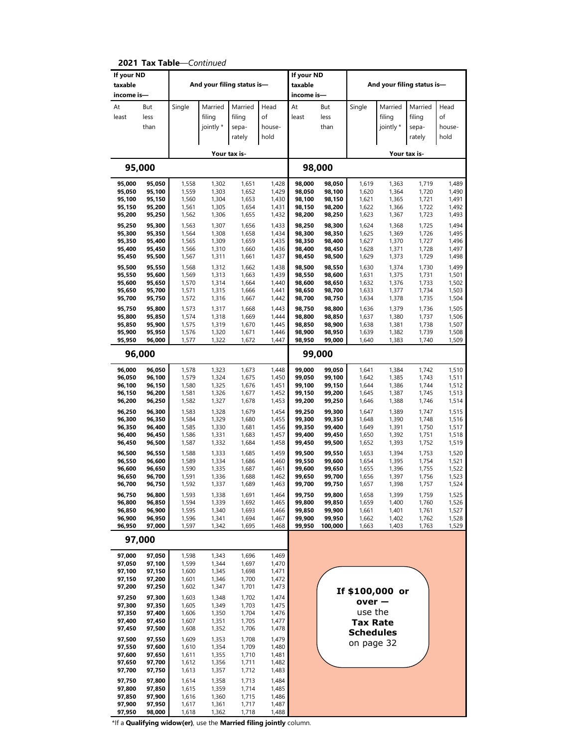| If your ND<br>taxable |                  |                |                | And your filing status is- |                | If your ND<br>taxable |                  |                  |                | And your filing status is- |                |
|-----------------------|------------------|----------------|----------------|----------------------------|----------------|-----------------------|------------------|------------------|----------------|----------------------------|----------------|
| income is-            |                  |                |                |                            |                | income is-            |                  |                  |                |                            |                |
| At                    | But              | Single         | Married        | Married                    | Head           | At                    | But              | Single           | Married        | Married                    | Head           |
| least                 | less             |                | filing         | filing                     | of             | least                 | less             |                  | filing         | filing                     | of             |
|                       | than             |                | jointly *      | sepa-                      | house-         |                       | than             |                  | jointly *      | sepa-                      | house-         |
|                       |                  |                |                | rately                     | hold           |                       |                  |                  |                | rately                     | hold           |
|                       |                  |                |                | Your tax is-               |                |                       |                  |                  |                | Your tax is-               |                |
|                       | 95,000           |                |                |                            |                |                       | 98,000           |                  |                |                            |                |
|                       |                  |                |                |                            |                |                       |                  |                  |                |                            |                |
| 95,000<br>95,050      | 95,050<br>95,100 | 1,558<br>1,559 | 1,302<br>1,303 | 1,651<br>1,652             | 1,428<br>1,429 | 98,000<br>98,050      | 98,050<br>98,100 | 1,619<br>1,620   | 1,363<br>1,364 | 1,719<br>1,720             | 1,489<br>1,490 |
| 95,100                | 95,150           | 1,560          | 1,304          | 1,653                      | 1,430          | 98,100                | 98,150           | 1,621            | 1,365          | 1,721                      | 1,491          |
| 95,150                | 95,200           | 1,561          | 1,305          | 1,654                      | 1,431          | 98,150                | 98,200           | 1,622            | 1,366          | 1,722                      | 1,492          |
| 95,200                | 95,250           | 1,562          | 1,306          | 1,655                      | 1,432          | 98,200                | 98,250           | 1,623            | 1,367          | 1,723                      | 1,493          |
| 95,250<br>95,300      | 95,300<br>95,350 | 1,563<br>1,564 | 1,307<br>1,308 | 1,656<br>1,658             | 1,433<br>1,434 | 98,250<br>98,300      | 98,300<br>98,350 | 1,624            | 1,368<br>1,369 | 1,725<br>1,726             | 1,494<br>1,495 |
| 95,350                | 95,400           | 1,565          | 1,309          | 1,659                      | 1,435          | 98,350                | 98,400           | 1,625<br>1,627   | 1,370          | 1,727                      | 1,496          |
| 95,400                | 95,450           | 1,566          | 1,310          | 1,660                      | 1,436          | 98,400                | 98,450           | 1,628            | 1,371          | 1,728                      | 1,497          |
| 95,450                | 95,500           | 1,567          | 1,311          | 1,661                      | 1,437          | 98,450                | 98,500           | 1,629            | 1,373          | 1,729                      | 1,498          |
| 95,500                | 95,550           | 1,568          | 1,312          | 1,662                      | 1,438          | 98,500                | 98,550           | 1,630            | 1,374          | 1,730                      | 1,499          |
| 95,550<br>95,600      | 95,600<br>95,650 | 1,569<br>1,570 | 1,313<br>1,314 | 1,663<br>1,664             | 1,439<br>1,440 | 98,550<br>98,600      | 98,600<br>98,650 | 1,631<br>1,632   | 1,375<br>1,376 | 1,731<br>1,733             | 1,501<br>1,502 |
| 95,650                | 95,700           | 1,571          | 1,315          | 1,666                      | 1,441          | 98,650                | 98,700           | 1,633            | 1,377          | 1,734                      | 1,503          |
| 95,700                | 95,750           | 1,572          | 1,316          | 1,667                      | 1,442          | 98,700                | 98,750           | 1,634            | 1,378          | 1,735                      | 1,504          |
| 95,750                | 95,800           | 1,573          | 1,317          | 1,668                      | 1,443          | 98,750                | 98,800           | 1,636            | 1,379          | 1,736                      | 1,505          |
| 95,800<br>95,850      | 95,850<br>95,900 | 1,574          | 1,318          | 1,669                      | 1,444          | 98,800                | 98,850           | 1,637            | 1,380          | 1,737                      | 1,506          |
| 95,900                | 95,950           | 1,575<br>1,576 | 1,319<br>1,320 | 1,670<br>1,671             | 1,445<br>1,446 | 98,850<br>98,900      | 98,900<br>98,950 | 1,638<br>1,639   | 1,381<br>1,382 | 1,738<br>1,739             | 1,507<br>1,508 |
| 95,950                | 96,000           | 1,577          | 1,322          | 1,672                      | 1,447          | 98,950                | 99,000           | 1,640            | 1,383          | 1,740                      | 1,509          |
|                       | 96,000           |                |                |                            |                |                       | 99,000           |                  |                |                            |                |
| 96,000                | 96,050           | 1,578          | 1,323          | 1,673                      | 1,448          | 99,000                | 99,050           | 1,641            | 1,384          | 1,742                      | 1,510          |
| 96,050                | 96,100           | 1,579          | 1,324          | 1,675                      | 1,450          | 99,050                | 99,100           | 1,642            | 1,385          | 1,743                      | 1,511          |
| 96,100<br>96,150      | 96,150<br>96,200 | 1,580<br>1,581 | 1,325<br>1,326 | 1,676<br>1,677             | 1,451<br>1,452 | 99,100<br>99,150      | 99,150<br>99,200 | 1,644<br>1,645   | 1,386<br>1,387 | 1,744<br>1,745             | 1,512<br>1,513 |
| 96,200                | 96,250           | 1,582          | 1,327          | 1,678                      | 1,453          | 99,200                | 99,250           | 1,646            | 1,388          | 1,746                      | 1,514          |
| 96,250                | 96,300           | 1,583          | 1,328          | 1,679                      | 1,454          | 99,250                | 99,300           | 1,647            | 1,389          | 1,747                      | 1,515          |
| 96,300                | 96,350           | 1,584          | 1,329          | 1,680                      | 1,455          | 99,300                | 99,350           | 1,648            | 1,390          | 1,748                      | 1,516          |
| 96,350<br>96,400      | 96,400<br>96,450 | 1,585<br>1,586 | 1,330<br>1,331 | 1,681<br>1,683             | 1,456<br>1,457 | 99,350<br>99,400      | 99,400<br>99,450 | 1,649<br>1,650   | 1,391<br>1,392 | 1,750<br>1,751             | 1,517<br>1,518 |
| 96,450                | 96,500           | 1,587          | 1,332          | 1,684                      | 1,458          | 99,450                | 99,500           | 1,652            | 1,393          | 1,752                      | 1,519          |
| 96,500                | 96,550           | 1,588          | 1,333          | 1,685                      | 1,459          | 99,500                | 99,550           | 1,653            | 1,394          | 1,753                      | 1,520          |
| 96,550                | 96,600           | 1,589          | 1,334          | 1,686                      | 1,460          | 99,550                | 99,600           | 1,654            | 1,395          | 1,754                      | 1,521          |
| 96,600<br>96,650      | 96,650<br>96,700 | 1,590<br>1,591 | 1,335<br>1,336 | 1,687<br>1,688             | 1,461<br>1,462 | 99,600<br>99,650      | 99,650<br>99,700 | 1,655<br>1,656   | 1,396<br>1,397 | 1,755<br>1,756             | 1,522<br>1,523 |
| 96,700                | 96,750           | 1,592          | 1,337          | 1,689                      | 1,463          | 99,700                | 99,750           | 1,657            | 1,398          | 1,757                      | 1,524          |
| 96,750                | 96,800           | 1,593          | 1,338          | 1,691                      | 1,464          | 99,750                | 99,800           | 1,658            | 1,399          | 1,759                      | 1,525          |
| 96,800                | 96,850           | 1,594          | 1,339          | 1,692                      | 1,465          | 99,800                | 99,850           | 1,659            | 1,400          | 1,760                      | 1,526          |
| 96,850<br>96,900      | 96,900<br>96,950 | 1,595<br>1,596 | 1,340<br>1,341 | 1,693<br>1,694             | 1,466<br>1,467 | 99,850<br>99,900      | 99,900<br>99,950 | 1,661<br>1,662   | 1,401<br>1,402 | 1,761<br>1,762             | 1,527<br>1,528 |
| 96,950                | 97,000           | 1,597          | 1,342          | 1,695                      | 1,468          | 99,950                | 100,000          | 1,663            | 1,403          | 1,763                      | 1,529          |
|                       | 97,000           |                |                |                            |                |                       |                  |                  |                |                            |                |
| 97,000                | 97,050           | 1,598          | 1,343          | 1,696                      | 1,469          |                       |                  |                  |                |                            |                |
| 97,050                | 97,100           | 1,599          | 1,344          | 1,697                      | 1,470          |                       |                  |                  |                |                            |                |
| 97,100<br>97,150      | 97,150<br>97,200 | 1,600<br>1,601 | 1,345<br>1,346 | 1,698<br>1,700             | 1,471<br>1,472 |                       |                  |                  |                |                            |                |
| 97,200                | 97,250           | 1,602          | 1,347          | 1,701                      | 1,473          |                       |                  |                  |                |                            |                |
| 97,250                | 97,300           | 1,603          | 1,348          | 1,702                      | 1,474          |                       |                  | If \$100,000 or  |                |                            |                |
| 97,300                | 97,350           | 1,605          | 1,349          | 1,703                      | 1,475          |                       |                  | $over -$         |                |                            |                |
| 97,350<br>97,400      | 97,400<br>97,450 | 1,606<br>1,607 | 1,350<br>1,351 | 1,704<br>1,705             | 1,476<br>1,477 |                       |                  | use the          |                |                            |                |
| 97,450                | 97,500           | 1,608          | 1,352          | 1,706                      | 1,478          |                       |                  | <b>Tax Rate</b>  |                |                            |                |
| 97,500                | 97,550           | 1,609          | 1,353          | 1,708                      | 1,479          |                       |                  | <b>Schedules</b> |                |                            |                |
| 97,550                | 97,600           | 1,610          | 1,354          | 1,709                      | 1,480          |                       |                  | on page 32       |                |                            |                |
| 97,600                | 97,650           | 1,611          | 1,355          | 1,710                      | 1,481          |                       |                  |                  |                |                            |                |
| 97,650<br>97,700      | 97,700<br>97,750 | 1,612<br>1,613 | 1,356<br>1,357 | 1,711<br>1,712             | 1,482<br>1,483 |                       |                  |                  |                |                            |                |
| 97,750                | 97,800           | 1,614          | 1,358          | 1,713                      | 1,484          |                       |                  |                  |                |                            |                |
| 97,800                | 97,850           | 1,615          | 1,359          | 1,714                      | 1,485          |                       |                  |                  |                |                            |                |
| 97,850                | 97,900           | 1,616          | 1,360          | 1,715                      | 1,486          |                       |                  |                  |                |                            |                |
| 97,900<br>97,950      | 97,950<br>98,000 | 1,617<br>1,618 | 1,361<br>1,362 | 1,717<br>1,718             | 1,487<br>1,488 |                       |                  |                  |                |                            |                |

**2021 Tax Table**—*Continued*